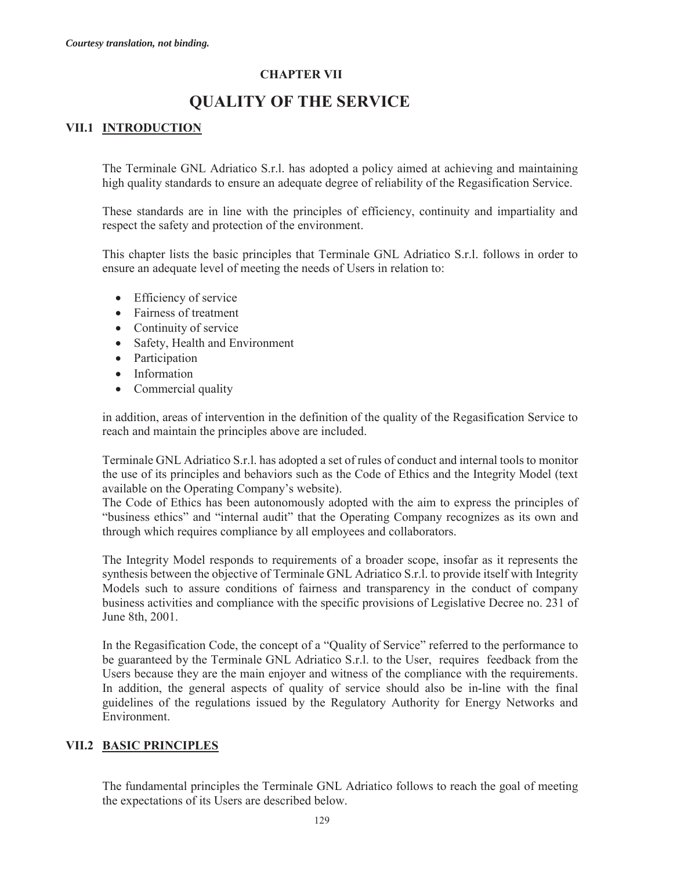# **CHAPTER VII**

# **QUALITY OF THE SERVICE**

# **VII.1 INTRODUCTION**

The Terminale GNL Adriatico S.r.l. has adopted a policy aimed at achieving and maintaining high quality standards to ensure an adequate degree of reliability of the Regasification Service.

These standards are in line with the principles of efficiency, continuity and impartiality and respect the safety and protection of the environment.

This chapter lists the basic principles that Terminale GNL Adriatico S.r.l. follows in order to ensure an adequate level of meeting the needs of Users in relation to:

- $\bullet$  Efficiency of service
- $\bullet$  Fairness of treatment
- $\bullet$  Continuity of service
- Safety, Health and Environment
- Participation
- Information
- Commercial quality

in addition, areas of intervention in the definition of the quality of the Regasification Service to reach and maintain the principles above are included.

Terminale GNL Adriatico S.r.l. has adopted a set of rules of conduct and internal tools to monitor the use of its principles and behaviors such as the Code of Ethics and the Integrity Model (text available on the Operating Company's website).

The Code of Ethics has been autonomously adopted with the aim to express the principles of "business ethics" and "internal audit" that the Operating Company recognizes as its own and through which requires compliance by all employees and collaborators.

The Integrity Model responds to requirements of a broader scope, insofar as it represents the synthesis between the objective of Terminale GNL Adriatico S.r.l. to provide itself with Integrity Models such to assure conditions of fairness and transparency in the conduct of company business activities and compliance with the specific provisions of Legislative Decree no. 231 of June 8th, 2001.

In the Regasification Code, the concept of a "Quality of Service" referred to the performance to be guaranteed by the Terminale GNL Adriatico S.r.l. to the User, requires feedback from the Users because they are the main enjoyer and witness of the compliance with the requirements. In addition, the general aspects of quality of service should also be in-line with the final guidelines of the regulations issued by the Regulatory Authority for Energy Networks and Environment.

# **VII.2 BASIC PRINCIPLES**

The fundamental principles the Terminale GNL Adriatico follows to reach the goal of meeting the expectations of its Users are described below.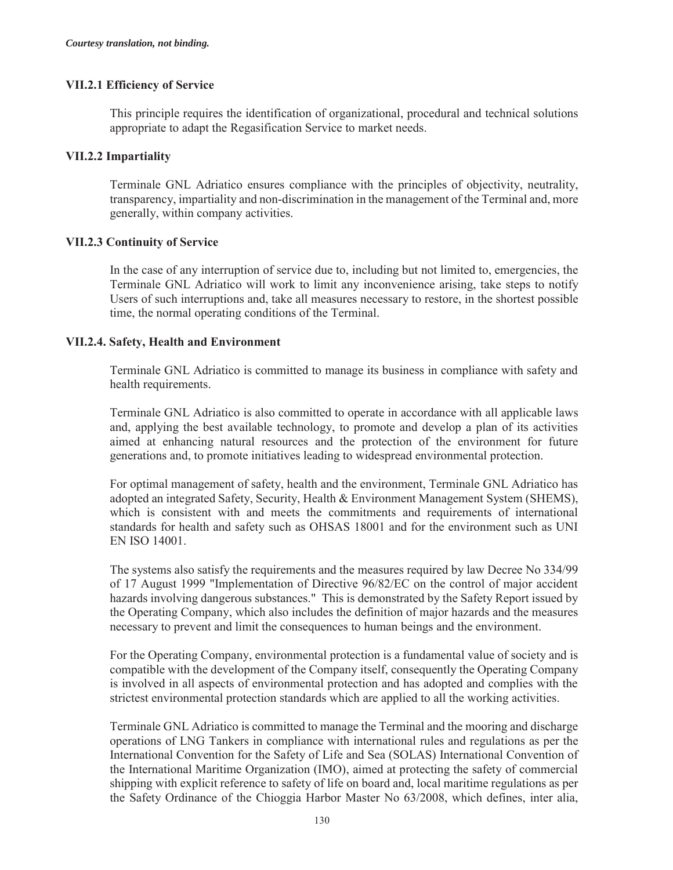### **VII.2.1 Efficiency of Service**

This principle requires the identification of organizational, procedural and technical solutions appropriate to adapt the Regasification Service to market needs.

### **VII.2.2 Impartiality**

Terminale GNL Adriatico ensures compliance with the principles of objectivity, neutrality, transparency, impartiality and non-discrimination in the management of the Terminal and, more generally, within company activities.

### **VII.2.3 Continuity of Service**

In the case of any interruption of service due to, including but not limited to, emergencies, the Terminale GNL Adriatico will work to limit any inconvenience arising, take steps to notify Users of such interruptions and, take all measures necessary to restore, in the shortest possible time, the normal operating conditions of the Terminal.

### **VII.2.4. Safety, Health and Environment**

Terminale GNL Adriatico is committed to manage its business in compliance with safety and health requirements.

Terminale GNL Adriatico is also committed to operate in accordance with all applicable laws and, applying the best available technology, to promote and develop a plan of its activities aimed at enhancing natural resources and the protection of the environment for future generations and, to promote initiatives leading to widespread environmental protection.

For optimal management of safety, health and the environment, Terminale GNL Adriatico has adopted an integrated Safety, Security, Health & Environment Management System (SHEMS), which is consistent with and meets the commitments and requirements of international standards for health and safety such as OHSAS 18001 and for the environment such as UNI EN ISO 14001.

The systems also satisfy the requirements and the measures required by law Decree No 334/99 of 17 August 1999 "Implementation of Directive 96/82/EC on the control of major accident hazards involving dangerous substances." This is demonstrated by the Safety Report issued by the Operating Company, which also includes the definition of major hazards and the measures necessary to prevent and limit the consequences to human beings and the environment.

For the Operating Company, environmental protection is a fundamental value of society and is compatible with the development of the Company itself, consequently the Operating Company is involved in all aspects of environmental protection and has adopted and complies with the strictest environmental protection standards which are applied to all the working activities.

Terminale GNL Adriatico is committed to manage the Terminal and the mooring and discharge operations of LNG Tankers in compliance with international rules and regulations as per the International Convention for the Safety of Life and Sea (SOLAS) International Convention of the International Maritime Organization (IMO), aimed at protecting the safety of commercial shipping with explicit reference to safety of life on board and, local maritime regulations as per the Safety Ordinance of the Chioggia Harbor Master No 63/2008, which defines, inter alia,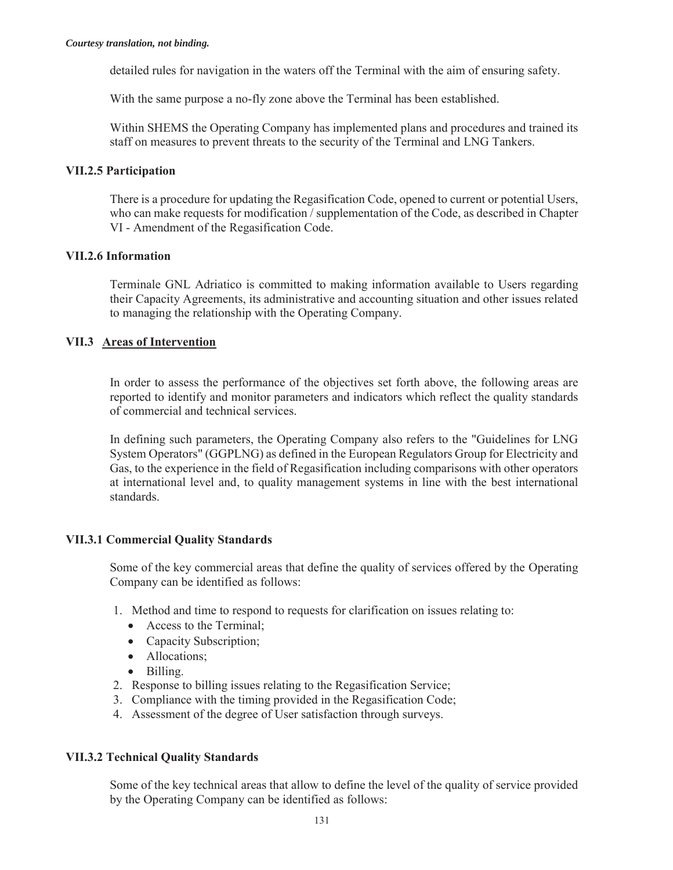detailed rules for navigation in the waters off the Terminal with the aim of ensuring safety.

With the same purpose a no-fly zone above the Terminal has been established.

Within SHEMS the Operating Company has implemented plans and procedures and trained its staff on measures to prevent threats to the security of the Terminal and LNG Tankers.

### **VII.2.5 Participation**

There is a procedure for updating the Regasification Code, opened to current or potential Users, who can make requests for modification / supplementation of the Code, as described in Chapter VI - Amendment of the Regasification Code.

# **VII.2.6 Information**

Terminale GNL Adriatico is committed to making information available to Users regarding their Capacity Agreements, its administrative and accounting situation and other issues related to managing the relationship with the Operating Company.

# **VII.3 Areas of Intervention**

In order to assess the performance of the objectives set forth above, the following areas are reported to identify and monitor parameters and indicators which reflect the quality standards of commercial and technical services.

In defining such parameters, the Operating Company also refers to the "Guidelines for LNG System Operators" (GGPLNG) as defined in the European Regulators Group for Electricity and Gas, to the experience in the field of Regasification including comparisons with other operators at international level and, to quality management systems in line with the best international standards.

# **VII.3.1 Commercial Quality Standards**

Some of the key commercial areas that define the quality of services offered by the Operating Company can be identified as follows:

- 1. Method and time to respond to requests for clarification on issues relating to:
	- $\bullet$  Access to the Terminal:
	- Capacity Subscription;
	- Allocations:
	- Billing.
- 2. Response to billing issues relating to the Regasification Service;
- 3. Compliance with the timing provided in the Regasification Code;
- 4. Assessment of the degree of User satisfaction through surveys.

# **VII.3.2 Technical Quality Standards**

Some of the key technical areas that allow to define the level of the quality of service provided by the Operating Company can be identified as follows: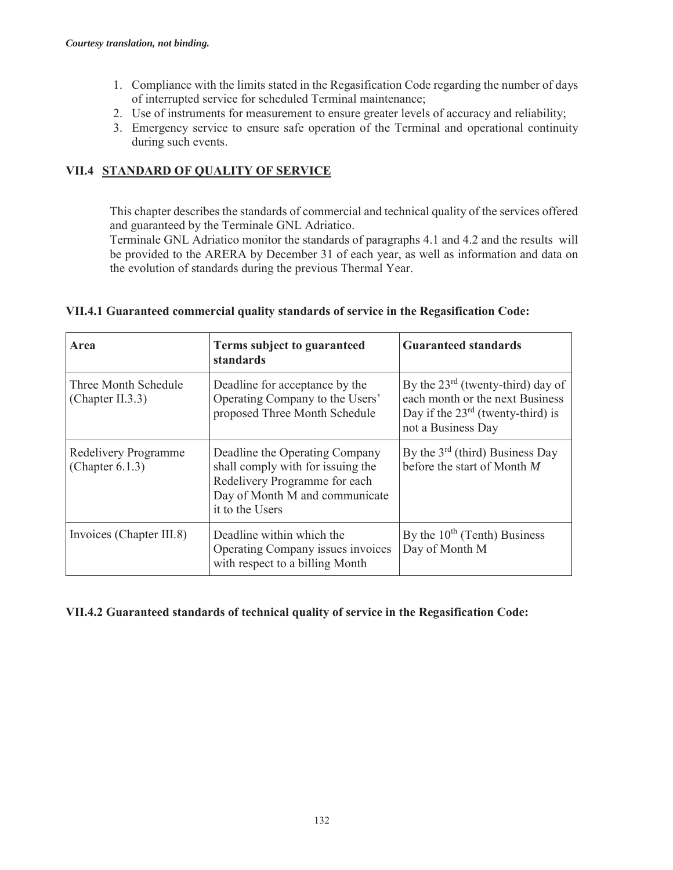- 1. Compliance with the limits stated in the Regasification Code regarding the number of days of interrupted service for scheduled Terminal maintenance;
- 2. Use of instruments for measurement to ensure greater levels of accuracy and reliability;
- 3. Emergency service to ensure safe operation of the Terminal and operational continuity during such events.

# **VII.4 STANDARD OF QUALITY OF SERVICE**

This chapter describes the standards of commercial and technical quality of the services offered and guaranteed by the Terminale GNL Adriatico.

Terminale GNL Adriatico monitor the standards of paragraphs 4.1 and 4.2 and the results will be provided to the ARERA by December 31 of each year, as well as information and data on the evolution of standards during the previous Thermal Year.

| Area                                       | Terms subject to guaranteed<br>standards                                                                                                                  | <b>Guaranteed standards</b>                                                                                                            |
|--------------------------------------------|-----------------------------------------------------------------------------------------------------------------------------------------------------------|----------------------------------------------------------------------------------------------------------------------------------------|
| Three Month Schedule<br>(Chapter II.3.3)   | Deadline for acceptance by the<br>Operating Company to the Users'<br>proposed Three Month Schedule                                                        | By the $23^{rd}$ (twenty-third) day of<br>each month or the next Business<br>Day if the $23rd$ (twenty-third) is<br>not a Business Day |
| Redelivery Programme<br>(Chapter $6.1.3$ ) | Deadline the Operating Company<br>shall comply with for issuing the<br>Redelivery Programme for each<br>Day of Month M and communicate<br>it to the Users | By the $3rd$ (third) Business Day<br>before the start of Month $M$                                                                     |
| Invoices (Chapter III.8)                   | Deadline within which the<br>Operating Company issues invoices<br>with respect to a billing Month                                                         | By the $10^{th}$ (Tenth) Business<br>Day of Month M                                                                                    |

# **VII.4.1 Guaranteed commercial quality standards of service in the Regasification Code:**

# **VII.4.2 Guaranteed standards of technical quality of service in the Regasification Code:**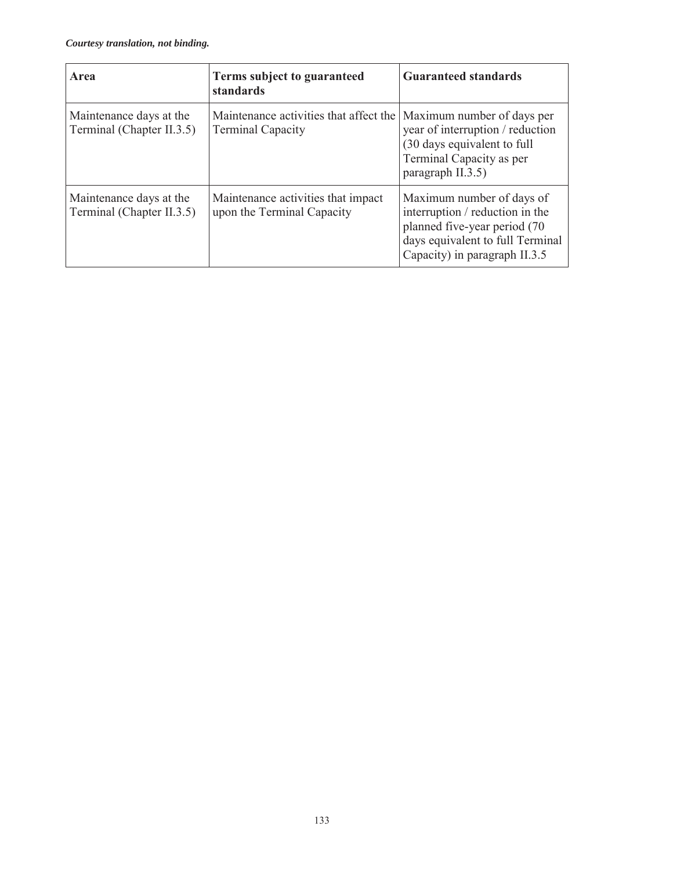| Area                                                 | Terms subject to guaranteed<br>standards                           | <b>Guaranteed standards</b>                                                                                                                                       |
|------------------------------------------------------|--------------------------------------------------------------------|-------------------------------------------------------------------------------------------------------------------------------------------------------------------|
| Maintenance days at the<br>Terminal (Chapter II.3.5) | Maintenance activities that affect the<br><b>Terminal Capacity</b> | Maximum number of days per<br>year of interruption / reduction<br>(30 days equivalent to full<br>Terminal Capacity as per<br>paragraph II.3.5)                    |
| Maintenance days at the<br>Terminal (Chapter II.3.5) | Maintenance activities that impact<br>upon the Terminal Capacity   | Maximum number of days of<br>interruption / reduction in the<br>planned five-year period (70<br>days equivalent to full Terminal<br>Capacity) in paragraph II.3.5 |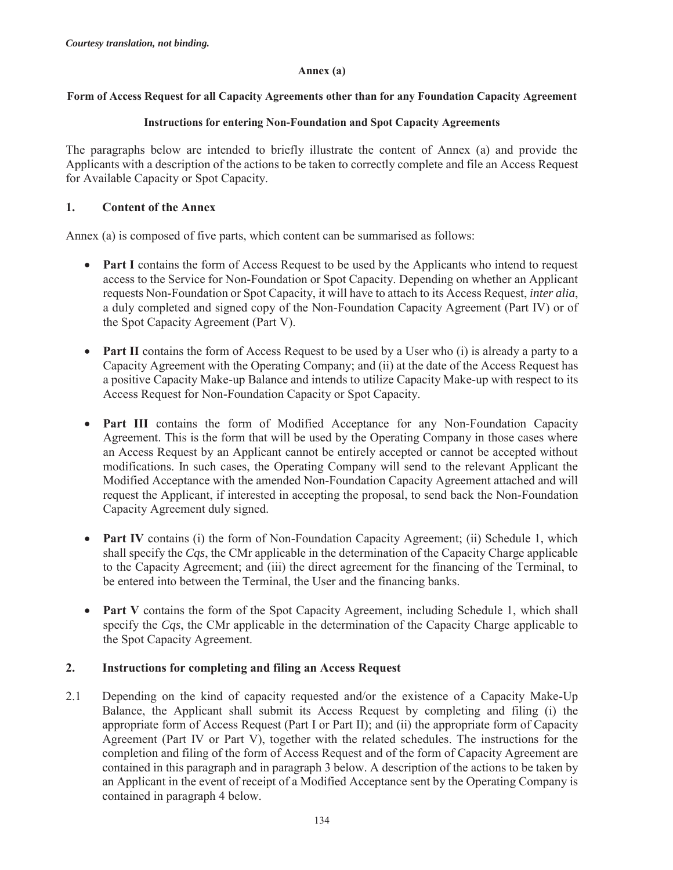### **Annex (a)**

### **Form of Access Request for all Capacity Agreements other than for any Foundation Capacity Agreement**

### **Instructions for entering Non-Foundation and Spot Capacity Agreements**

The paragraphs below are intended to briefly illustrate the content of Annex (a) and provide the Applicants with a description of the actions to be taken to correctly complete and file an Access Request for Available Capacity or Spot Capacity.

### **1. Content of the Annex**

Annex (a) is composed of five parts, which content can be summarised as follows:

- **Part I** contains the form of Access Request to be used by the Applicants who intend to request access to the Service for Non-Foundation or Spot Capacity. Depending on whether an Applicant requests Non-Foundation or Spot Capacity, it will have to attach to its Access Request, *inter alia*, a duly completed and signed copy of the Non-Foundation Capacity Agreement (Part IV) or of the Spot Capacity Agreement (Part V).
- **Part II** contains the form of Access Request to be used by a User who (i) is already a party to a Capacity Agreement with the Operating Company; and (ii) at the date of the Access Request has a positive Capacity Make-up Balance and intends to utilize Capacity Make-up with respect to its Access Request for Non-Foundation Capacity or Spot Capacity.
- Part III contains the form of Modified Acceptance for any Non-Foundation Capacity Agreement. This is the form that will be used by the Operating Company in those cases where an Access Request by an Applicant cannot be entirely accepted or cannot be accepted without modifications. In such cases, the Operating Company will send to the relevant Applicant the Modified Acceptance with the amended Non-Foundation Capacity Agreement attached and will request the Applicant, if interested in accepting the proposal, to send back the Non-Foundation Capacity Agreement duly signed.
- **Part IV** contains (i) the form of Non-Foundation Capacity Agreement; (ii) Schedule 1, which shall specify the *Cqs*, the CMr applicable in the determination of the Capacity Charge applicable to the Capacity Agreement; and (iii) the direct agreement for the financing of the Terminal, to be entered into between the Terminal, the User and the financing banks.
- Part V contains the form of the Spot Capacity Agreement, including Schedule 1, which shall specify the *Cqs*, the CMr applicable in the determination of the Capacity Charge applicable to the Spot Capacity Agreement.

# **2. Instructions for completing and filing an Access Request**

2.1 Depending on the kind of capacity requested and/or the existence of a Capacity Make-Up Balance, the Applicant shall submit its Access Request by completing and filing (i) the appropriate form of Access Request (Part I or Part II); and (ii) the appropriate form of Capacity Agreement (Part IV or Part V), together with the related schedules. The instructions for the completion and filing of the form of Access Request and of the form of Capacity Agreement are contained in this paragraph and in paragraph 3 below. A description of the actions to be taken by an Applicant in the event of receipt of a Modified Acceptance sent by the Operating Company is contained in paragraph 4 below.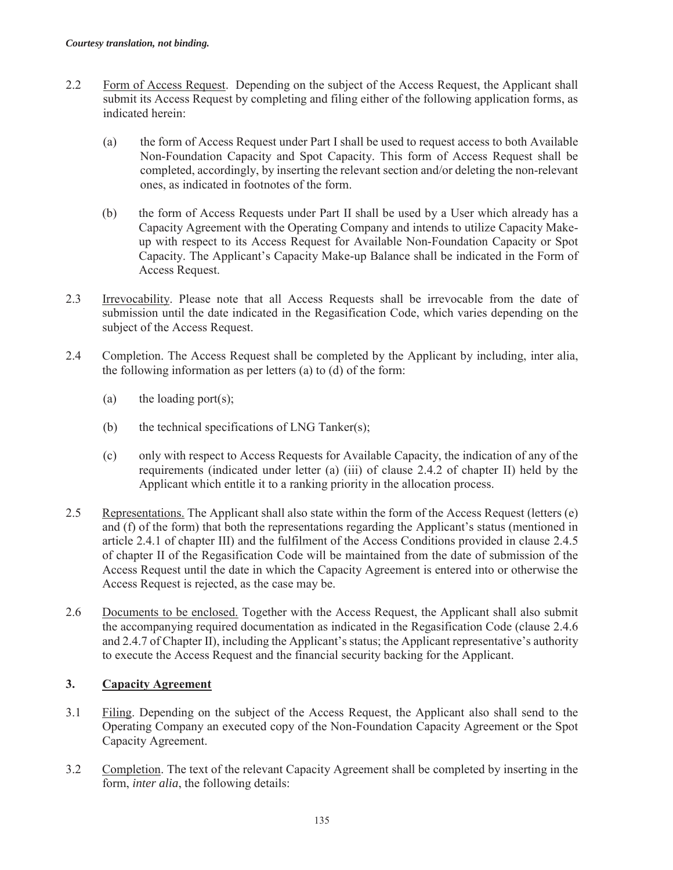- 2.2 Form of Access Request. Depending on the subject of the Access Request, the Applicant shall submit its Access Request by completing and filing either of the following application forms, as indicated herein:
	- (a) the form of Access Request under Part I shall be used to request access to both Available Non-Foundation Capacity and Spot Capacity. This form of Access Request shall be completed, accordingly, by inserting the relevant section and/or deleting the non-relevant ones, as indicated in footnotes of the form.
	- (b) the form of Access Requests under Part II shall be used by a User which already has a Capacity Agreement with the Operating Company and intends to utilize Capacity Makeup with respect to its Access Request for Available Non-Foundation Capacity or Spot Capacity. The Applicant's Capacity Make-up Balance shall be indicated in the Form of Access Request.
- 2.3 Irrevocability. Please note that all Access Requests shall be irrevocable from the date of submission until the date indicated in the Regasification Code, which varies depending on the subject of the Access Request.
- 2.4 Completion. The Access Request shall be completed by the Applicant by including, inter alia, the following information as per letters (a) to (d) of the form:
	- (a) the loading port(s);
	- (b) the technical specifications of LNG Tanker(s);
	- (c) only with respect to Access Requests for Available Capacity, the indication of any of the requirements (indicated under letter (a) (iii) of clause 2.4.2 of chapter II) held by the Applicant which entitle it to a ranking priority in the allocation process.
- 2.5 Representations. The Applicant shall also state within the form of the Access Request (letters (e) and (f) of the form) that both the representations regarding the Applicant's status (mentioned in article 2.4.1 of chapter III) and the fulfilment of the Access Conditions provided in clause 2.4.5 of chapter II of the Regasification Code will be maintained from the date of submission of the Access Request until the date in which the Capacity Agreement is entered into or otherwise the Access Request is rejected, as the case may be.
- 2.6 Documents to be enclosed. Together with the Access Request, the Applicant shall also submit the accompanying required documentation as indicated in the Regasification Code (clause 2.4.6 and 2.4.7 of Chapter II), including the Applicant's status; the Applicant representative's authority to execute the Access Request and the financial security backing for the Applicant.

# **3. Capacity Agreement**

- 3.1 Filing. Depending on the subject of the Access Request, the Applicant also shall send to the Operating Company an executed copy of the Non-Foundation Capacity Agreement or the Spot Capacity Agreement.
- 3.2 Completion. The text of the relevant Capacity Agreement shall be completed by inserting in the form, *inter alia*, the following details: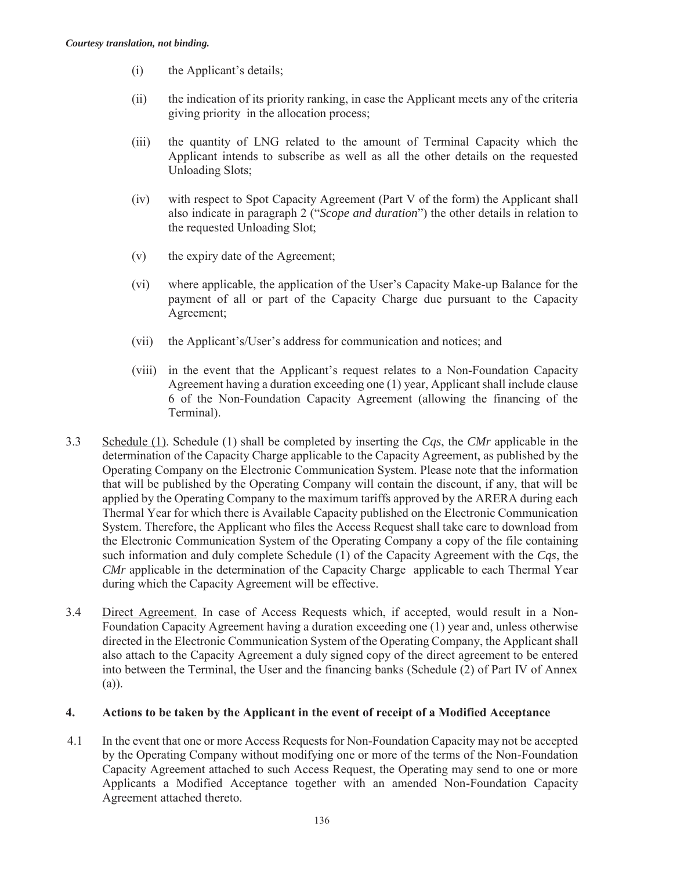- (i) the Applicant's details;
- (ii) the indication of its priority ranking, in case the Applicant meets any of the criteria giving priority in the allocation process;
- (iii) the quantity of LNG related to the amount of Terminal Capacity which the Applicant intends to subscribe as well as all the other details on the requested Unloading Slots;
- (iv) with respect to Spot Capacity Agreement (Part V of the form) the Applicant shall also indicate in paragraph 2 ("*Scope and duration*") the other details in relation to the requested Unloading Slot;
- (v) the expiry date of the Agreement;
- (vi) where applicable, the application of the User's Capacity Make-up Balance for the payment of all or part of the Capacity Charge due pursuant to the Capacity Agreement;
- (vii) the Applicant's/User's address for communication and notices; and
- (viii) in the event that the Applicant's request relates to a Non-Foundation Capacity Agreement having a duration exceeding one (1) year, Applicant shall include clause 6 of the Non-Foundation Capacity Agreement (allowing the financing of the Terminal).
- 3.3 Schedule (1). Schedule (1) shall be completed by inserting the *Cqs*, the *CMr* applicable in the determination of the Capacity Charge applicable to the Capacity Agreement, as published by the Operating Company on the Electronic Communication System. Please note that the information that will be published by the Operating Company will contain the discount, if any, that will be applied by the Operating Company to the maximum tariffs approved by the ARERA during each Thermal Year for which there is Available Capacity published on the Electronic Communication System. Therefore, the Applicant who files the Access Request shall take care to download from the Electronic Communication System of the Operating Company a copy of the file containing such information and duly complete Schedule (1) of the Capacity Agreement with the *Cqs*, the *CMr* applicable in the determination of the Capacity Charge applicable to each Thermal Year during which the Capacity Agreement will be effective.
- 3.4 Direct Agreement. In case of Access Requests which, if accepted, would result in a Non-Foundation Capacity Agreement having a duration exceeding one (1) year and, unless otherwise directed in the Electronic Communication System of the Operating Company, the Applicant shall also attach to the Capacity Agreement a duly signed copy of the direct agreement to be entered into between the Terminal, the User and the financing banks (Schedule (2) of Part IV of Annex (a)).

# **4. Actions to be taken by the Applicant in the event of receipt of a Modified Acceptance**

4.1 In the event that one or more Access Requests for Non-Foundation Capacity may not be accepted by the Operating Company without modifying one or more of the terms of the Non-Foundation Capacity Agreement attached to such Access Request, the Operating may send to one or more Applicants a Modified Acceptance together with an amended Non-Foundation Capacity Agreement attached thereto.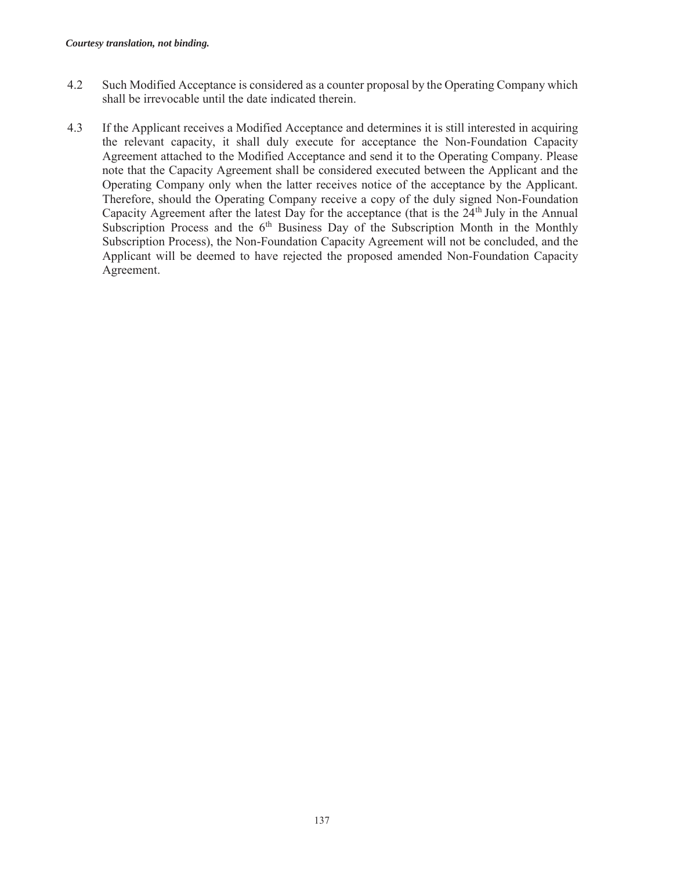- 4.2 Such Modified Acceptance is considered as a counter proposal by the Operating Company which shall be irrevocable until the date indicated therein.
- 4.3 If the Applicant receives a Modified Acceptance and determines it is still interested in acquiring the relevant capacity, it shall duly execute for acceptance the Non-Foundation Capacity Agreement attached to the Modified Acceptance and send it to the Operating Company. Please note that the Capacity Agreement shall be considered executed between the Applicant and the Operating Company only when the latter receives notice of the acceptance by the Applicant. Therefore, should the Operating Company receive a copy of the duly signed Non-Foundation Capacity Agreement after the latest Day for the acceptance (that is the  $24<sup>th</sup>$  July in the Annual Subscription Process and the  $6<sup>th</sup>$  Business Day of the Subscription Month in the Monthly Subscription Process), the Non-Foundation Capacity Agreement will not be concluded, and the Applicant will be deemed to have rejected the proposed amended Non-Foundation Capacity Agreement.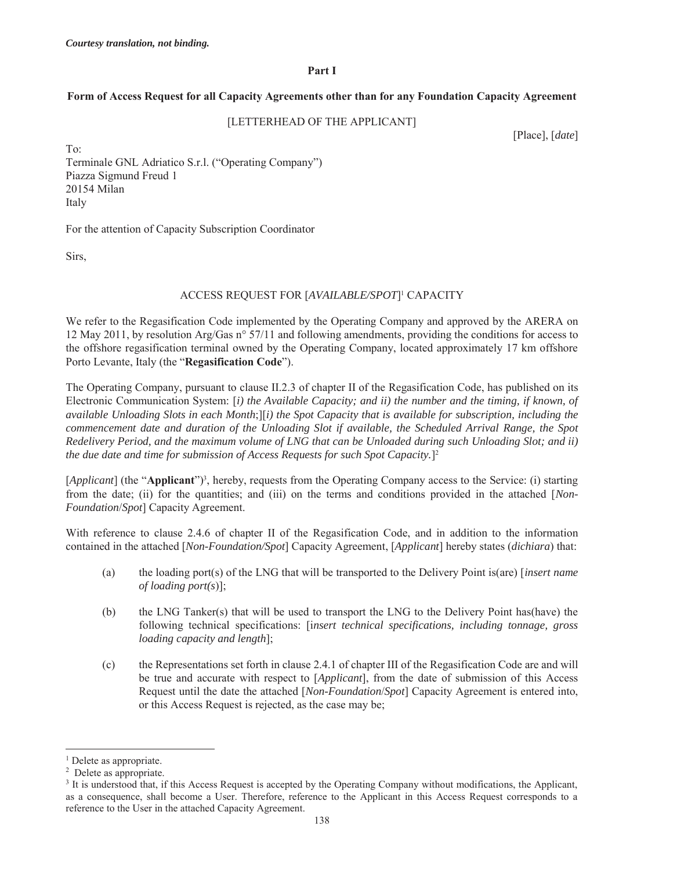#### **Part I**

#### **Form of Access Request for all Capacity Agreements other than for any Foundation Capacity Agreement**

#### [LETTERHEAD OF THE APPLICANT]

[Place], [*date*]

To: Terminale GNL Adriatico S.r.l. ("Operating Company") Piazza Sigmund Freud 1 20154 Milan Italy

For the attention of Capacity Subscription Coordinator

Sirs,

#### ACCESS REQUEST FOR [*AVAILABLE/SPOT*]1 CAPACITY

We refer to the Regasification Code implemented by the Operating Company and approved by the ARERA on 12 May 2011, by resolution Arg/Gas n° 57/11 and following amendments, providing the conditions for access to the offshore regasification terminal owned by the Operating Company, located approximately 17 km offshore Porto Levante, Italy (the "**Regasification Code**").

The Operating Company, pursuant to clause II.2.3 of chapter II of the Regasification Code, has published on its Electronic Communication System: [*i) the Available Capacity; and ii) the number and the timing, if known, of available Unloading Slots in each Month*;][*i) the Spot Capacity that is available for subscription, including the commencement date and duration of the Unloading Slot if available, the Scheduled Arrival Range, the Spot Redelivery Period, and the maximum volume of LNG that can be Unloaded during such Unloading Slot; and ii) the due date and time for submission of Access Requests for such Spot Capacity.*]2

[*Applicant*] (the "**Applicant**")<sup>3</sup>, hereby, requests from the Operating Company access to the Service: (i) starting from the date; (ii) for the quantities; and (iii) on the terms and conditions provided in the attached [*Non-Foundation*/*Spot*] Capacity Agreement.

With reference to clause 2.4.6 of chapter II of the Regasification Code, and in addition to the information contained in the attached [*Non-Foundation/Spot*] Capacity Agreement, [*Applicant*] hereby states (*dichiara*) that:

- (a) the loading port(s) of the LNG that will be transported to the Delivery Point is(are) [*insert name of loading port(s*)];
- (b) the LNG Tanker(s) that will be used to transport the LNG to the Delivery Point has(have) the following technical specifications: [i*nsert technical specifications, including tonnage, gross loading capacity and length*];
- (c) the Representations set forth in clause 2.4.1 of chapter III of the Regasification Code are and will be true and accurate with respect to [*Applicant*], from the date of submission of this Access Request until the date the attached [*Non-Foundation*/*Spot*] Capacity Agreement is entered into, or this Access Request is rejected, as the case may be;

<sup>&</sup>lt;sup>1</sup> Delete as appropriate.

<sup>&</sup>lt;sup>2</sup> Delete as appropriate.

<sup>&</sup>lt;sup>3</sup> It is understood that, if this Access Request is accepted by the Operating Company without modifications, the Applicant, as a consequence, shall become a User. Therefore, reference to the Applicant in this Access Request corresponds to a reference to the User in the attached Capacity Agreement.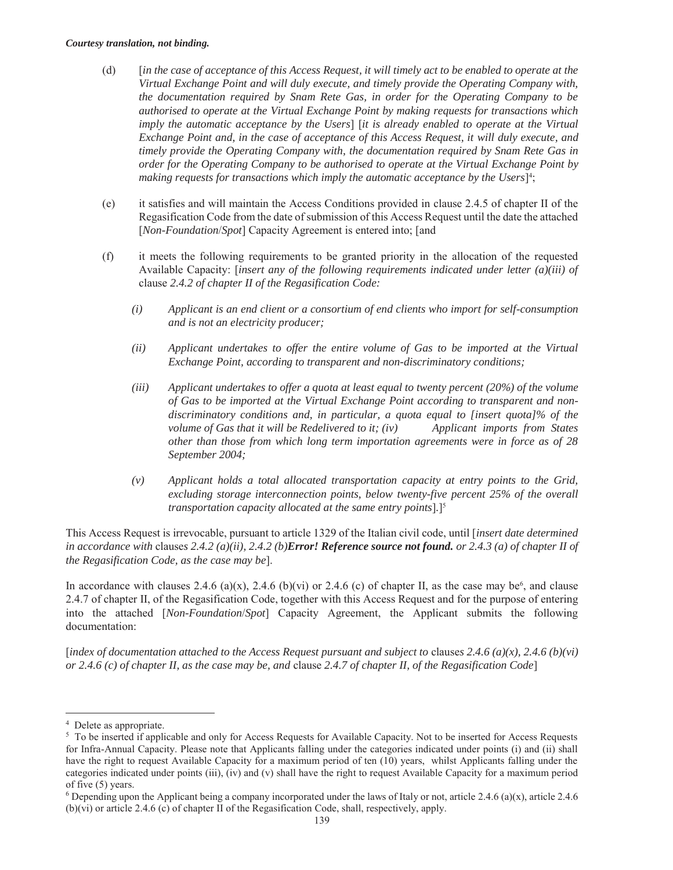- (d) [*in the case of acceptance of this Access Request, it will timely act to be enabled to operate at the Virtual Exchange Point and will duly execute, and timely provide the Operating Company with, the documentation required by Snam Rete Gas, in order for the Operating Company to be authorised to operate at the Virtual Exchange Point by making requests for transactions which imply the automatic acceptance by the Users*] [*it is already enabled to operate at the Virtual Exchange Point and, in the case of acceptance of this Access Request, it will duly execute, and timely provide the Operating Company with, the documentation required by Snam Rete Gas in order for the Operating Company to be authorised to operate at the Virtual Exchange Point by*  making requests for transactions which imply the automatic acceptance by the Users]<sup>4</sup>;
- (e) it satisfies and will maintain the Access Conditions provided in clause 2.4.5 of chapter II of the Regasification Code from the date of submission of this Access Request until the date the attached [*Non-Foundation*/*Spot*] Capacity Agreement is entered into; [and
- (f) it meets the following requirements to be granted priority in the allocation of the requested Available Capacity: [*insert any of the following requirements indicated under letter (a)(iii) of*  clause *2.4.2 of chapter II of the Regasification Code:* 
	- *(i) Applicant is an end client or a consortium of end clients who import for self-consumption and is not an electricity producer;*
	- *(ii) Applicant undertakes to offer the entire volume of Gas to be imported at the Virtual Exchange Point, according to transparent and non-discriminatory conditions;*
	- *(iii) Applicant undertakes to offer a quota at least equal to twenty percent (20%) of the volume of Gas to be imported at the Virtual Exchange Point according to transparent and nondiscriminatory conditions and, in particular, a quota equal to [insert quota]% of the volume of Gas that it will be Redelivered to it; (iv)* Applicant *imports from States other than those from which long term importation agreements were in force as of 28 September 2004;*
	- *(v) Applicant holds a total allocated transportation capacity at entry points to the Grid, excluding storage interconnection points, below twenty-five percent 25% of the overall transportation capacity allocated at the same entry points*]*.*]5

This Access Request is irrevocable, pursuant to article 1329 of the Italian civil code, until [*insert date determined in accordance with* clause*s 2.4.2 (a)(ii), 2.4.2 (b)Error! Reference source not found. or 2.4.3 (a) of chapter II of the Regasification Code, as the case may be*].

In accordance with clauses 2.4.6 (a)(x), 2.4.6 (b)(vi) or 2.4.6 (c) of chapter II, as the case may be<sup>6</sup>, and clause 2.4.7 of chapter II, of the Regasification Code, together with this Access Request and for the purpose of entering into the attached [*Non-Foundation*/*Spot*] Capacity Agreement, the Applicant submits the following documentation:

[*index of documentation attached to the Access Request pursuant and subject to clauses 2.4.6 (a)(x), 2.4.6 (b)(vi) or 2.4.6 (c) of chapter II, as the case may be, and* clause *2.4.7 of chapter II, of the Regasification Code*]

<sup>4</sup> Delete as appropriate.

<sup>&</sup>lt;sup>5</sup> To be inserted if applicable and only for Access Requests for Available Capacity. Not to be inserted for Access Requests for Infra-Annual Capacity. Please note that Applicants falling under the categories indicated under points (i) and (ii) shall have the right to request Available Capacity for a maximum period of ten (10) years, whilst Applicants falling under the categories indicated under points (iii), (iv) and (v) shall have the right to request Available Capacity for a maximum period of five (5) years.

<sup>&</sup>lt;sup>6</sup> Depending upon the Applicant being a company incorporated under the laws of Italy or not, article 2.4.6 (a)(x), article 2.4.6 (b)(vi) or article 2.4.6 (c) of chapter II of the Regasification Code, shall, respectively, apply.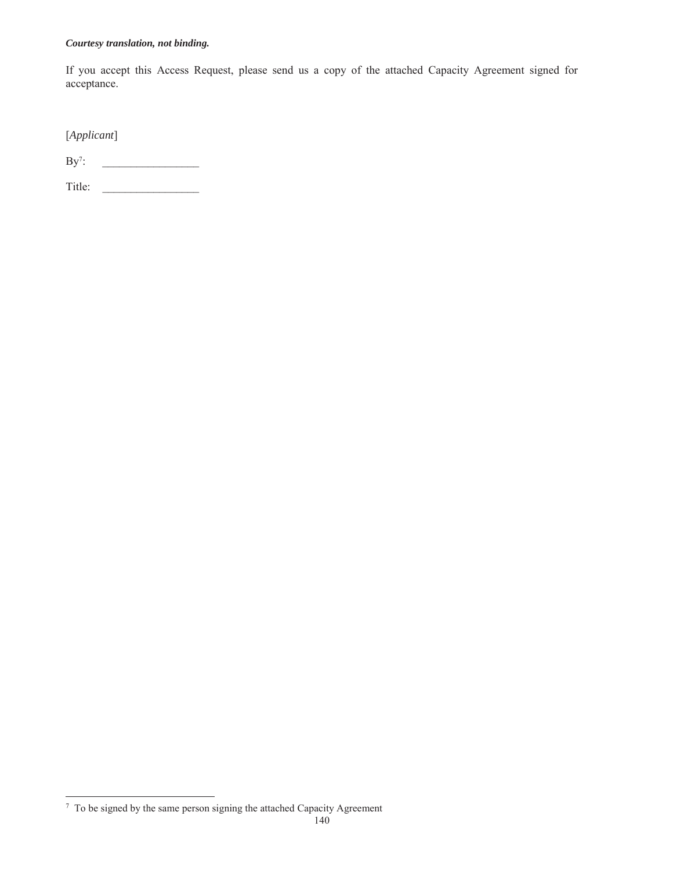If you accept this Access Request, please send us a copy of the attached Capacity Agreement signed for acceptance.

[*Applicant*]

 $By<sup>7</sup>$ : : \_\_\_\_\_\_\_\_\_\_\_\_\_\_\_\_\_

Title: \_\_\_\_\_\_\_\_\_\_\_\_\_\_\_\_\_

 7 To be signed by the same person signing the attached Capacity Agreement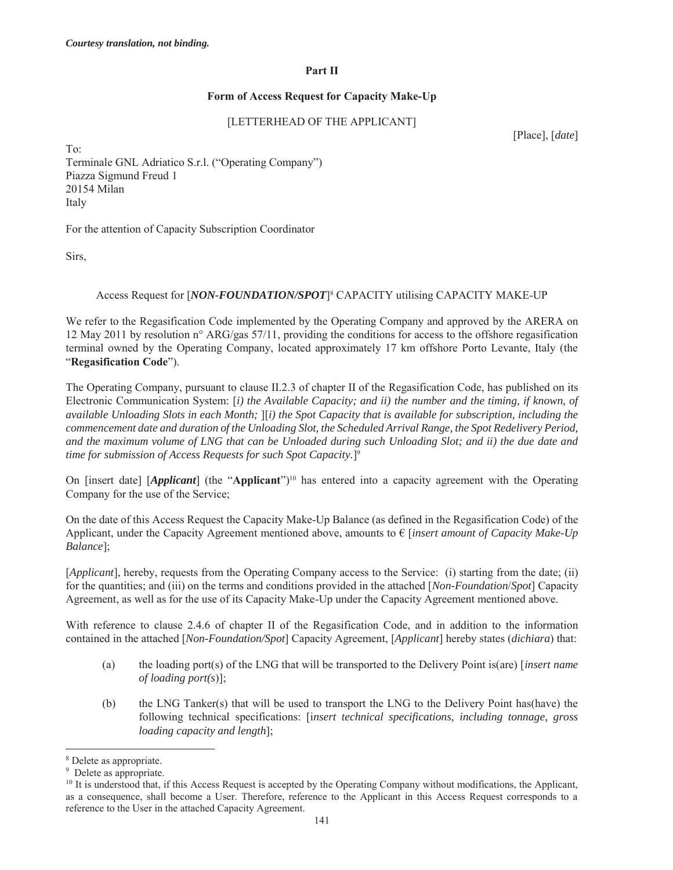#### **Part II**

#### **Form of Access Request for Capacity Make-Up**

### [LETTERHEAD OF THE APPLICANT]

[Place], [*date*]

To: Terminale GNL Adriatico S.r.l. ("Operating Company") Piazza Sigmund Freud 1 20154 Milan Italy

For the attention of Capacity Subscription Coordinator

Sirs,

#### Access Request for [*NON-FOUNDATION/SPOT*]<sup>8</sup> CAPACITY utilising CAPACITY MAKE-UP

We refer to the Regasification Code implemented by the Operating Company and approved by the ARERA on 12 May 2011 by resolution n° ARG/gas 57/11, providing the conditions for access to the offshore regasification terminal owned by the Operating Company, located approximately 17 km offshore Porto Levante, Italy (the "**Regasification Code**").

The Operating Company, pursuant to clause II.2.3 of chapter II of the Regasification Code, has published on its Electronic Communication System: [*i) the Available Capacity; and ii) the number and the timing, if known, of available Unloading Slots in each Month;* ][*i) the Spot Capacity that is available for subscription, including the commencement date and duration of the Unloading Slot, the Scheduled Arrival Range, the Spot Redelivery Period, and the maximum volume of LNG that can be Unloaded during such Unloading Slot; and ii) the due date and time for submission of Access Requests for such Spot Capacity.*]9

On [insert date] [*Applicant*] (the "**Applicant**")10 has entered into a capacity agreement with the Operating Company for the use of the Service;

On the date of this Access Request the Capacity Make-Up Balance (as defined in the Regasification Code) of the Applicant, under the Capacity Agreement mentioned above, amounts to € [*insert amount of Capacity Make-Up Balance*];

[*Applicant*], hereby, requests from the Operating Company access to the Service: (i) starting from the date; (ii) for the quantities; and (iii) on the terms and conditions provided in the attached [*Non-Foundation*/*Spot*] Capacity Agreement, as well as for the use of its Capacity Make-Up under the Capacity Agreement mentioned above.

With reference to clause 2.4.6 of chapter II of the Regasification Code, and in addition to the information contained in the attached [*Non-Foundation/Spot*] Capacity Agreement, [*Applicant*] hereby states (*dichiara*) that:

- (a) the loading port(s) of the LNG that will be transported to the Delivery Point is(are) [*insert name of loading port(s*)];
- (b) the LNG Tanker(s) that will be used to transport the LNG to the Delivery Point has(have) the following technical specifications: [i*nsert technical specifications, including tonnage, gross loading capacity and length*];

<sup>8</sup> Delete as appropriate.

<sup>&</sup>lt;sup>9</sup> Delete as appropriate.

 $10$  It is understood that, if this Access Request is accepted by the Operating Company without modifications, the Applicant, as a consequence, shall become a User. Therefore, reference to the Applicant in this Access Request corresponds to a reference to the User in the attached Capacity Agreement.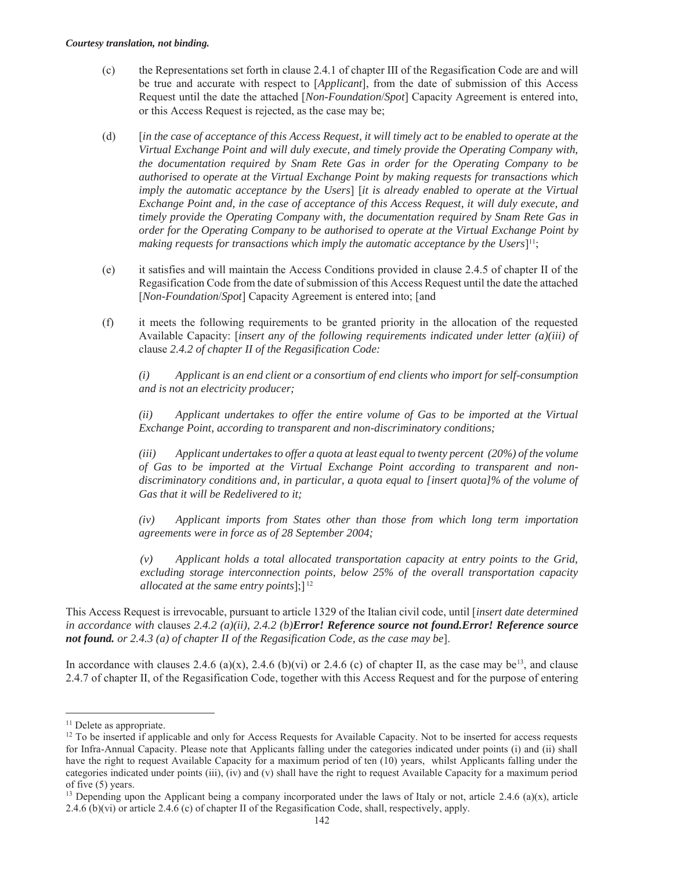- (c) the Representations set forth in clause 2.4.1 of chapter III of the Regasification Code are and will be true and accurate with respect to [*Applicant*], from the date of submission of this Access Request until the date the attached [*Non-Foundation*/*Spot*] Capacity Agreement is entered into, or this Access Request is rejected, as the case may be;
- (d) [*in the case of acceptance of this Access Request, it will timely act to be enabled to operate at the Virtual Exchange Point and will duly execute, and timely provide the Operating Company with, the documentation required by Snam Rete Gas in order for the Operating Company to be authorised to operate at the Virtual Exchange Point by making requests for transactions which imply the automatic acceptance by the Users*] [*it is already enabled to operate at the Virtual Exchange Point and, in the case of acceptance of this Access Request, it will duly execute, and timely provide the Operating Company with, the documentation required by Snam Rete Gas in order for the Operating Company to be authorised to operate at the Virtual Exchange Point by making requests for transactions which imply the automatic acceptance by the Users*]11;
- (e) it satisfies and will maintain the Access Conditions provided in clause 2.4.5 of chapter II of the Regasification Code from the date of submission of this Access Request until the date the attached [*Non-Foundation*/*Spot*] Capacity Agreement is entered into; [and
- (f) it meets the following requirements to be granted priority in the allocation of the requested Available Capacity: [*insert any of the following requirements indicated under letter (a)(iii) of*  clause *2.4.2 of chapter II of the Regasification Code:*

*(i) Applicant is an end client or a consortium of end clients who import for self-consumption and is not an electricity producer;* 

*(ii) Applicant undertakes to offer the entire volume of Gas to be imported at the Virtual Exchange Point, according to transparent and non-discriminatory conditions;* 

*(iii) Applicant undertakes to offer a quota at least equal to twenty percent (20%) of the volume of Gas to be imported at the Virtual Exchange Point according to transparent and nondiscriminatory conditions and, in particular, a quota equal to [insert quota]% of the volume of Gas that it will be Redelivered to it;* 

*(iv) Applicant imports from States other than those from which long term importation agreements were in force as of 28 September 2004;* 

*(v) Applicant holds a total allocated transportation capacity at entry points to the Grid, excluding storage interconnection points, below 25% of the overall transportation capacity allocated at the same entry points*];] 12

This Access Request is irrevocable, pursuant to article 1329 of the Italian civil code, until [*insert date determined in accordance with* clause*s 2.4.2 (a)(ii), 2.4.2 (b)Error! Reference source not found.Error! Reference source not found. or 2.4.3 (a) of chapter II of the Regasification Code, as the case may be*].

In accordance with clauses 2.4.6 (a)(x), 2.4.6 (b)(vi) or 2.4.6 (c) of chapter II, as the case may be<sup>13</sup>, and clause 2.4.7 of chapter II, of the Regasification Code, together with this Access Request and for the purpose of entering

<sup>&</sup>lt;sup>11</sup> Delete as appropriate.

<sup>&</sup>lt;sup>12</sup> To be inserted if applicable and only for Access Requests for Available Capacity. Not to be inserted for access requests for Infra-Annual Capacity. Please note that Applicants falling under the categories indicated under points (i) and (ii) shall have the right to request Available Capacity for a maximum period of ten (10) years, whilst Applicants falling under the categories indicated under points (iii), (iv) and (v) shall have the right to request Available Capacity for a maximum period of five (5) years.

<sup>&</sup>lt;sup>13</sup> Depending upon the Applicant being a company incorporated under the laws of Italy or not, article 2.4.6 (a)(x), article 2.4.6 (b)(vi) or article 2.4.6 (c) of chapter II of the Regasification Code, shall, respectively, apply.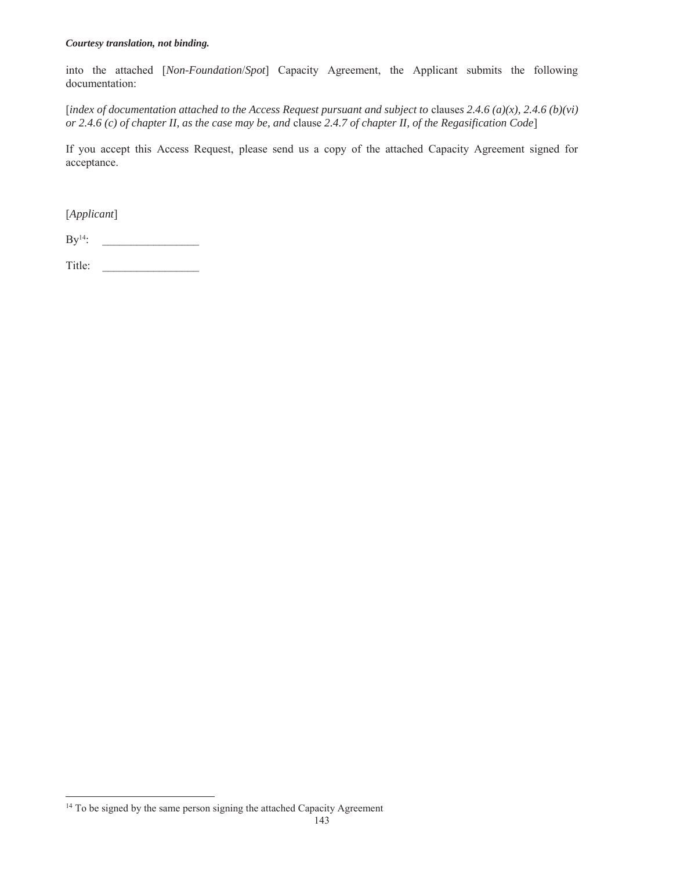into the attached [*Non-Foundation*/*Spot*] Capacity Agreement, the Applicant submits the following documentation:

[*index of documentation attached to the Access Request pursuant and subject to clauses 2.4.6 (a)(x), 2.4.6 (b)(vi) or 2.4.6 (c) of chapter II, as the case may be, and* clause *2.4.7 of chapter II, of the Regasification Code*]

If you accept this Access Request, please send us a copy of the attached Capacity Agreement signed for acceptance.

[*Applicant*]

 $\rm By^{14}:$ 

Title:

 $\overline{a}$ <sup>14</sup> To be signed by the same person signing the attached Capacity Agreement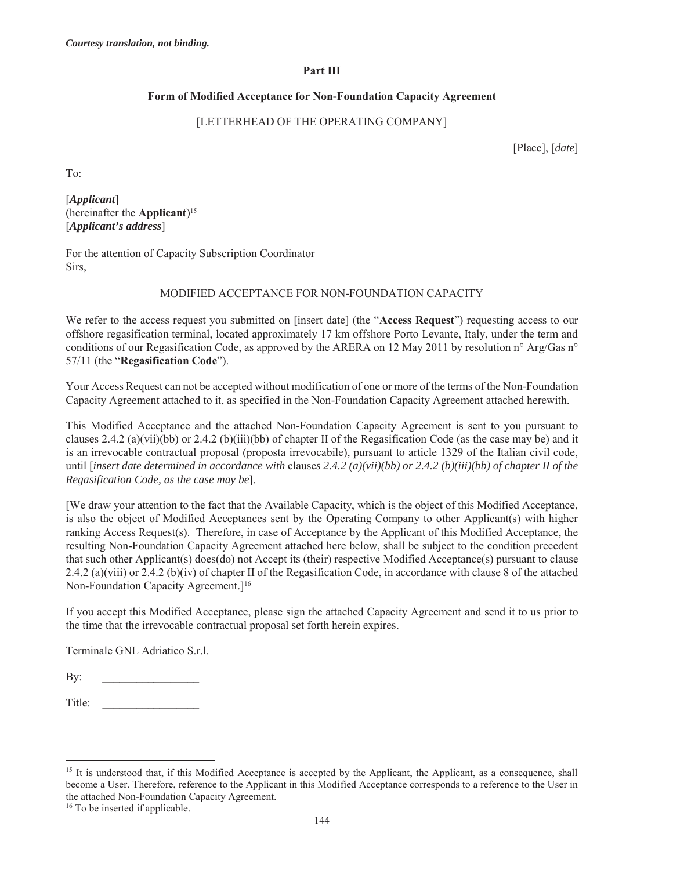### **Part III**

### **Form of Modified Acceptance for Non-Foundation Capacity Agreement**

### [LETTERHEAD OF THE OPERATING COMPANY]

[Place], [*date*]

To:

[*Applicant*] (hereinafter the **Applicant**)15 [*Applicant's address*]

For the attention of Capacity Subscription Coordinator Sirs,

### MODIFIED ACCEPTANCE FOR NON-FOUNDATION CAPACITY

We refer to the access request you submitted on [insert date] (the "**Access Request**") requesting access to our offshore regasification terminal, located approximately 17 km offshore Porto Levante, Italy, under the term and conditions of our Regasification Code, as approved by the ARERA on 12 May 2011 by resolution n° Arg/Gas n° 57/11 (the "**Regasification Code**").

Your Access Request can not be accepted without modification of one or more of the terms of the Non-Foundation Capacity Agreement attached to it, as specified in the Non-Foundation Capacity Agreement attached herewith.

This Modified Acceptance and the attached Non-Foundation Capacity Agreement is sent to you pursuant to clauses 2.4.2 (a)(vii)(bb) or 2.4.2 (b)(iii)(bb) of chapter II of the Regasification Code (as the case may be) and it is an irrevocable contractual proposal (proposta irrevocabile), pursuant to article 1329 of the Italian civil code, until [*insert date determined in accordance with* clause*s 2.4.2 (a)(vii)(bb) or 2.4.2 (b)(iii)(bb) of chapter II of the Regasification Code, as the case may be*].

[We draw your attention to the fact that the Available Capacity, which is the object of this Modified Acceptance, is also the object of Modified Acceptances sent by the Operating Company to other Applicant(s) with higher ranking Access Request(s). Therefore, in case of Acceptance by the Applicant of this Modified Acceptance, the resulting Non-Foundation Capacity Agreement attached here below, shall be subject to the condition precedent that such other Applicant(s) does(do) not Accept its (their) respective Modified Acceptance(s) pursuant to clause 2.4.2 (a)(viii) or 2.4.2 (b)(iv) of chapter II of the Regasification Code, in accordance with clause 8 of the attached Non-Foundation Capacity Agreement.]16

If you accept this Modified Acceptance, please sign the attached Capacity Agreement and send it to us prior to the time that the irrevocable contractual proposal set forth herein expires.

Terminale GNL Adriatico S.r.l.

By:

Title:

<sup>16</sup> To be inserted if applicable.

<sup>&</sup>lt;sup>15</sup> It is understood that, if this Modified Acceptance is accepted by the Applicant, the Applicant, as a consequence, shall become a User. Therefore, reference to the Applicant in this Modified Acceptance corresponds to a reference to the User in the attached Non-Foundation Capacity Agreement.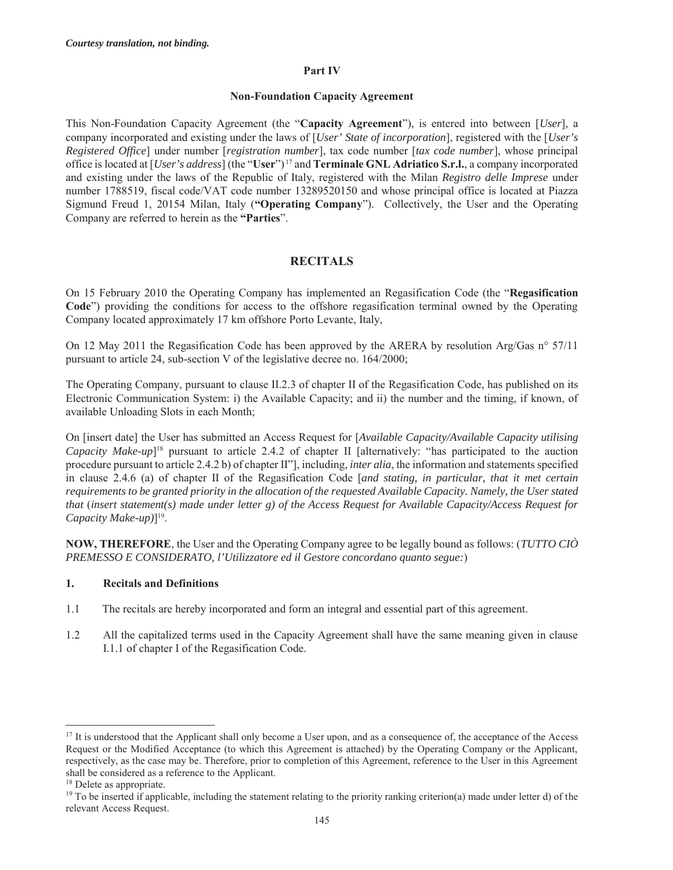#### **Part IV**

#### **Non-Foundation Capacity Agreement**

This Non-Foundation Capacity Agreement (the "**Capacity Agreement**"), is entered into between [*User*], a company incorporated and existing under the laws of [*User' State of incorporation*], registered with the [*User's Registered Office*] under number [*registration number*], tax code number [*tax code number*], whose principal office is located at [*User's address*] (the "**User**") 17 and **Terminale GNL Adriatico S.r.l.**, a company incorporated and existing under the laws of the Republic of Italy, registered with the Milan *Registro delle Imprese* under number 1788519, fiscal code/VAT code number 13289520150 and whose principal office is located at Piazza Sigmund Freud 1, 20154 Milan, Italy (**"Operating Company**"). Collectively, the User and the Operating Company are referred to herein as the **"Parties**".

# **RECITALS**

On 15 February 2010 the Operating Company has implemented an Regasification Code (the "**Regasification Code**") providing the conditions for access to the offshore regasification terminal owned by the Operating Company located approximately 17 km offshore Porto Levante, Italy,

On 12 May 2011 the Regasification Code has been approved by the ARERA by resolution Arg/Gas n° 57/11 pursuant to article 24, sub-section V of the legislative decree no. 164/2000;

The Operating Company, pursuant to clause II.2.3 of chapter II of the Regasification Code, has published on its Electronic Communication System: i) the Available Capacity; and ii) the number and the timing, if known, of available Unloading Slots in each Month;

On [insert date] the User has submitted an Access Request for [*Available Capacity/Available Capacity utilising Capacity Make-up*]18 pursuant to article 2.4.2 of chapter II [alternatively: "has participated to the auction procedure pursuant to article 2.4.2 b) of chapter II"], including, *inter alia*, the information and statements specified in clause 2.4.6 (a) of chapter II of the Regasification Code [*and stating, in particular, that it met certain requirements to be granted priority in the allocation of the requested Available Capacity. Namely, the User stated that* (*insert statement(s) made under letter g) of the Access Request for Available Capacity/Access Request for Capacity Make-up)*]19.

**NOW, THEREFORE**, the User and the Operating Company agree to be legally bound as follows: (*TUTTO CIÒ PREMESSO E CONSIDERATO, l'Utilizzatore ed il Gestore concordano quanto segue:*)

### **1. Recitals and Definitions**

- 1.1 The recitals are hereby incorporated and form an integral and essential part of this agreement.
- 1.2 All the capitalized terms used in the Capacity Agreement shall have the same meaning given in clause I.1.1 of chapter I of the Regasification Code.

<sup>&</sup>lt;sup>17</sup> It is understood that the Applicant shall only become a User upon, and as a consequence of, the acceptance of the Access Request or the Modified Acceptance (to which this Agreement is attached) by the Operating Company or the Applicant, respectively, as the case may be. Therefore, prior to completion of this Agreement, reference to the User in this Agreement shall be considered as a reference to the Applicant.

<sup>&</sup>lt;sup>18</sup> Delete as appropriate.

<sup>&</sup>lt;sup>19</sup> To be inserted if applicable, including the statement relating to the priority ranking criterion(a) made under letter d) of the relevant Access Request.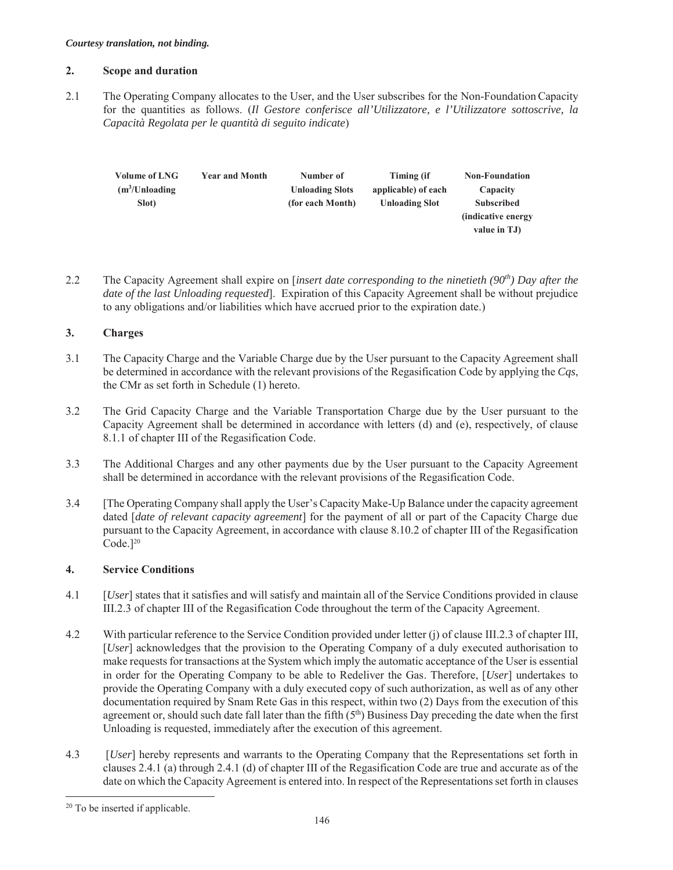### **2. Scope and duration**

2.1 The Operating Company allocates to the User, and the User subscribes for the Non-FoundationCapacity for the quantities as follows. (*Il Gestore conferisce all'Utilizzatore, e l'Utilizzatore sottoscrive, la Capacità Regolata per le quantità di seguito indicate*)

| Volume of LNG               | <b>Year and Month</b> | Number of              | Timing (if            | <b>Non-Foundation</b> |
|-----------------------------|-----------------------|------------------------|-----------------------|-----------------------|
| (m <sup>3</sup> /Unloading) |                       | <b>Unloading Slots</b> | applicable) of each   | Capacity              |
| Slot)                       |                       | (for each Month)       | <b>Unloading Slot</b> | <b>Subscribed</b>     |
|                             |                       |                        |                       | (indicative energy)   |
|                             |                       |                        |                       | value in TJ)          |
|                             |                       |                        |                       |                       |

2.2 The Capacity Agreement shall expire on [*insert date corresponding to the ninetieth (90th) Day after the date of the last Unloading requested*]. Expiration of this Capacity Agreement shall be without prejudice to any obligations and/or liabilities which have accrued prior to the expiration date.)

### **3. Charges**

- 3.1 The Capacity Charge and the Variable Charge due by the User pursuant to the Capacity Agreement shall be determined in accordance with the relevant provisions of the Regasification Code by applying the *Cqs*, the CMr as set forth in Schedule (1) hereto.
- 3.2 The Grid Capacity Charge and the Variable Transportation Charge due by the User pursuant to the Capacity Agreement shall be determined in accordance with letters (d) and (e), respectively, of clause 8.1.1 of chapter III of the Regasification Code.
- 3.3 The Additional Charges and any other payments due by the User pursuant to the Capacity Agreement shall be determined in accordance with the relevant provisions of the Regasification Code.
- 3.4 [The Operating Company shall apply the User's Capacity Make-Up Balance under the capacity agreement dated [*date of relevant capacity agreement*] for the payment of all or part of the Capacity Charge due pursuant to the Capacity Agreement, in accordance with clause 8.10.2 of chapter III of the Regasification  $Code.]<sup>20</sup>$

### **4. Service Conditions**

- 4.1 [*User*] states that it satisfies and will satisfy and maintain all of the Service Conditions provided in clause III.2.3 of chapter III of the Regasification Code throughout the term of the Capacity Agreement.
- 4.2 With particular reference to the Service Condition provided under letter (j) of clause III.2.3 of chapter III, [*User*] acknowledges that the provision to the Operating Company of a duly executed authorisation to make requests for transactions at the System which imply the automatic acceptance of the User is essential in order for the Operating Company to be able to Redeliver the Gas. Therefore, [*User*] undertakes to provide the Operating Company with a duly executed copy of such authorization, as well as of any other documentation required by Snam Rete Gas in this respect, within two (2) Days from the execution of this agreement or, should such date fall later than the fifth  $(5<sup>th</sup>)$  Business Day preceding the date when the first Unloading is requested, immediately after the execution of this agreement.
- 4.3 [*User*] hereby represents and warrants to the Operating Company that the Representations set forth in clauses 2.4.1 (a) through 2.4.1 (d) of chapter III of the Regasification Code are true and accurate as of the date on which the Capacity Agreement is entered into. In respect of the Representations set forth in clauses

<sup>20</sup> To be inserted if applicable.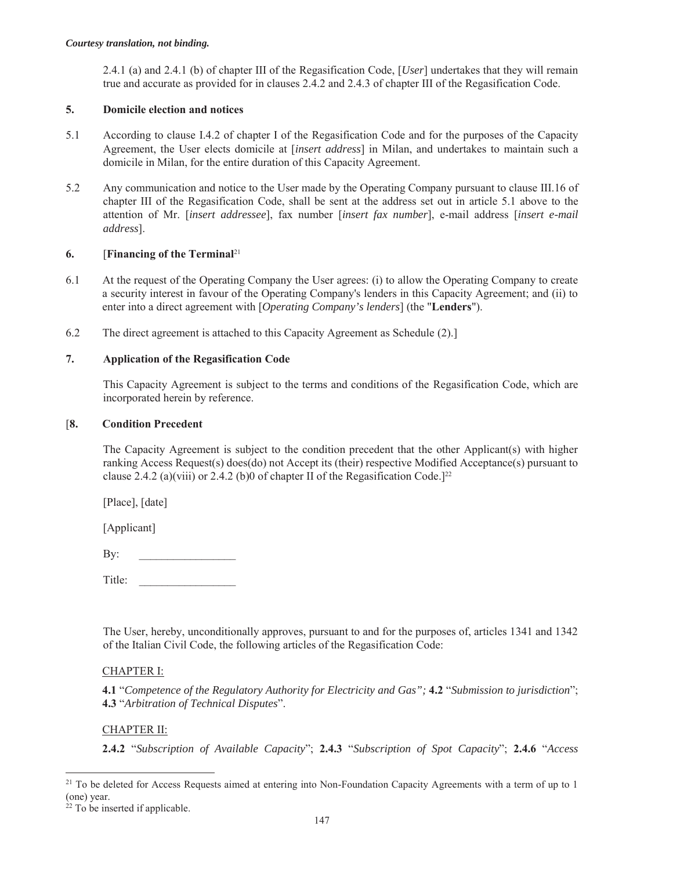2.4.1 (a) and 2.4.1 (b) of chapter III of the Regasification Code, [*User*] undertakes that they will remain true and accurate as provided for in clauses 2.4.2 and 2.4.3 of chapter III of the Regasification Code.

### **5. Domicile election and notices**

- 5.1 According to clause I.4.2 of chapter I of the Regasification Code and for the purposes of the Capacity Agreement, the User elects domicile at [*insert address*] in Milan, and undertakes to maintain such a domicile in Milan, for the entire duration of this Capacity Agreement.
- 5.2 Any communication and notice to the User made by the Operating Company pursuant to clause III.16 of chapter III of the Regasification Code, shall be sent at the address set out in article 5.1 above to the attention of Mr. [*insert addressee*], fax number [*insert fax number*], e-mail address [*insert e-mail address*].

### **6.** [**Financing of the Terminal**<sup>21</sup>

- 6.1 At the request of the Operating Company the User agrees: (i) to allow the Operating Company to create a security interest in favour of the Operating Company's lenders in this Capacity Agreement; and (ii) to enter into a direct agreement with [*Operating Company's lenders*] (the "**Lenders**").
- 6.2 The direct agreement is attached to this Capacity Agreement as Schedule (2).]

### **7. Application of the Regasification Code**

This Capacity Agreement is subject to the terms and conditions of the Regasification Code, which are incorporated herein by reference.

#### [**8. Condition Precedent**

The Capacity Agreement is subject to the condition precedent that the other Applicant(s) with higher ranking Access Request(s) does(do) not Accept its (their) respective Modified Acceptance(s) pursuant to clause 2.4.2 (a)(viii) or 2.4.2 (b)0 of chapter II of the Regasification Code.<sup>[22</sup>]

[Place], [date]

[Applicant]

By: \_\_\_\_\_\_\_\_\_\_\_\_\_\_\_\_\_

Title:

The User, hereby, unconditionally approves, pursuant to and for the purposes of, articles 1341 and 1342 of the Italian Civil Code, the following articles of the Regasification Code:

### CHAPTER I:

**4.1** "*Competence of the Regulatory Authority for Electricity and Gas";* **4.2** "*Submission to jurisdiction*"; **4.3** "*Arbitration of Technical Disputes*".

### CHAPTER II:

**2.4.2** "*Subscription of Available Capacity*"; **2.4.3** "*Subscription of Spot Capacity*"; **2.4.6** "*Access* 

 $21$  To be deleted for Access Requests aimed at entering into Non-Foundation Capacity Agreements with a term of up to 1 (one) year.

 $22$  To be inserted if applicable.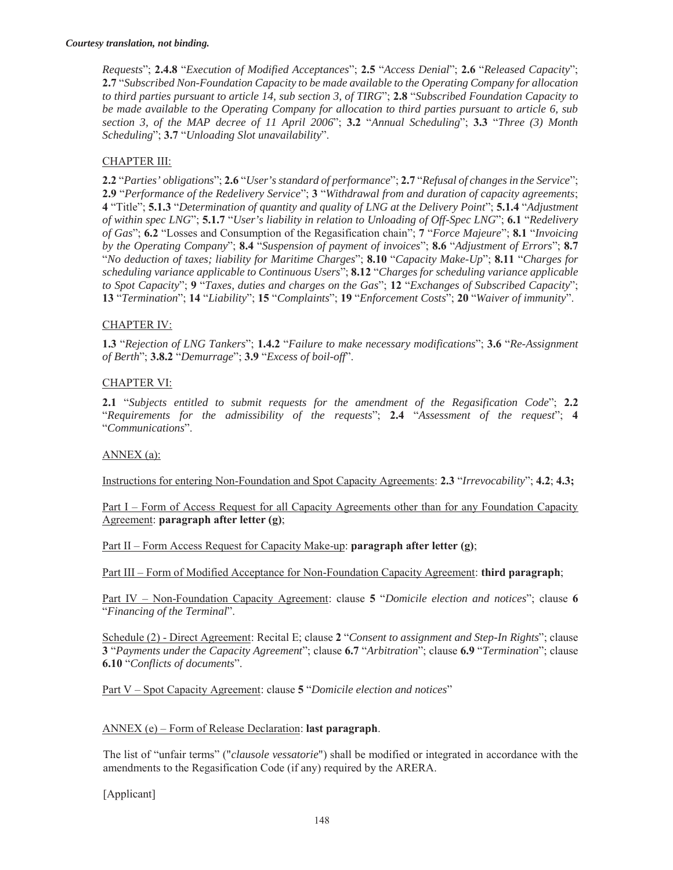*Requests*"; **2.4.8** "*Execution of Modified Acceptances*"; **2.5** "*Access Denial*"; **2.6** "*Released Capacity*"; **2.7** "*Subscribed Non-Foundation Capacity to be made available to the Operating Company for allocation to third parties pursuant to article 14, sub section 3, of TIRG*"; **2.8** "*Subscribed Foundation Capacity to be made available to the Operating Company for allocation to third parties pursuant to article 6, sub section 3, of the MAP decree of 11 April 2006*"; **3.2** "*Annual Scheduling*"; **3.3** "*Three (3) Month Scheduling*"; **3.7** "*Unloading Slot unavailability*".

### CHAPTER III:

**2.2** "*Parties' obligations*"; **2.6** "*User's standard of performance*"; **2.7** "*Refusal of changes in the Service*"; **2.9** "*Performance of the Redelivery Service*"; **3** "*Withdrawal from and duration of capacity agreements*; **4** "Title"; **5.1.3** "*Determination of quantity and quality of LNG at the Delivery Point*"; **5.1.4** "*Adjustment of within spec LNG*"; **5.1.7** "*User's liability in relation to Unloading of Off-Spec LNG*"; **6.1** "*Redelivery of Gas*"; **6.2** "Losses and Consumption of the Regasification chain"; **7** "*Force Majeure*"; **8.1** "*Invoicing by the Operating Company*"; **8.4** "*Suspension of payment of invoices*"; **8.6** "*Adjustment of Errors*"; **8.7** "*No deduction of taxes; liability for Maritime Charges*"; **8.10** "*Capacity Make-Up*"; **8.11** "*Charges for scheduling variance applicable to Continuous Users*"; **8.12** "*Charges for scheduling variance applicable to Spot Capacity*"; **9** "*Taxes, duties and charges on the Gas*"; **12** "*Exchanges of Subscribed Capacity*"; **13** "*Termination*"; **14** "*Liability*"; **15** "*Complaints*"; **19** "*Enforcement Costs*"; **20** "*Waiver of immunity*".

#### CHAPTER IV:

**1.3** "*Rejection of LNG Tankers*"; **1.4.2** "*Failure to make necessary modifications*"; **3.6** "*Re-Assignment of Berth*"; **3.8.2** "*Demurrage*"; **3.9** "*Excess of boil-off*".

#### CHAPTER VI:

**2.1** "*Subjects entitled to submit requests for the amendment of the Regasification Code*"; **2.2** "*Requirements for the admissibility of the requests*"; **2.4** "*Assessment of the request*"; **4** "*Communications*".

#### ANNEX (a):

Instructions for entering Non-Foundation and Spot Capacity Agreements: **2.3** "*Irrevocability*"; **4.2**; **4.3;**

Part I – Form of Access Request for all Capacity Agreements other than for any Foundation Capacity Agreement: **paragraph after letter (g)**;

Part II – Form Access Request for Capacity Make-up: **paragraph after letter (g)**;

Part III – Form of Modified Acceptance for Non-Foundation Capacity Agreement: **third paragraph**;

Part IV – Non-Foundation Capacity Agreement: clause **5** "*Domicile election and notices*"; clause **6** "*Financing of the Terminal*".

Schedule (2) - Direct Agreement: Recital E; clause **2** "*Consent to assignment and Step-In Rights*"; clause **3** "*Payments under the Capacity Agreement*"; clause **6.7** "*Arbitration*"; clause **6.9** "*Termination*"; clause **6.10** "*Conflicts of documents*".

Part V – Spot Capacity Agreement: clause **5** "*Domicile election and notices*"

#### ANNEX (e) – Form of Release Declaration: **last paragraph**.

The list of "unfair terms" ("*clausole vessatorie*") shall be modified or integrated in accordance with the amendments to the Regasification Code (if any) required by the ARERA.

[Applicant]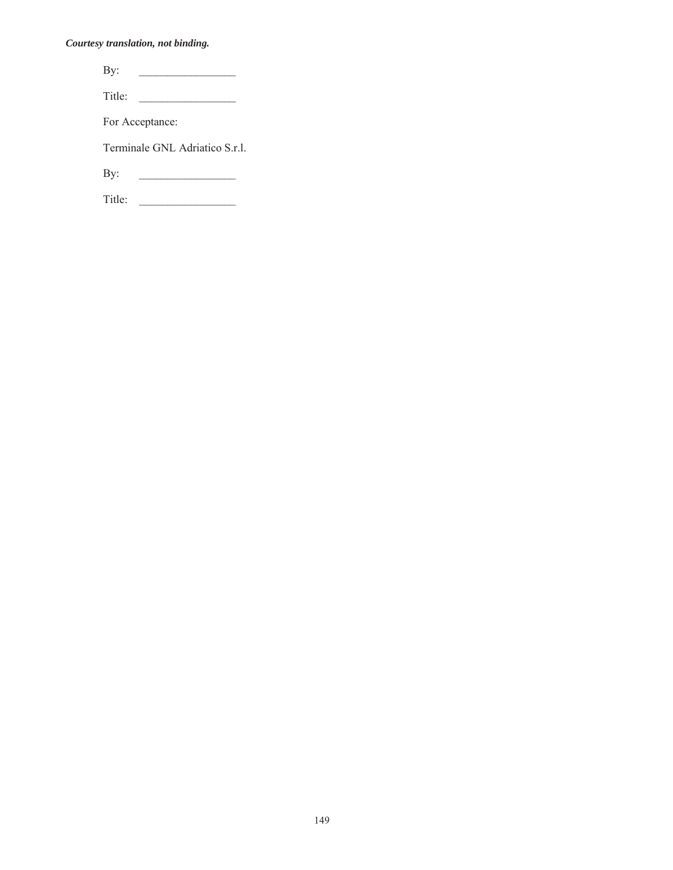| By:    |                                |
|--------|--------------------------------|
| Title: |                                |
|        | For Acceptance:                |
|        | Terminale GNL Adriatico S.r.l. |
| By:    |                                |

Title: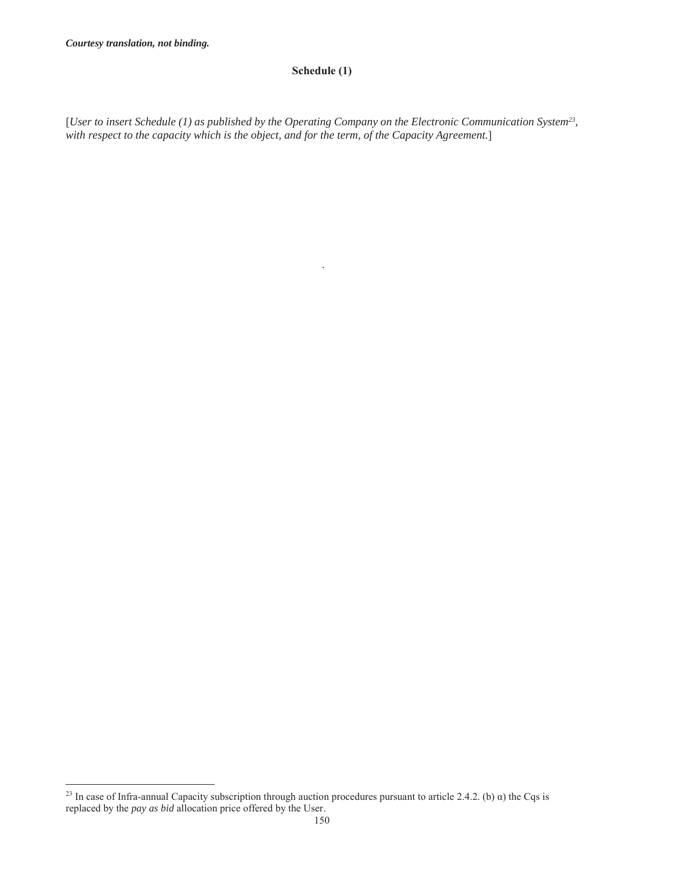$\overline{a}$ 

### **Schedule (1)**

[*User to insert Schedule (1) as published by the Operating Company on the Electronic Communication System23, with respect to the capacity which is the object, and for the term, of the Capacity Agreement.*]

.

<sup>&</sup>lt;sup>23</sup> In case of Infra-annual Capacity subscription through auction procedures pursuant to article 2.4.2. (b)  $\alpha$ ) the Cqs is replaced by the *pay as bid* allocation price offered by the User.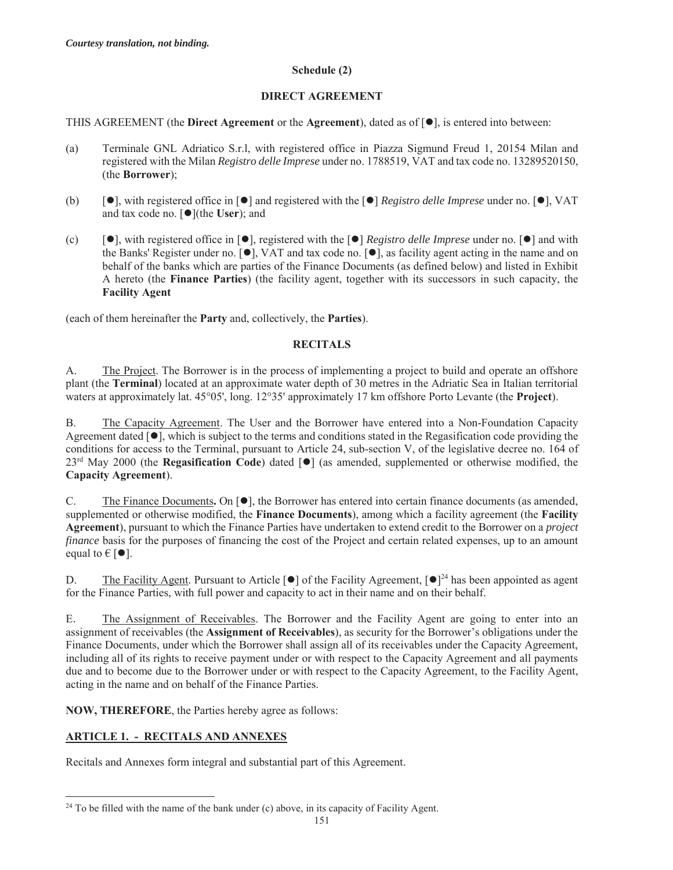#### **Schedule (2)**

#### **DIRECT AGREEMENT**

#### THIS AGREEMENT (the **Direct Agreement** or the **Agreement**), dated as of  $\lceil \bullet \rceil$ , is entered into between:

- (a) Terminale GNL Adriatico S.r.l, with registered office in Piazza Sigmund Freud 1, 20154 Milan and registered with the Milan *Registro delle Imprese* under no. 1788519, VAT and tax code no. 13289520150, (the **Borrower**);
- (b)  $[\bullet]$ , with registered office in  $[\bullet]$  and registered with the  $[\bullet]$  *Registro delle Imprese* under no.  $[\bullet]$ , VAT and tax code no. [ $\bullet$ ](the **User**); and
- (c)  $[\bullet]$ , with registered office in  $[\bullet]$ , registered with the  $[\bullet]$  *Registro delle Imprese* under no.  $[\bullet]$  and with the Banks' Register under no.  $[\bullet]$ , VAT and tax code no.  $[\bullet]$ , as facility agent acting in the name and on behalf of the banks which are parties of the Finance Documents (as defined below) and listed in Exhibit A hereto (the **Finance Parties**) (the facility agent, together with its successors in such capacity, the **Facility Agent**

(each of them hereinafter the **Party** and, collectively, the **Parties**).

### **RECITALS**

A. The Project. The Borrower is in the process of implementing a project to build and operate an offshore plant (the **Terminal**) located at an approximate water depth of 30 metres in the Adriatic Sea in Italian territorial waters at approximately lat. 45°05', long. 12°35' approximately 17 km offshore Porto Levante (the **Project**).

B. The Capacity Agreement. The User and the Borrower have entered into a Non-Foundation Capacity Agreement dated  $[\bullet]$ , which is subject to the terms and conditions stated in the Regasification code providing the conditions for access to the Terminal, pursuant to Article 24, sub-section V, of the legislative decree no. 164 of 23<sup>rd</sup> May 2000 (the **Regasification Code**) dated [ $\bullet$ ] (as amended, supplemented or otherwise modified, the **Capacity Agreement**).

C. The Finance Documents, On  $[\bullet]$ , the Borrower has entered into certain finance documents (as amended, supplemented or otherwise modified, the **Finance Documents**), among which a facility agreement (the **Facility Agreement**), pursuant to which the Finance Parties have undertaken to extend credit to the Borrower on a *project finance* basis for the purposes of financing the cost of the Project and certain related expenses, up to an amount equal to  $\in$  [ $\bullet$ ].

D. The Facility Agent. Pursuant to Article [ $\bullet$ ] of the Facility Agreement,  $\lceil \bullet \rceil^{24}$  has been appointed as agent for the Finance Parties, with full power and capacity to act in their name and on their behalf.

E. The Assignment of Receivables. The Borrower and the Facility Agent are going to enter into an assignment of receivables (the **Assignment of Receivables**), as security for the Borrower's obligations under the Finance Documents, under which the Borrower shall assign all of its receivables under the Capacity Agreement, including all of its rights to receive payment under or with respect to the Capacity Agreement and all payments due and to become due to the Borrower under or with respect to the Capacity Agreement, to the Facility Agent, acting in the name and on behalf of the Finance Parties.

**NOW, THEREFORE**, the Parties hereby agree as follows:

# **ARTICLE 1. - RECITALS AND ANNEXES**

Recitals and Annexes form integral and substantial part of this Agreement.

 $\overline{a}$  $24$  To be filled with the name of the bank under (c) above, in its capacity of Facility Agent.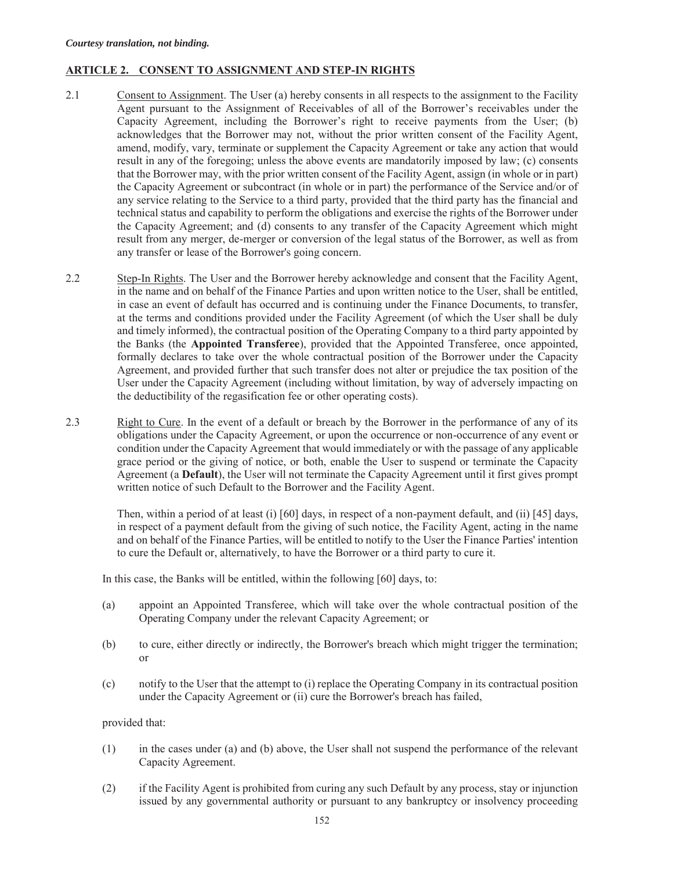#### **ARTICLE 2. CONSENT TO ASSIGNMENT AND STEP-IN RIGHTS**

- 2.1 Consent to Assignment. The User (a) hereby consents in all respects to the assignment to the Facility Agent pursuant to the Assignment of Receivables of all of the Borrower's receivables under the Capacity Agreement, including the Borrower's right to receive payments from the User; (b) acknowledges that the Borrower may not, without the prior written consent of the Facility Agent, amend, modify, vary, terminate or supplement the Capacity Agreement or take any action that would result in any of the foregoing; unless the above events are mandatorily imposed by law; (c) consents that the Borrower may, with the prior written consent of the Facility Agent, assign (in whole or in part) the Capacity Agreement or subcontract (in whole or in part) the performance of the Service and/or of any service relating to the Service to a third party, provided that the third party has the financial and technical status and capability to perform the obligations and exercise the rights of the Borrower under the Capacity Agreement; and (d) consents to any transfer of the Capacity Agreement which might result from any merger, de-merger or conversion of the legal status of the Borrower, as well as from any transfer or lease of the Borrower's going concern.
- 2.2 Step-In Rights. The User and the Borrower hereby acknowledge and consent that the Facility Agent, in the name and on behalf of the Finance Parties and upon written notice to the User, shall be entitled, in case an event of default has occurred and is continuing under the Finance Documents, to transfer, at the terms and conditions provided under the Facility Agreement (of which the User shall be duly and timely informed), the contractual position of the Operating Company to a third party appointed by the Banks (the **Appointed Transferee**), provided that the Appointed Transferee, once appointed, formally declares to take over the whole contractual position of the Borrower under the Capacity Agreement, and provided further that such transfer does not alter or prejudice the tax position of the User under the Capacity Agreement (including without limitation, by way of adversely impacting on the deductibility of the regasification fee or other operating costs).
- 2.3 Right to Cure. In the event of a default or breach by the Borrower in the performance of any of its obligations under the Capacity Agreement, or upon the occurrence or non-occurrence of any event or condition under the Capacity Agreement that would immediately or with the passage of any applicable grace period or the giving of notice, or both, enable the User to suspend or terminate the Capacity Agreement (a **Default**), the User will not terminate the Capacity Agreement until it first gives prompt written notice of such Default to the Borrower and the Facility Agent.

Then, within a period of at least (i) [60] days, in respect of a non-payment default, and (ii) [45] days, in respect of a payment default from the giving of such notice, the Facility Agent, acting in the name and on behalf of the Finance Parties, will be entitled to notify to the User the Finance Parties' intention to cure the Default or, alternatively, to have the Borrower or a third party to cure it.

In this case, the Banks will be entitled, within the following [60] days, to:

- (a) appoint an Appointed Transferee, which will take over the whole contractual position of the Operating Company under the relevant Capacity Agreement; or
- (b) to cure, either directly or indirectly, the Borrower's breach which might trigger the termination; or
- (c) notify to the User that the attempt to (i) replace the Operating Company in its contractual position under the Capacity Agreement or (ii) cure the Borrower's breach has failed,

provided that:

- (1) in the cases under (a) and (b) above, the User shall not suspend the performance of the relevant Capacity Agreement.
- (2) if the Facility Agent is prohibited from curing any such Default by any process, stay or injunction issued by any governmental authority or pursuant to any bankruptcy or insolvency proceeding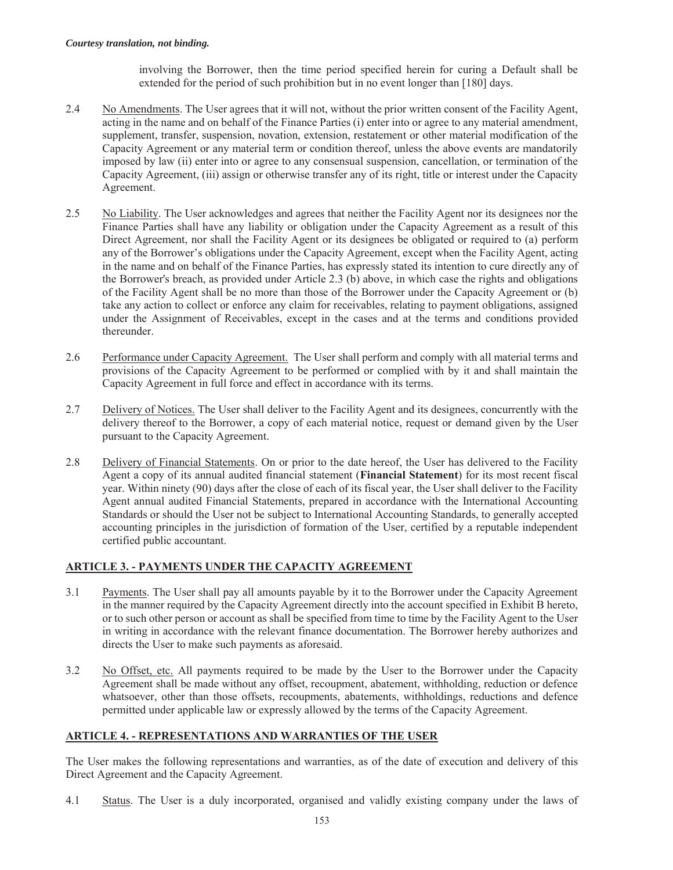involving the Borrower, then the time period specified herein for curing a Default shall be extended for the period of such prohibition but in no event longer than [180] days.

- 2.4 No Amendments. The User agrees that it will not, without the prior written consent of the Facility Agent, acting in the name and on behalf of the Finance Parties (i) enter into or agree to any material amendment, supplement, transfer, suspension, novation, extension, restatement or other material modification of the Capacity Agreement or any material term or condition thereof, unless the above events are mandatorily imposed by law (ii) enter into or agree to any consensual suspension, cancellation, or termination of the Capacity Agreement, (iii) assign or otherwise transfer any of its right, title or interest under the Capacity Agreement.
- 2.5 No Liability. The User acknowledges and agrees that neither the Facility Agent nor its designees nor the Finance Parties shall have any liability or obligation under the Capacity Agreement as a result of this Direct Agreement, nor shall the Facility Agent or its designees be obligated or required to (a) perform any of the Borrower's obligations under the Capacity Agreement, except when the Facility Agent, acting in the name and on behalf of the Finance Parties, has expressly stated its intention to cure directly any of the Borrower's breach, as provided under Article 2.3 (b) above, in which case the rights and obligations of the Facility Agent shall be no more than those of the Borrower under the Capacity Agreement or (b) take any action to collect or enforce any claim for receivables, relating to payment obligations, assigned under the Assignment of Receivables, except in the cases and at the terms and conditions provided thereunder.
- 2.6 Performance under Capacity Agreement. The User shall perform and comply with all material terms and provisions of the Capacity Agreement to be performed or complied with by it and shall maintain the Capacity Agreement in full force and effect in accordance with its terms.
- 2.7 Delivery of Notices. The User shall deliver to the Facility Agent and its designees, concurrently with the delivery thereof to the Borrower, a copy of each material notice, request or demand given by the User pursuant to the Capacity Agreement.
- 2.8 Delivery of Financial Statements. On or prior to the date hereof, the User has delivered to the Facility Agent a copy of its annual audited financial statement (**Financial Statement**) for its most recent fiscal year. Within ninety (90) days after the close of each of its fiscal year, the User shall deliver to the Facility Agent annual audited Financial Statements, prepared in accordance with the International Accounting Standards or should the User not be subject to International Accounting Standards, to generally accepted accounting principles in the jurisdiction of formation of the User, certified by a reputable independent certified public accountant.

# **ARTICLE 3. - PAYMENTS UNDER THE CAPACITY AGREEMENT**

- 3.1 Payments. The User shall pay all amounts payable by it to the Borrower under the Capacity Agreement in the manner required by the Capacity Agreement directly into the account specified in Exhibit B hereto, or to such other person or account as shall be specified from time to time by the Facility Agent to the User in writing in accordance with the relevant finance documentation. The Borrower hereby authorizes and directs the User to make such payments as aforesaid.
- 3.2 No Offset, etc. All payments required to be made by the User to the Borrower under the Capacity Agreement shall be made without any offset, recoupment, abatement, withholding, reduction or defence whatsoever, other than those offsets, recoupments, abatements, withholdings, reductions and defence permitted under applicable law or expressly allowed by the terms of the Capacity Agreement.

### **ARTICLE 4. - REPRESENTATIONS AND WARRANTIES OF THE USER**

The User makes the following representations and warranties, as of the date of execution and delivery of this Direct Agreement and the Capacity Agreement.

4.1 Status. The User is a duly incorporated, organised and validly existing company under the laws of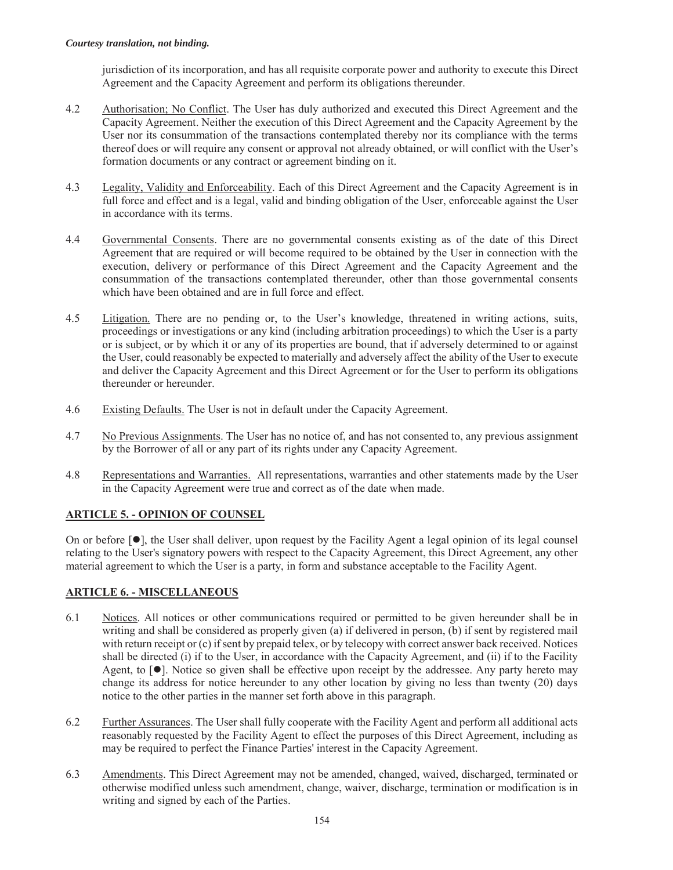jurisdiction of its incorporation, and has all requisite corporate power and authority to execute this Direct Agreement and the Capacity Agreement and perform its obligations thereunder.

- 4.2 Authorisation; No Conflict. The User has duly authorized and executed this Direct Agreement and the Capacity Agreement. Neither the execution of this Direct Agreement and the Capacity Agreement by the User nor its consummation of the transactions contemplated thereby nor its compliance with the terms thereof does or will require any consent or approval not already obtained, or will conflict with the User's formation documents or any contract or agreement binding on it.
- 4.3 Legality, Validity and Enforceability. Each of this Direct Agreement and the Capacity Agreement is in full force and effect and is a legal, valid and binding obligation of the User, enforceable against the User in accordance with its terms.
- 4.4 Governmental Consents. There are no governmental consents existing as of the date of this Direct Agreement that are required or will become required to be obtained by the User in connection with the execution, delivery or performance of this Direct Agreement and the Capacity Agreement and the consummation of the transactions contemplated thereunder, other than those governmental consents which have been obtained and are in full force and effect.
- 4.5 Litigation. There are no pending or, to the User's knowledge, threatened in writing actions, suits, proceedings or investigations or any kind (including arbitration proceedings) to which the User is a party or is subject, or by which it or any of its properties are bound, that if adversely determined to or against the User, could reasonably be expected to materially and adversely affect the ability of the User to execute and deliver the Capacity Agreement and this Direct Agreement or for the User to perform its obligations thereunder or hereunder.
- 4.6 Existing Defaults. The User is not in default under the Capacity Agreement.
- 4.7 No Previous Assignments. The User has no notice of, and has not consented to, any previous assignment by the Borrower of all or any part of its rights under any Capacity Agreement.
- 4.8 Representations and Warranties. All representations, warranties and other statements made by the User in the Capacity Agreement were true and correct as of the date when made.

# **ARTICLE 5. - OPINION OF COUNSEL**

On or before  $\lceil \bullet \rceil$ , the User shall deliver, upon request by the Facility Agent a legal opinion of its legal counsel relating to the User's signatory powers with respect to the Capacity Agreement, this Direct Agreement, any other material agreement to which the User is a party, in form and substance acceptable to the Facility Agent.

# **ARTICLE 6. - MISCELLANEOUS**

- 6.1 Notices. All notices or other communications required or permitted to be given hereunder shall be in writing and shall be considered as properly given (a) if delivered in person, (b) if sent by registered mail with return receipt or (c) if sent by prepaid telex, or by telecopy with correct answer back received. Notices shall be directed (i) if to the User, in accordance with the Capacity Agreement, and (ii) if to the Facility Agent, to  $[\bullet]$ . Notice so given shall be effective upon receipt by the addressee. Any party hereto may change its address for notice hereunder to any other location by giving no less than twenty (20) days notice to the other parties in the manner set forth above in this paragraph.
- 6.2 Further Assurances. The User shall fully cooperate with the Facility Agent and perform all additional acts reasonably requested by the Facility Agent to effect the purposes of this Direct Agreement, including as may be required to perfect the Finance Parties' interest in the Capacity Agreement.
- 6.3 Amendments. This Direct Agreement may not be amended, changed, waived, discharged, terminated or otherwise modified unless such amendment, change, waiver, discharge, termination or modification is in writing and signed by each of the Parties.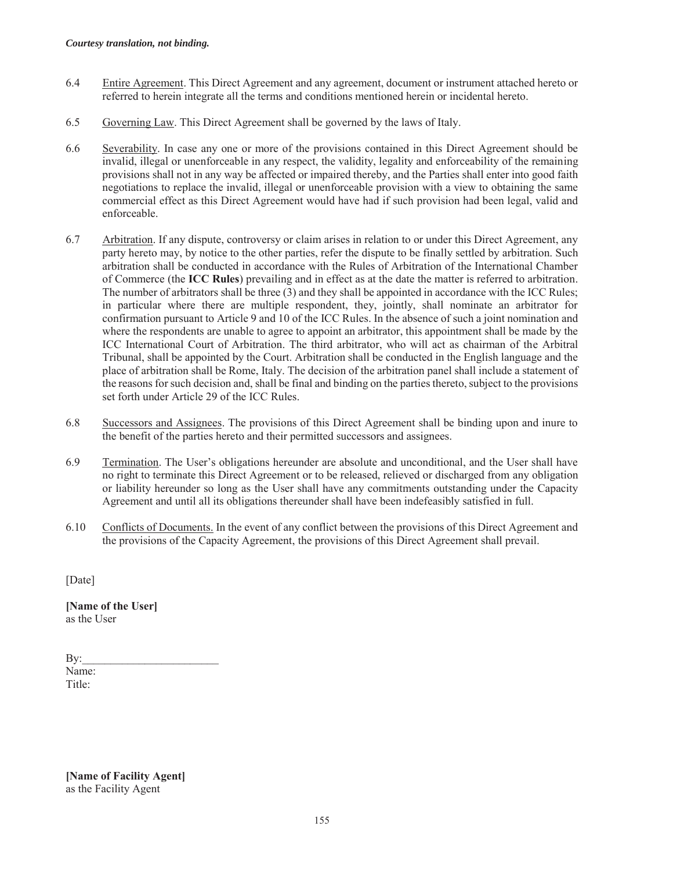- 6.4 Entire Agreement. This Direct Agreement and any agreement, document or instrument attached hereto or referred to herein integrate all the terms and conditions mentioned herein or incidental hereto.
- 6.5 Governing Law. This Direct Agreement shall be governed by the laws of Italy.
- 6.6 Severability. In case any one or more of the provisions contained in this Direct Agreement should be invalid, illegal or unenforceable in any respect, the validity, legality and enforceability of the remaining provisions shall not in any way be affected or impaired thereby, and the Parties shall enter into good faith negotiations to replace the invalid, illegal or unenforceable provision with a view to obtaining the same commercial effect as this Direct Agreement would have had if such provision had been legal, valid and enforceable.
- 6.7 Arbitration. If any dispute, controversy or claim arises in relation to or under this Direct Agreement, any party hereto may, by notice to the other parties, refer the dispute to be finally settled by arbitration. Such arbitration shall be conducted in accordance with the Rules of Arbitration of the International Chamber of Commerce (the **ICC Rules**) prevailing and in effect as at the date the matter is referred to arbitration. The number of arbitrators shall be three (3) and they shall be appointed in accordance with the ICC Rules; in particular where there are multiple respondent, they, jointly, shall nominate an arbitrator for confirmation pursuant to Article 9 and 10 of the ICC Rules. In the absence of such a joint nomination and where the respondents are unable to agree to appoint an arbitrator, this appointment shall be made by the ICC International Court of Arbitration. The third arbitrator, who will act as chairman of the Arbitral Tribunal, shall be appointed by the Court. Arbitration shall be conducted in the English language and the place of arbitration shall be Rome, Italy. The decision of the arbitration panel shall include a statement of the reasons for such decision and, shall be final and binding on the parties thereto, subject to the provisions set forth under Article 29 of the ICC Rules.
- 6.8 Successors and Assignees. The provisions of this Direct Agreement shall be binding upon and inure to the benefit of the parties hereto and their permitted successors and assignees.
- 6.9 Termination. The User's obligations hereunder are absolute and unconditional, and the User shall have no right to terminate this Direct Agreement or to be released, relieved or discharged from any obligation or liability hereunder so long as the User shall have any commitments outstanding under the Capacity Agreement and until all its obligations thereunder shall have been indefeasibly satisfied in full.
- 6.10 Conflicts of Documents. In the event of any conflict between the provisions of this Direct Agreement and the provisions of the Capacity Agreement, the provisions of this Direct Agreement shall prevail.

[Date]

**[Name of the User]**  as the User

| By:    |  |  |
|--------|--|--|
| Name:  |  |  |
| Title: |  |  |

**[Name of Facility Agent]**  as the Facility Agent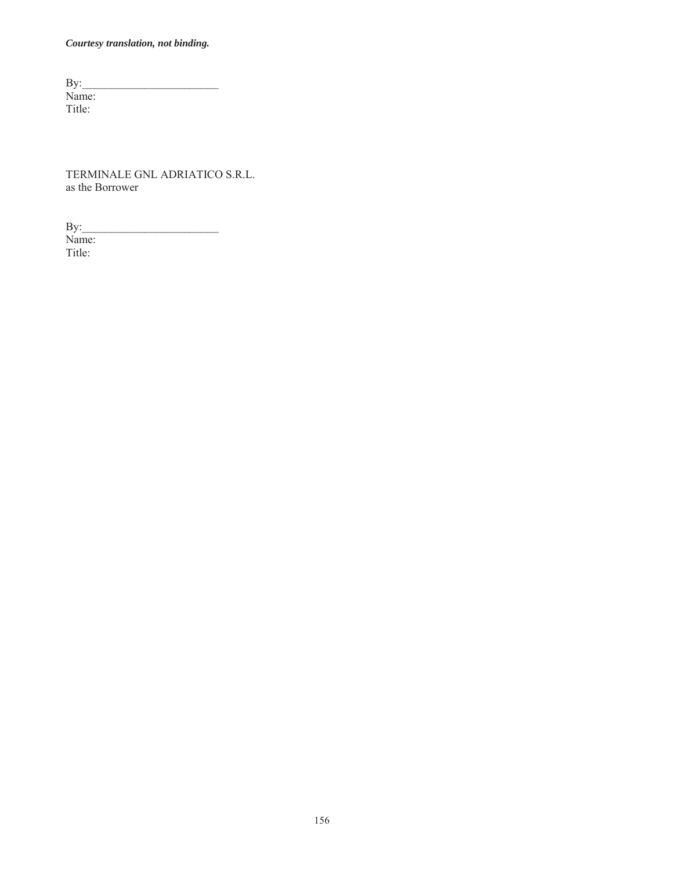$\mathbf{By:}$ Name: Title:

TERMINALE GNL ADRIATICO S.R.L. as the Borrower

 $\mathbf{By:}$ Name: Title: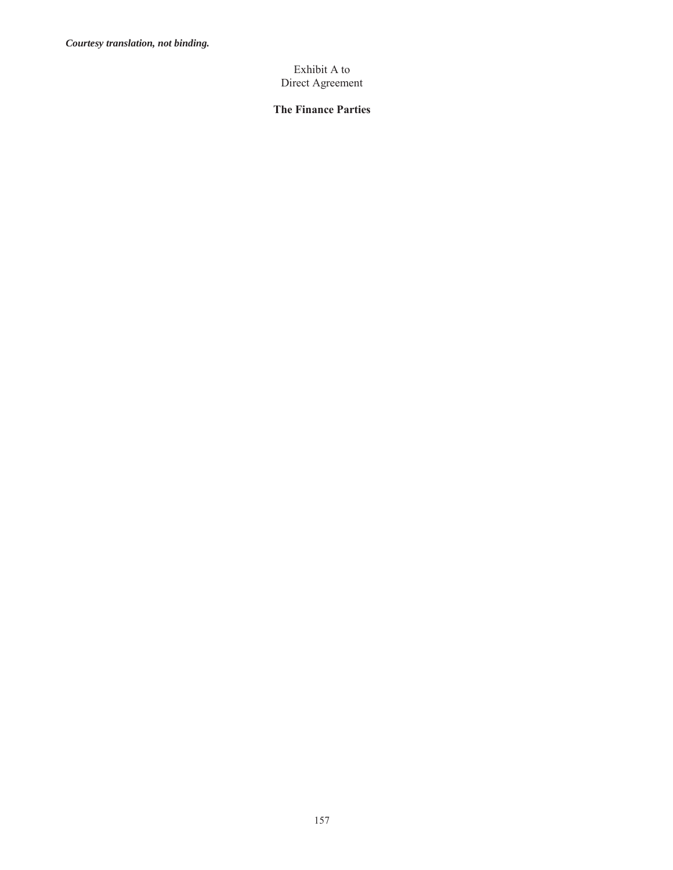### Exhibit A to Direct Agreement

# **The Finance Parties**

157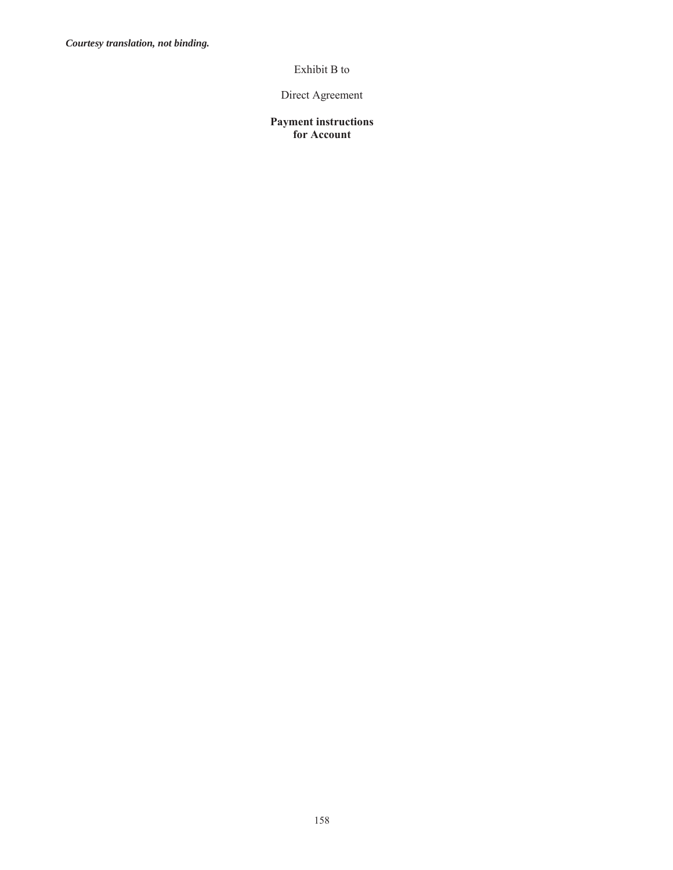# Exhibit B to

# Direct Agreement

### **Payment instructions for Account**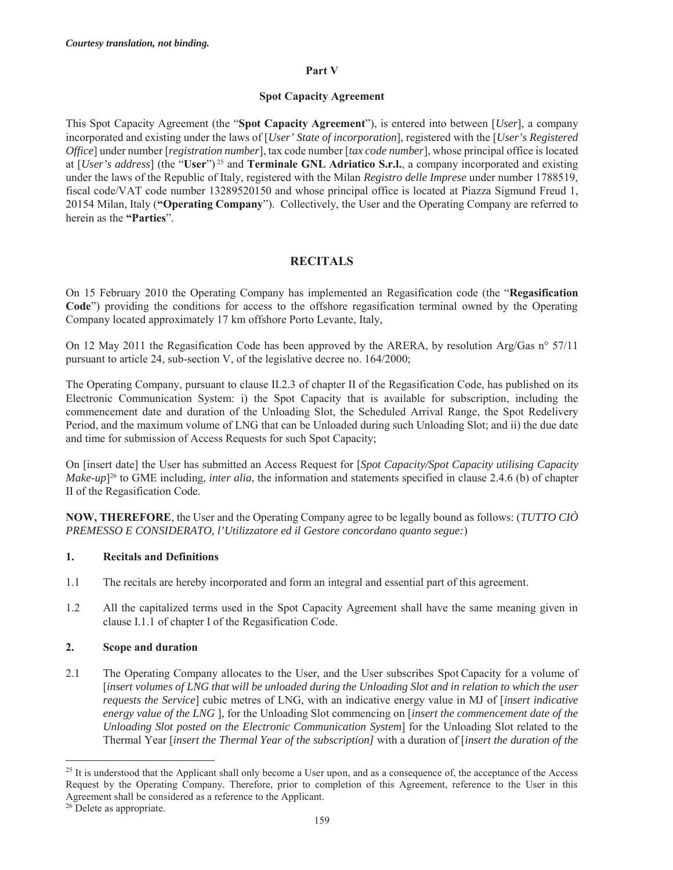#### **Part V**

#### **Spot Capacity Agreement**

This Spot Capacity Agreement (the "**Spot Capacity Agreement**"), is entered into between [*User*], a company incorporated and existing under the laws of [*User' State of incorporation*], registered with the [*User's Registered Office*] under number [*registration number*], tax code number [*tax code number*], whose principal office is located at [*User's address*] (the "**User**") 25 and **Terminale GNL Adriatico S.r.l.**, a company incorporated and existing under the laws of the Republic of Italy, registered with the Milan *Registro delle Imprese* under number 1788519, fiscal code/VAT code number 13289520150 and whose principal office is located at Piazza Sigmund Freud 1, 20154 Milan, Italy (**"Operating Company**"). Collectively, the User and the Operating Company are referred to herein as the **"Parties**".

### **RECITALS**

On 15 February 2010 the Operating Company has implemented an Regasification code (the "**Regasification Code**") providing the conditions for access to the offshore regasification terminal owned by the Operating Company located approximately 17 km offshore Porto Levante, Italy,

On 12 May 2011 the Regasification Code has been approved by the ARERA, by resolution Arg/Gas n° 57/11 pursuant to article 24, sub-section V, of the legislative decree no. 164/2000;

The Operating Company, pursuant to clause II.2.3 of chapter II of the Regasification Code, has published on its Electronic Communication System: i) the Spot Capacity that is available for subscription, including the commencement date and duration of the Unloading Slot, the Scheduled Arrival Range, the Spot Redelivery Period, and the maximum volume of LNG that can be Unloaded during such Unloading Slot; and ii) the due date and time for submission of Access Requests for such Spot Capacity;

On [insert date] the User has submitted an Access Request for [*Spot Capacity/Spot Capacity utilising Capacity Make-up*<sup> $26$ </sup> to GME including, *inter alia*, the information and statements specified in clause 2.4.6 (b) of chapter II of the Regasification Code.

**NOW, THEREFORE**, the User and the Operating Company agree to be legally bound as follows: (*TUTTO CIÒ PREMESSO E CONSIDERATO, l'Utilizzatore ed il Gestore concordano quanto segue:*)

#### **1. Recitals and Definitions**

- 1.1 The recitals are hereby incorporated and form an integral and essential part of this agreement.
- 1.2 All the capitalized terms used in the Spot Capacity Agreement shall have the same meaning given in clause I.1.1 of chapter I of the Regasification Code.

### **2. Scope and duration**

2.1 The Operating Company allocates to the User, and the User subscribes Spot Capacity for a volume of [*insert volumes of LNG that will be unloaded during the Unloading Slot and in relation to which the user requests the Service*] cubic metres of LNG, with an indicative energy value in MJ of [*insert indicative energy value of the LNG* ], for the Unloading Slot commencing on [*insert the commencement date of the Unloading Slot posted on the Electronic Communication System*] for the Unloading Slot related to the Thermal Year [*insert the Thermal Year of the subscription]* with a duration of [*insert the duration of the* 

 $25$  It is understood that the Applicant shall only become a User upon, and as a consequence of, the acceptance of the Access Request by the Operating Company. Therefore, prior to completion of this Agreement, reference to the User in this Agreement shall be considered as a reference to the Applicant.

<sup>&</sup>lt;sup>26</sup> Delete as appropriate.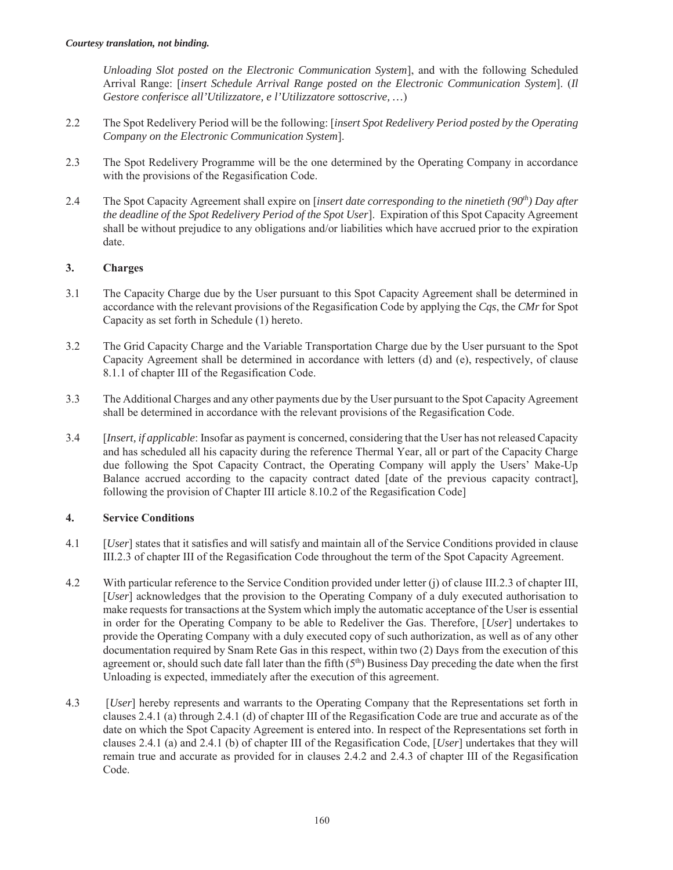*Unloading Slot posted on the Electronic Communication System*], and with the following Scheduled Arrival Range: [*insert Schedule Arrival Range posted on the Electronic Communication System*]. (*Il Gestore conferisce all'Utilizzatore, e l'Utilizzatore sottoscrive, …*)

- 2.2 The Spot Redelivery Period will be the following: [*insert Spot Redelivery Period posted by the Operating Company on the Electronic Communication System*].
- 2.3 The Spot Redelivery Programme will be the one determined by the Operating Company in accordance with the provisions of the Regasification Code.
- 2.4 The Spot Capacity Agreement shall expire on *[insert date corresponding to the ninetieth (90<sup>th</sup>) Day after the deadline of the Spot Redelivery Period of the Spot User*]. Expiration of this Spot Capacity Agreement shall be without prejudice to any obligations and/or liabilities which have accrued prior to the expiration date.

### **3. Charges**

- 3.1 The Capacity Charge due by the User pursuant to this Spot Capacity Agreement shall be determined in accordance with the relevant provisions of the Regasification Code by applying the *Cqs*, the *CMr* for Spot Capacity as set forth in Schedule (1) hereto.
- 3.2 The Grid Capacity Charge and the Variable Transportation Charge due by the User pursuant to the Spot Capacity Agreement shall be determined in accordance with letters (d) and (e), respectively, of clause 8.1.1 of chapter III of the Regasification Code.
- 3.3 The Additional Charges and any other payments due by the User pursuant to the Spot Capacity Agreement shall be determined in accordance with the relevant provisions of the Regasification Code.
- 3.4 [*Insert, if applicable*: Insofar as payment is concerned, considering that the User has not released Capacity and has scheduled all his capacity during the reference Thermal Year, all or part of the Capacity Charge due following the Spot Capacity Contract, the Operating Company will apply the Users' Make-Up Balance accrued according to the capacity contract dated [date of the previous capacity contract], following the provision of Chapter III article 8.10.2 of the Regasification Code]

#### **4. Service Conditions**

- 4.1 [*User*] states that it satisfies and will satisfy and maintain all of the Service Conditions provided in clause III.2.3 of chapter III of the Regasification Code throughout the term of the Spot Capacity Agreement.
- 4.2 With particular reference to the Service Condition provided under letter (j) of clause III.2.3 of chapter III, [*User*] acknowledges that the provision to the Operating Company of a duly executed authorisation to make requests for transactions at the System which imply the automatic acceptance of the User is essential in order for the Operating Company to be able to Redeliver the Gas. Therefore, [*User*] undertakes to provide the Operating Company with a duly executed copy of such authorization, as well as of any other documentation required by Snam Rete Gas in this respect, within two (2) Days from the execution of this agreement or, should such date fall later than the fifth  $(5<sup>th</sup>)$  Business Day preceding the date when the first Unloading is expected, immediately after the execution of this agreement.
- 4.3 [*User*] hereby represents and warrants to the Operating Company that the Representations set forth in clauses 2.4.1 (a) through 2.4.1 (d) of chapter III of the Regasification Code are true and accurate as of the date on which the Spot Capacity Agreement is entered into. In respect of the Representations set forth in clauses 2.4.1 (a) and 2.4.1 (b) of chapter III of the Regasification Code, [*User*] undertakes that they will remain true and accurate as provided for in clauses 2.4.2 and 2.4.3 of chapter III of the Regasification Code.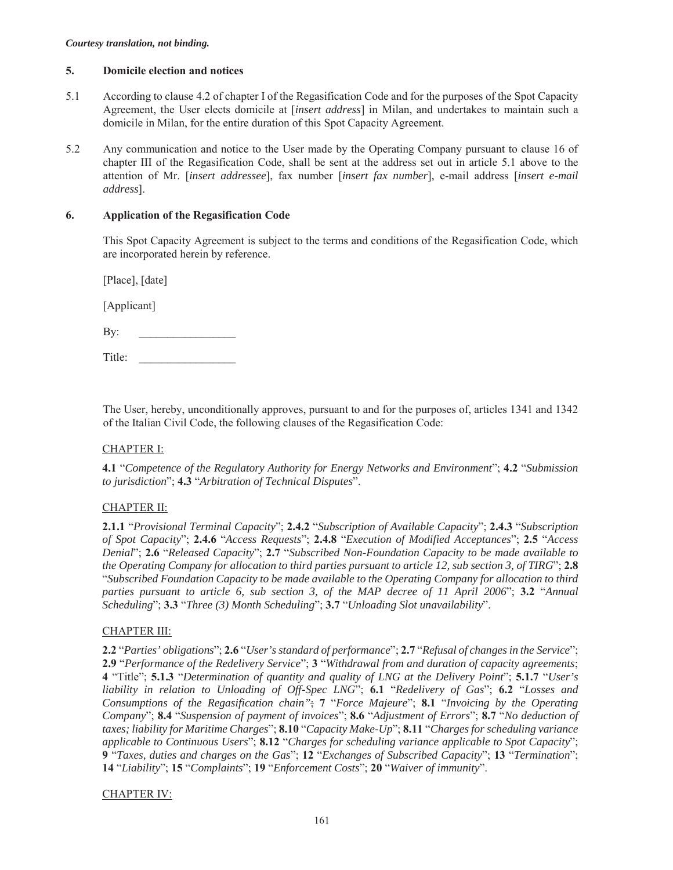#### **5. Domicile election and notices**

- 5.1 According to clause 4.2 of chapter I of the Regasification Code and for the purposes of the Spot Capacity Agreement, the User elects domicile at [*insert address*] in Milan, and undertakes to maintain such a domicile in Milan, for the entire duration of this Spot Capacity Agreement.
- 5.2 Any communication and notice to the User made by the Operating Company pursuant to clause 16 of chapter III of the Regasification Code, shall be sent at the address set out in article 5.1 above to the attention of Mr. [*insert addressee*], fax number [*insert fax number*], e-mail address [*insert e-mail address*].

#### **6. Application of the Regasification Code**

This Spot Capacity Agreement is subject to the terms and conditions of the Regasification Code, which are incorporated herein by reference.

[Place], [date]

[Applicant]

Title:

The User, hereby, unconditionally approves, pursuant to and for the purposes of, articles 1341 and 1342 of the Italian Civil Code, the following clauses of the Regasification Code:

### CHAPTER I:

**4.1** "*Competence of the Regulatory Authority for Energy Networks and Environment*"; **4.2** "*Submission to jurisdiction*"; **4.3** "*Arbitration of Technical Disputes*".

### CHAPTER II:

**2.1.1** "*Provisional Terminal Capacity*"; **2.4.2** "*Subscription of Available Capacity*"; **2.4.3** "*Subscription of Spot Capacity*"; **2.4.6** "*Access Requests*"; **2.4.8** "*Execution of Modified Acceptances*"; **2.5** "*Access Denial*"; **2.6** "*Released Capacity*"; **2.7** "*Subscribed Non-Foundation Capacity to be made available to the Operating Company for allocation to third parties pursuant to article 12, sub section 3, of TIRG*"; **2.8** "*Subscribed Foundation Capacity to be made available to the Operating Company for allocation to third parties pursuant to article 6, sub section 3, of the MAP decree of 11 April 2006*"; **3.2** "*Annual Scheduling*"; **3.3** "*Three (3) Month Scheduling*"; **3.7** "*Unloading Slot unavailability*".

#### CHAPTER III:

**2.2** "*Parties' obligations*"; **2.6** "*User's standard of performance*"; **2.7** "*Refusal of changes in the Service*"; **2.9** "*Performance of the Redelivery Service*"; **3** "*Withdrawal from and duration of capacity agreements*; **4** "Title"; **5.1.3** "*Determination of quantity and quality of LNG at the Delivery Point*"; **5.1.7** "*User's liability in relation to Unloading of Off-Spec LNG*"; **6.1** "*Redelivery of Gas*"; **6.2** "*Losses and Consumptions of the Regasification chain"*; **7** "*Force Majeure*"; **8.1** "*Invoicing by the Operating Company*"; **8.4** "*Suspension of payment of invoices*"; **8.6** "*Adjustment of Errors*"; **8.7** "*No deduction of taxes; liability for Maritime Charges*"; **8.10** "*Capacity Make-Up*"; **8.11** "*Charges for scheduling variance applicable to Continuous Users*"; **8.12** "*Charges for scheduling variance applicable to Spot Capacity*"; **9** "*Taxes, duties and charges on the Gas*"; **12** "*Exchanges of Subscribed Capacity*"; **13** "*Termination*"; **14** "*Liability*"; **15** "*Complaints*"; **19** "*Enforcement Costs*"; **20** "*Waiver of immunity*".

#### CHAPTER IV: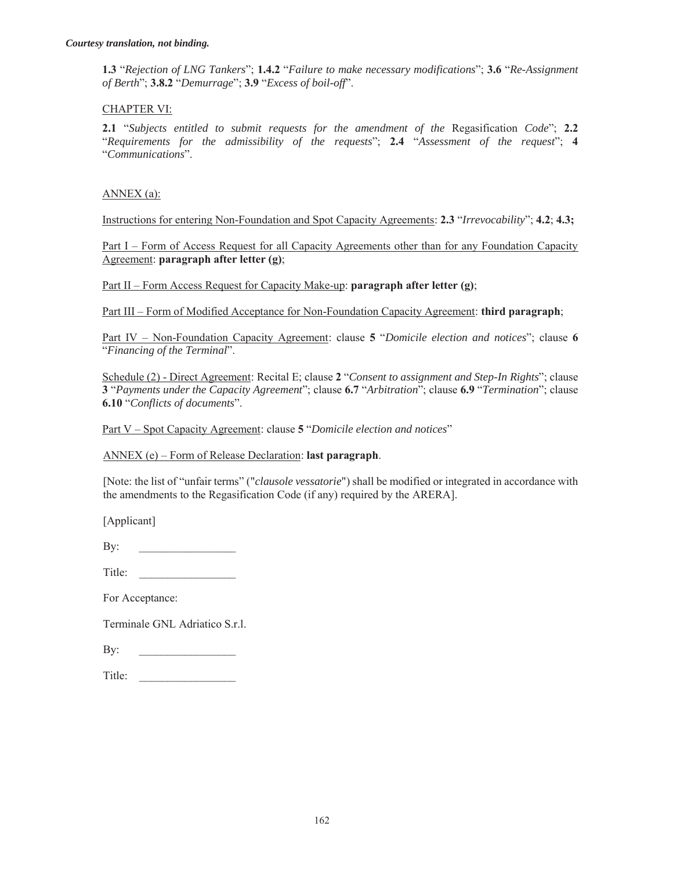**1.3** "*Rejection of LNG Tankers*"; **1.4.2** "*Failure to make necessary modifications*"; **3.6** "*Re-Assignment of Berth*"; **3.8.2** "*Demurrage*"; **3.9** "*Excess of boil-off*".

#### CHAPTER VI:

**2.1** "*Subjects entitled to submit requests for the amendment of the* Regasification *Code*"; **2.2** "*Requirements for the admissibility of the requests*"; **2.4** "*Assessment of the request*"; **4** "*Communications*".

#### ANNEX (a):

Instructions for entering Non-Foundation and Spot Capacity Agreements: **2.3** "*Irrevocability*"; **4.2**; **4.3;**

Part I – Form of Access Request for all Capacity Agreements other than for any Foundation Capacity Agreement: **paragraph after letter (g)**;

Part II – Form Access Request for Capacity Make-up: **paragraph after letter (g)**;

Part III – Form of Modified Acceptance for Non-Foundation Capacity Agreement: **third paragraph**;

Part IV – Non-Foundation Capacity Agreement: clause **5** "*Domicile election and notices*"; clause **6** "*Financing of the Terminal*".

Schedule (2) - Direct Agreement: Recital E; clause **2** "*Consent to assignment and Step-In Rights*"; clause **3** "*Payments under the Capacity Agreement*"; clause **6.7** "*Arbitration*"; clause **6.9** "*Termination*"; clause **6.10** "*Conflicts of documents*".

Part V – Spot Capacity Agreement: clause **5** "*Domicile election and notices*"

ANNEX (e) – Form of Release Declaration: **last paragraph**.

[Note: the list of "unfair terms" ("*clausole vessatorie*") shall be modified or integrated in accordance with the amendments to the Regasification Code (if any) required by the ARERA].

[Applicant]

| T:41<br>$\mathbf{u}$ |  |
|----------------------|--|
|                      |  |

For Acceptance:

Terminale GNL Adriatico S.r.l.

| п<br>∼. |  |
|---------|--|
|         |  |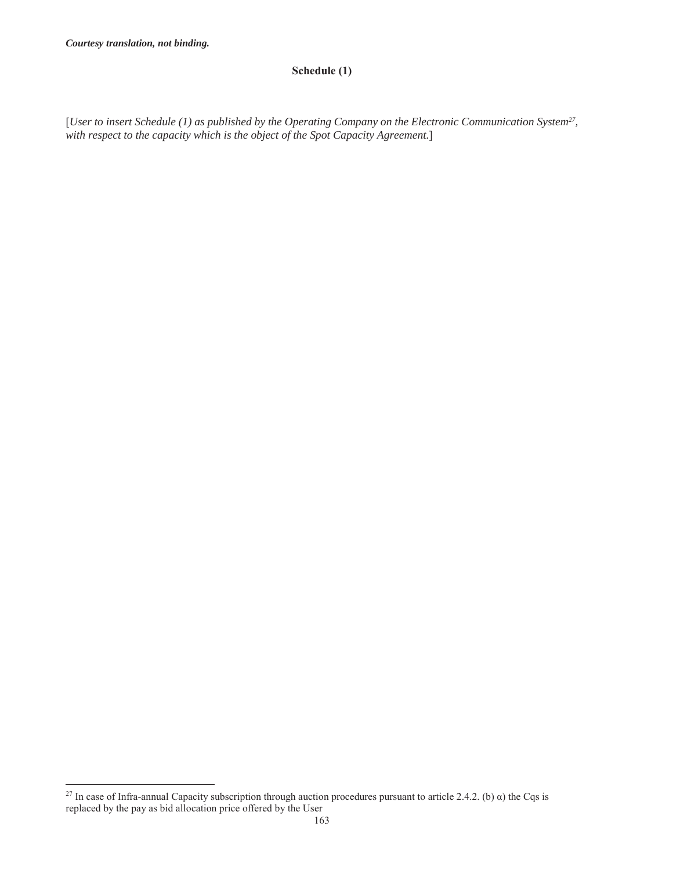$\overline{a}$ 

### **Schedule (1)**

[*User to insert Schedule (1) as published by the Operating Company on the Electronic Communication System27, with respect to the capacity which is the object of the Spot Capacity Agreement.*]

<sup>&</sup>lt;sup>27</sup> In case of Infra-annual Capacity subscription through auction procedures pursuant to article 2.4.2. (b) α) the Cqs is replaced by the pay as bid allocation price offered by the User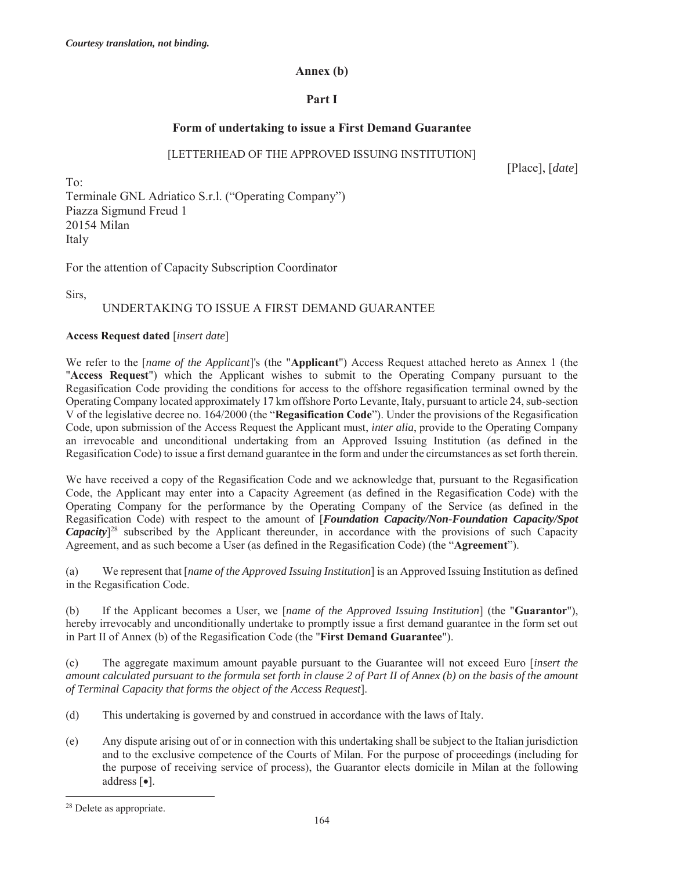#### **Annex (b)**

### **Part I**

### **Form of undertaking to issue a First Demand Guarantee**

#### [LETTERHEAD OF THE APPROVED ISSUING INSTITUTION]

[Place], [*date*]

To: Terminale GNL Adriatico S.r.l. ("Operating Company") Piazza Sigmund Freud 1 20154 Milan Italy

For the attention of Capacity Subscription Coordinator

Sirs,

# UNDERTAKING TO ISSUE A FIRST DEMAND GUARANTEE

#### **Access Request dated** [*insert date*]

We refer to the [*name of the Applicant*]'s (the "**Applicant**") Access Request attached hereto as Annex 1 (the "**Access Request**") which the Applicant wishes to submit to the Operating Company pursuant to the Regasification Code providing the conditions for access to the offshore regasification terminal owned by the Operating Company located approximately 17 km offshore Porto Levante, Italy, pursuant to article 24, sub-section V of the legislative decree no. 164/2000 (the "**Regasification Code**"). Under the provisions of the Regasification Code, upon submission of the Access Request the Applicant must, *inter alia*, provide to the Operating Company an irrevocable and unconditional undertaking from an Approved Issuing Institution (as defined in the Regasification Code) to issue a first demand guarantee in the form and under the circumstances as set forth therein.

We have received a copy of the Regasification Code and we acknowledge that, pursuant to the Regasification Code, the Applicant may enter into a Capacity Agreement (as defined in the Regasification Code) with the Operating Company for the performance by the Operating Company of the Service (as defined in the Regasification Code) with respect to the amount of [*Foundation Capacity/Non-Foundation Capacity/Spot*  Capacity<sup>[28</sup> subscribed by the Applicant thereunder, in accordance with the provisions of such Capacity Agreement, and as such become a User (as defined in the Regasification Code) (the "**Agreement**").

(a) We represent that [*name of the Approved Issuing Institution*] is an Approved Issuing Institution as defined in the Regasification Code.

(b) If the Applicant becomes a User, we [*name of the Approved Issuing Institution*] (the "**Guarantor**"), hereby irrevocably and unconditionally undertake to promptly issue a first demand guarantee in the form set out in Part II of Annex (b) of the Regasification Code (the "**First Demand Guarantee**").

(c) The aggregate maximum amount payable pursuant to the Guarantee will not exceed Euro [*insert the amount calculated pursuant to the formula set forth in clause 2 of Part II of Annex (b) on the basis of the amount of Terminal Capacity that forms the object of the Access Request*].

- (d) This undertaking is governed by and construed in accordance with the laws of Italy.
- (e) Any dispute arising out of or in connection with this undertaking shall be subject to the Italian jurisdiction and to the exclusive competence of the Courts of Milan. For the purpose of proceedings (including for the purpose of receiving service of process), the Guarantor elects domicile in Milan at the following address  $\lceil \bullet \rceil$ .

<sup>28</sup> Delete as appropriate.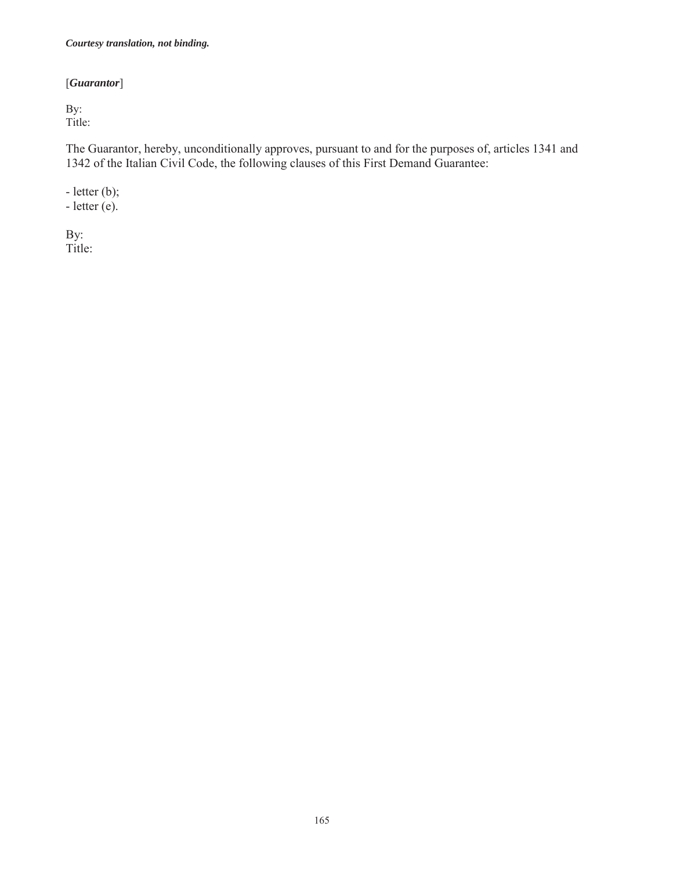# [*Guarantor*]

By: Title:

The Guarantor, hereby, unconditionally approves, pursuant to and for the purposes of, articles 1341 and 1342 of the Italian Civil Code, the following clauses of this First Demand Guarantee:

- letter (b);  $-$  letter  $(e)$ .

By: Title: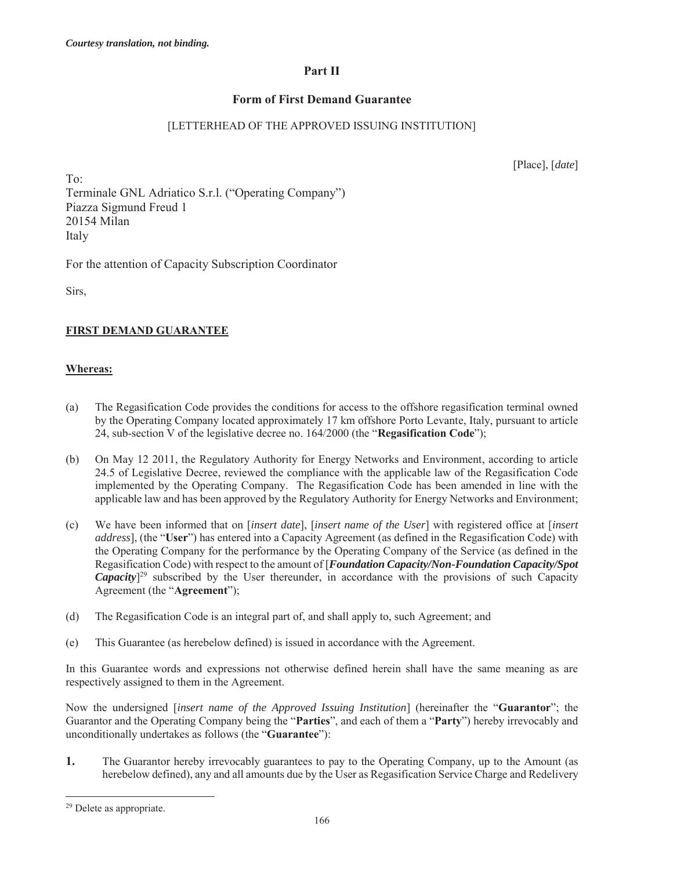# **Part II**

# **Form of First Demand Guarantee**

# [LETTERHEAD OF THE APPROVED ISSUING INSTITUTION]

[Place], [*date*]

To: Terminale GNL Adriatico S.r.l. ("Operating Company") Piazza Sigmund Freud 1 20154 Milan Italy

For the attention of Capacity Subscription Coordinator

Sirs,

# **FIRST DEMAND GUARANTEE**

## **Whereas:**

- (a) The Regasification Code provides the conditions for access to the offshore regasification terminal owned by the Operating Company located approximately 17 km offshore Porto Levante, Italy, pursuant to article 24, sub-section V of the legislative decree no. 164/2000 (the "**Regasification Code**");
- (b) On May 12 2011, the Regulatory Authority for Energy Networks and Environment, according to article 24.5 of Legislative Decree, reviewed the compliance with the applicable law of the Regasification Code implemented by the Operating Company. The Regasification Code has been amended in line with the applicable law and has been approved by the Regulatory Authority for Energy Networks and Environment;
- (c) We have been informed that on [*insert date*], [*insert name of the User*] with registered office at [*insert address*], (the "**User**") has entered into a Capacity Agreement (as defined in the Regasification Code) with the Operating Company for the performance by the Operating Company of the Service (as defined in the Regasification Code) with respect to the amount of [*Foundation Capacity/Non-Foundation Capacity/Spot*  Capacity<sup>[29</sup> subscribed by the User thereunder, in accordance with the provisions of such Capacity Agreement (the "**Agreement**");
- (d) The Regasification Code is an integral part of, and shall apply to, such Agreement; and
- (e) This Guarantee (as herebelow defined) is issued in accordance with the Agreement.

In this Guarantee words and expressions not otherwise defined herein shall have the same meaning as are respectively assigned to them in the Agreement.

Now the undersigned [*insert name of the Approved Issuing Institution*] (hereinafter the "**Guarantor**"; the Guarantor and the Operating Company being the "**Parties**", and each of them a "**Party**") hereby irrevocably and unconditionally undertakes as follows (the "**Guarantee**"):

**1.** The Guarantor hereby irrevocably guarantees to pay to the Operating Company, up to the Amount (as herebelow defined), any and all amounts due by the User as Regasification Service Charge and Redelivery

 $\overline{a}$ 

<sup>29</sup> Delete as appropriate.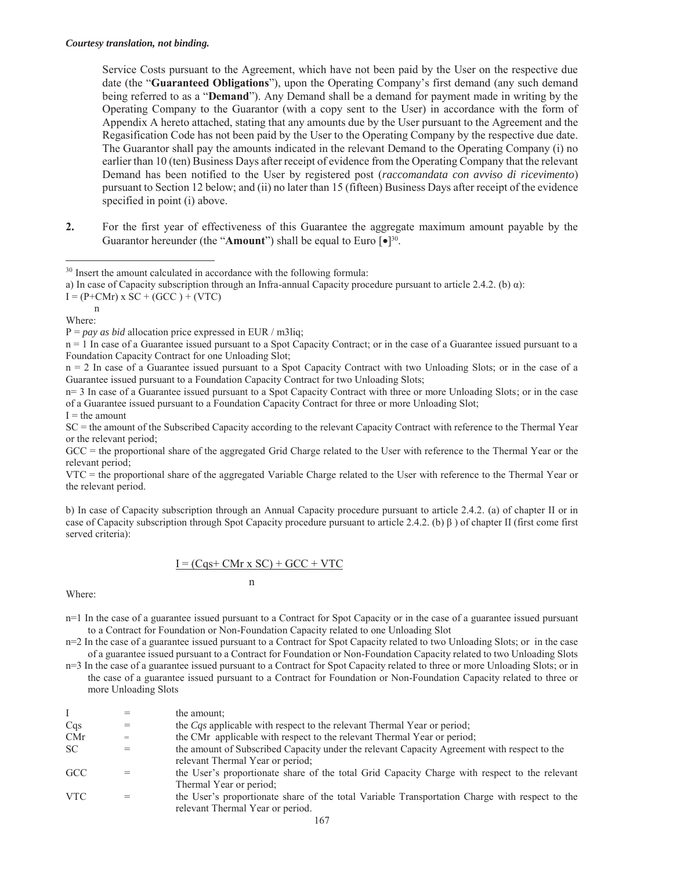Service Costs pursuant to the Agreement, which have not been paid by the User on the respective due date (the "**Guaranteed Obligations**"), upon the Operating Company's first demand (any such demand being referred to as a "**Demand**"). Any Demand shall be a demand for payment made in writing by the Operating Company to the Guarantor (with a copy sent to the User) in accordance with the form of Appendix A hereto attached, stating that any amounts due by the User pursuant to the Agreement and the Regasification Code has not been paid by the User to the Operating Company by the respective due date. The Guarantor shall pay the amounts indicated in the relevant Demand to the Operating Company (i) no earlier than 10 (ten) Business Days after receipt of evidence from the Operating Company that the relevant Demand has been notified to the User by registered post (*raccomandata con avviso di ricevimento*) pursuant to Section 12 below; and (ii) no later than 15 (fifteen) Business Days after receipt of the evidence specified in point (i) above.

**2.** For the first year of effectiveness of this Guarantee the aggregate maximum amount payable by the Guarantor hereunder (the "**Amount**") shall be equal to Euro [ $\bullet$ ]<sup>30</sup>.

 $I = (P + CMr) \times SC + (GCC) + (VTC)$ n

Where:

 $\overline{a}$ 

n = 1 In case of a Guarantee issued pursuant to a Spot Capacity Contract; or in the case of a Guarantee issued pursuant to a Foundation Capacity Contract for one Unloading Slot;

n = 2 In case of a Guarantee issued pursuant to a Spot Capacity Contract with two Unloading Slots; or in the case of a Guarantee issued pursuant to a Foundation Capacity Contract for two Unloading Slots;

n= 3 In case of a Guarantee issued pursuant to a Spot Capacity Contract with three or more Unloading Slots; or in the case of a Guarantee issued pursuant to a Foundation Capacity Contract for three or more Unloading Slot;

 $I =$  the amount

SC = the amount of the Subscribed Capacity according to the relevant Capacity Contract with reference to the Thermal Year or the relevant period;

GCC = the proportional share of the aggregated Grid Charge related to the User with reference to the Thermal Year or the relevant period;

VTC = the proportional share of the aggregated Variable Charge related to the User with reference to the Thermal Year or the relevant period.

b) In case of Capacity subscription through an Annual Capacity procedure pursuant to article 2.4.2. (a) of chapter II or in case of Capacity subscription through Spot Capacity procedure pursuant to article 2.4.2. (b) β ) of chapter II (first come first served criteria):

#### $I = (Cqs + CMr \times SC) + GCC + VTC$

n

Where:

n=1 In the case of a guarantee issued pursuant to a Contract for Spot Capacity or in the case of a guarantee issued pursuant to a Contract for Foundation or Non-Foundation Capacity related to one Unloading Slot

n=2 In the case of a guarantee issued pursuant to a Contract for Spot Capacity related to two Unloading Slots; or in the case of a guarantee issued pursuant to a Contract for Foundation or Non-Foundation Capacity related to two Unloading Slots

n=3 In the case of a guarantee issued pursuant to a Contract for Spot Capacity related to three or more Unloading Slots; or in the case of a guarantee issued pursuant to a Contract for Foundation or Non-Foundation Capacity related to three or more Unloading Slots

|            |     | the amount;                                                                                                                        |
|------------|-----|------------------------------------------------------------------------------------------------------------------------------------|
| Cqs        |     | the Cqs applicable with respect to the relevant Thermal Year or period;                                                            |
| <b>CMr</b> | $=$ | the CMr applicable with respect to the relevant Thermal Year or period;                                                            |
| SC.        |     | the amount of Subscribed Capacity under the relevant Capacity Agreement with respect to the<br>relevant Thermal Year or period;    |
| <b>GCC</b> |     | the User's proportionate share of the total Grid Capacity Charge with respect to the relevant<br>Thermal Year or period;           |
| <b>VTC</b> |     | the User's proportionate share of the total Variable Transportation Charge with respect to the<br>relevant Thermal Year or period. |

<sup>&</sup>lt;sup>30</sup> Insert the amount calculated in accordance with the following formula:

a) In case of Capacity subscription through an Infra-annual Capacity procedure pursuant to article 2.4.2. (b) α):

P = *pay as bid* allocation price expressed in EUR / m3liq;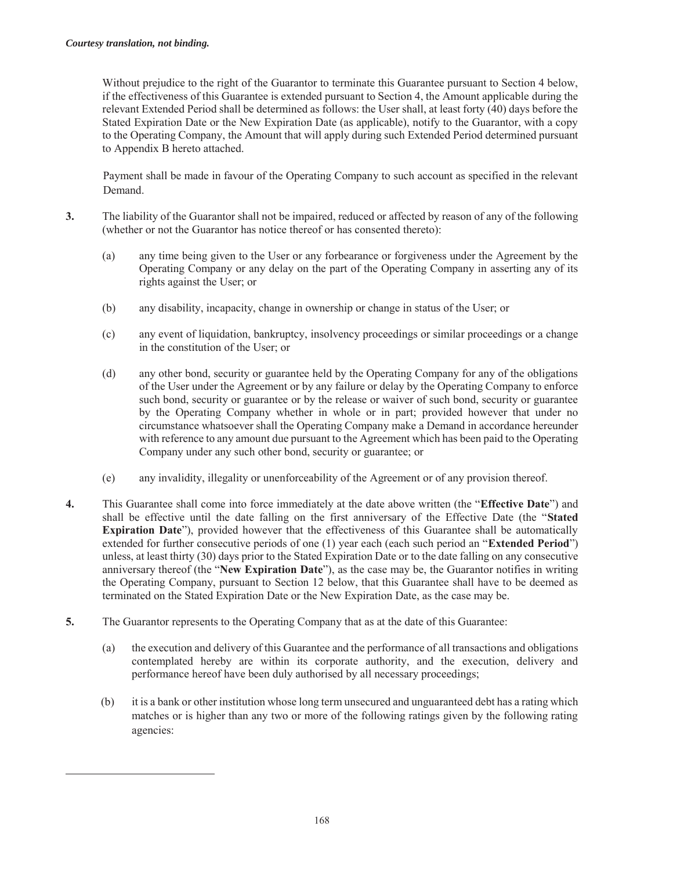$\overline{a}$ 

Without prejudice to the right of the Guarantor to terminate this Guarantee pursuant to Section 4 below, if the effectiveness of this Guarantee is extended pursuant to Section 4, the Amount applicable during the relevant Extended Period shall be determined as follows: the User shall, at least forty (40) days before the Stated Expiration Date or the New Expiration Date (as applicable), notify to the Guarantor, with a copy to the Operating Company, the Amount that will apply during such Extended Period determined pursuant to Appendix B hereto attached.

Payment shall be made in favour of the Operating Company to such account as specified in the relevant Demand.

- **3.** The liability of the Guarantor shall not be impaired, reduced or affected by reason of any of the following (whether or not the Guarantor has notice thereof or has consented thereto):
	- (a) any time being given to the User or any forbearance or forgiveness under the Agreement by the Operating Company or any delay on the part of the Operating Company in asserting any of its rights against the User; or
	- (b) any disability, incapacity, change in ownership or change in status of the User; or
	- (c) any event of liquidation, bankruptcy, insolvency proceedings or similar proceedings or a change in the constitution of the User; or
	- (d) any other bond, security or guarantee held by the Operating Company for any of the obligations of the User under the Agreement or by any failure or delay by the Operating Company to enforce such bond, security or guarantee or by the release or waiver of such bond, security or guarantee by the Operating Company whether in whole or in part; provided however that under no circumstance whatsoever shall the Operating Company make a Demand in accordance hereunder with reference to any amount due pursuant to the Agreement which has been paid to the Operating Company under any such other bond, security or guarantee; or
	- (e) any invalidity, illegality or unenforceability of the Agreement or of any provision thereof.
- **4.** This Guarantee shall come into force immediately at the date above written (the "**Effective Date**") and shall be effective until the date falling on the first anniversary of the Effective Date (the "**Stated Expiration Date**"), provided however that the effectiveness of this Guarantee shall be automatically extended for further consecutive periods of one (1) year each (each such period an "**Extended Period**") unless, at least thirty (30) days prior to the Stated Expiration Date or to the date falling on any consecutive anniversary thereof (the "**New Expiration Date**"), as the case may be, the Guarantor notifies in writing the Operating Company, pursuant to Section 12 below, that this Guarantee shall have to be deemed as terminated on the Stated Expiration Date or the New Expiration Date, as the case may be.
- **5.** The Guarantor represents to the Operating Company that as at the date of this Guarantee:
	- (a) the execution and delivery of this Guarantee and the performance of all transactions and obligations contemplated hereby are within its corporate authority, and the execution, delivery and performance hereof have been duly authorised by all necessary proceedings;
	- (b) it is a bank or other institution whose long term unsecured and unguaranteed debt has a rating which matches or is higher than any two or more of the following ratings given by the following rating agencies: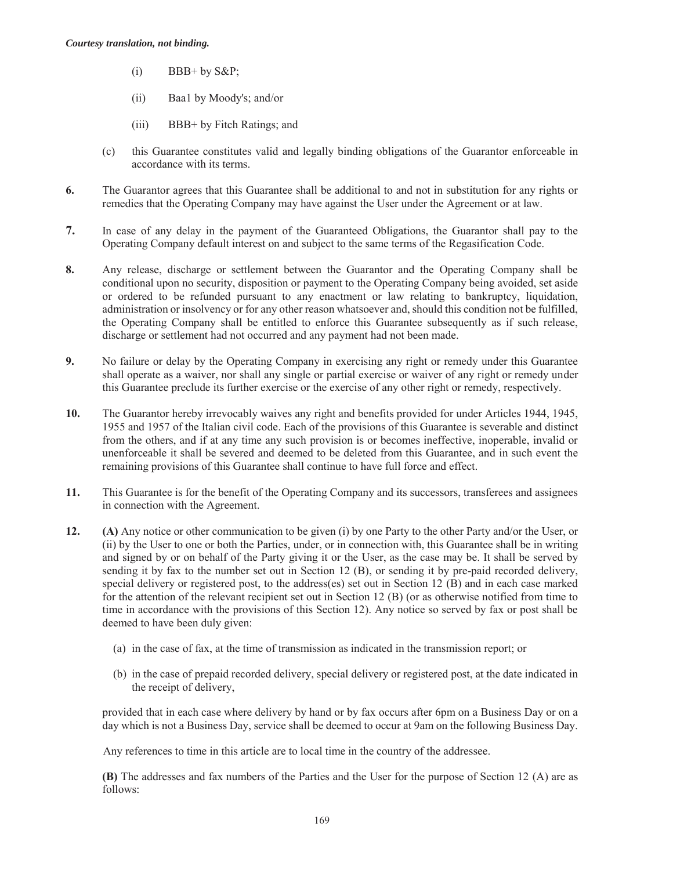- $(i)$  BBB+ by S&P;
- (ii) Baa1 by Moody's; and/or
- (iii) BBB+ by Fitch Ratings; and
- (c) this Guarantee constitutes valid and legally binding obligations of the Guarantor enforceable in accordance with its terms.
- **6.** The Guarantor agrees that this Guarantee shall be additional to and not in substitution for any rights or remedies that the Operating Company may have against the User under the Agreement or at law.
- **7.** In case of any delay in the payment of the Guaranteed Obligations, the Guarantor shall pay to the Operating Company default interest on and subject to the same terms of the Regasification Code.
- **8.** Any release, discharge or settlement between the Guarantor and the Operating Company shall be conditional upon no security, disposition or payment to the Operating Company being avoided, set aside or ordered to be refunded pursuant to any enactment or law relating to bankruptcy, liquidation, administration or insolvency or for any other reason whatsoever and, should this condition not be fulfilled, the Operating Company shall be entitled to enforce this Guarantee subsequently as if such release, discharge or settlement had not occurred and any payment had not been made.
- **9.** No failure or delay by the Operating Company in exercising any right or remedy under this Guarantee shall operate as a waiver, nor shall any single or partial exercise or waiver of any right or remedy under this Guarantee preclude its further exercise or the exercise of any other right or remedy, respectively.
- **10.** The Guarantor hereby irrevocably waives any right and benefits provided for under Articles 1944, 1945, 1955 and 1957 of the Italian civil code. Each of the provisions of this Guarantee is severable and distinct from the others, and if at any time any such provision is or becomes ineffective, inoperable, invalid or unenforceable it shall be severed and deemed to be deleted from this Guarantee, and in such event the remaining provisions of this Guarantee shall continue to have full force and effect.
- **11.** This Guarantee is for the benefit of the Operating Company and its successors, transferees and assignees in connection with the Agreement.
- **12. (A)** Any notice or other communication to be given (i) by one Party to the other Party and/or the User, or (ii) by the User to one or both the Parties, under, or in connection with, this Guarantee shall be in writing and signed by or on behalf of the Party giving it or the User, as the case may be. It shall be served by sending it by fax to the number set out in Section 12 (B), or sending it by pre-paid recorded delivery, special delivery or registered post, to the address(es) set out in Section 12 (B) and in each case marked for the attention of the relevant recipient set out in Section 12 (B) (or as otherwise notified from time to time in accordance with the provisions of this Section 12). Any notice so served by fax or post shall be deemed to have been duly given:
	- (a) in the case of fax, at the time of transmission as indicated in the transmission report; or
	- (b) in the case of prepaid recorded delivery, special delivery or registered post, at the date indicated in the receipt of delivery,

provided that in each case where delivery by hand or by fax occurs after 6pm on a Business Day or on a day which is not a Business Day, service shall be deemed to occur at 9am on the following Business Day.

Any references to time in this article are to local time in the country of the addressee.

**(B)** The addresses and fax numbers of the Parties and the User for the purpose of Section 12 (A) are as follows: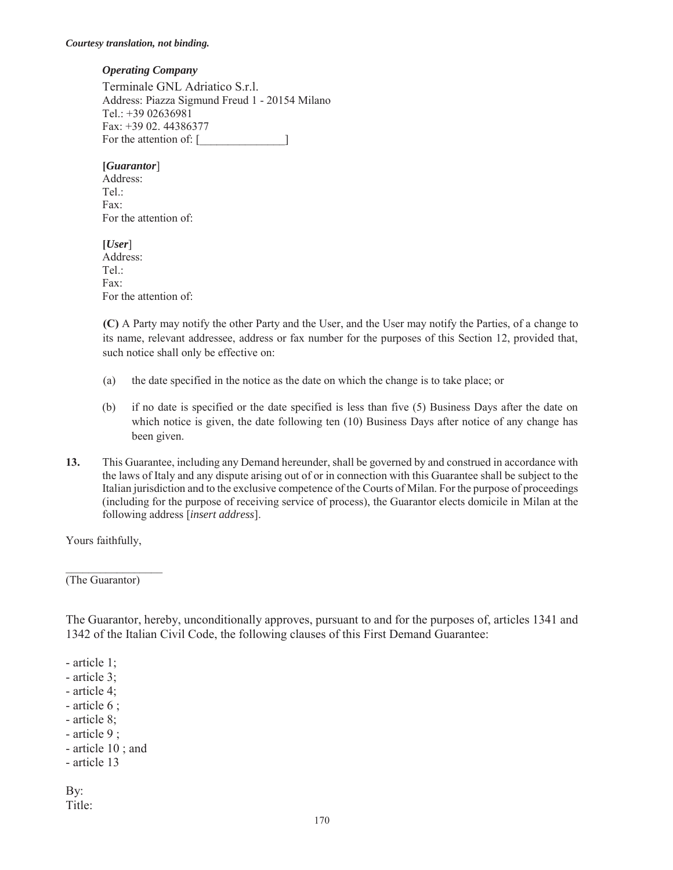#### *Operating Company*

 Terminale GNL Adriatico S.r.l. Address: Piazza Sigmund Freud 1 - 20154 Milano Tel.: +39 02636981 Fax: +39 02. 44386377 For the attention of: [\_\_\_\_\_\_\_\_\_\_\_\_\_\_\_]

**[***Guarantor*] Address: Tel.: Fax: For the attention of:

**[***User*] Address: Tel.: Fax: For the attention of:

**(C)** A Party may notify the other Party and the User, and the User may notify the Parties, of a change to its name, relevant addressee, address or fax number for the purposes of this Section 12, provided that, such notice shall only be effective on:

- (a) the date specified in the notice as the date on which the change is to take place; or
- (b) if no date is specified or the date specified is less than five (5) Business Days after the date on which notice is given, the date following ten (10) Business Days after notice of any change has been given.
- **13.** This Guarantee, including any Demand hereunder, shall be governed by and construed in accordance with the laws of Italy and any dispute arising out of or in connection with this Guarantee shall be subject to the Italian jurisdiction and to the exclusive competence of the Courts of Milan. For the purpose of proceedings (including for the purpose of receiving service of process), the Guarantor elects domicile in Milan at the following address [*insert address*].

Yours faithfully,

(The Guarantor)

The Guarantor, hereby, unconditionally approves, pursuant to and for the purposes of, articles 1341 and 1342 of the Italian Civil Code, the following clauses of this First Demand Guarantee:

- article 1;

- article 3;

- article 4;

- article 6 ;

- article 8;

- article 9 ;
- article 10 ; and
- article 13

By: Title: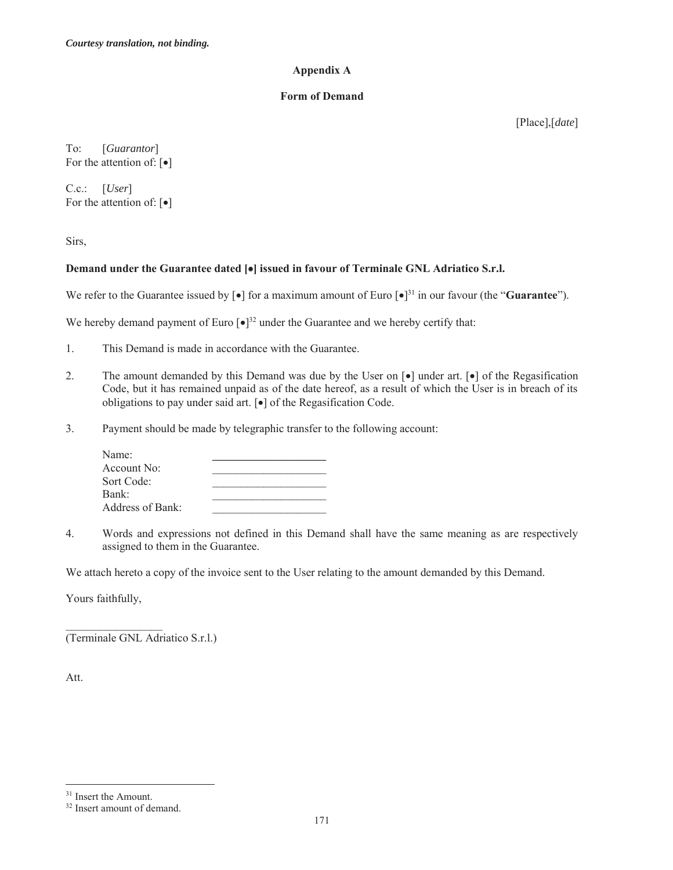#### **Appendix A**

#### **Form of Demand**

[Place],[*date*]

To: [*Guarantor*] For the attention of:  $[\bullet]$ 

C.c.: [*User*] For the attention of:  $\lceil \bullet \rceil$ 

Sirs,

# **Demand under the Guarantee dated [** $\bullet$ **] issued in favour of Terminale GNL Adriatico S.r.l.**

We refer to the Guarantee issued by  $\lceil \cdot \cdot \rceil$  for a maximum amount of Euro  $\lceil \cdot \rceil^{31}$  in our favour (the "**Guarantee**").

We hereby demand payment of Euro  $\left[\bullet\right]^{32}$  under the Guarantee and we hereby certify that:

- 1. This Demand is made in accordance with the Guarantee.
- 2. The amount demanded by this Demand was due by the User on  $\lceil \cdot \cdot \rceil$  under art.  $\lceil \cdot \cdot \rceil$  of the Regasification Code, but it has remained unpaid as of the date hereof, as a result of which the User is in breach of its obligations to pay under said art.  $\lceil \bullet \rceil$  of the Regasification Code.
- 3. Payment should be made by telegraphic transfer to the following account:

| Name:            |  |
|------------------|--|
| Account No:      |  |
| Sort Code:       |  |
| Bank:            |  |
| Address of Bank: |  |

4. Words and expressions not defined in this Demand shall have the same meaning as are respectively assigned to them in the Guarantee.

We attach hereto a copy of the invoice sent to the User relating to the amount demanded by this Demand.

Yours faithfully,

 $\mathcal{L}_\text{max}$  and  $\mathcal{L}_\text{max}$  and  $\mathcal{L}_\text{max}$ 

(Terminale GNL Adriatico S.r.l.)

Att.

 $\overline{a}$ 

<sup>&</sup>lt;sup>31</sup> Insert the Amount.

<sup>32</sup> Insert amount of demand.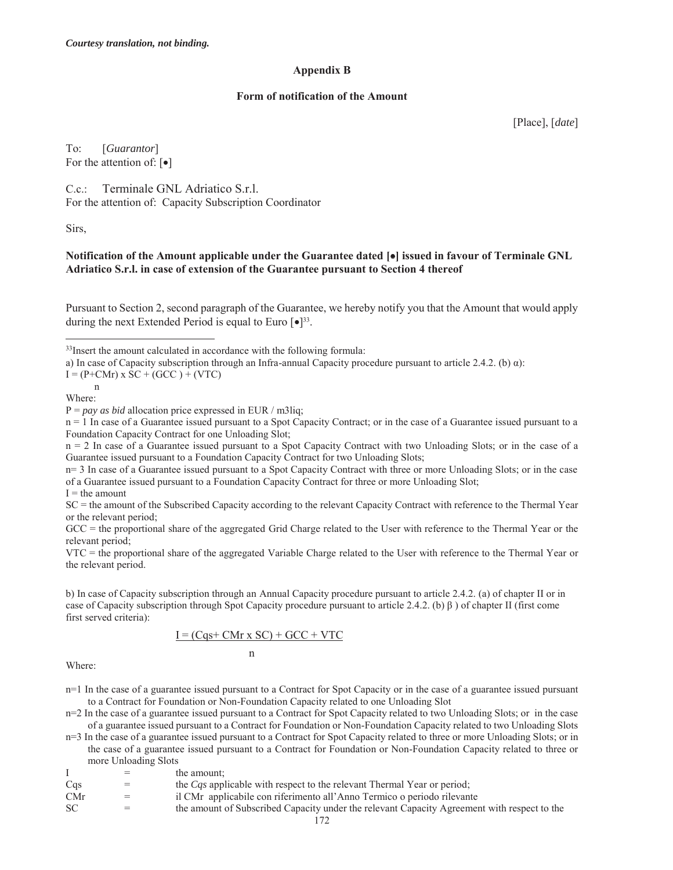#### **Appendix B**

#### **Form of notification of the Amount**

[Place], [*date*]

To: [*Guarantor*] For the attention of:  $\lceil \bullet \rceil$ 

C.c.: Terminale GNL Adriatico S.r.l. For the attention of: Capacity Subscription Coordinator

Sirs,

#### **Notification of the Amount applicable under the Guarantee dated [**x**] issued in favour of Terminale GNL Adriatico S.r.l. in case of extension of the Guarantee pursuant to Section 4 thereof**

Pursuant to Section 2, second paragraph of the Guarantee, we hereby notify you that the Amount that would apply during the next Extended Period is equal to Euro  $\lceil \bullet \rceil^{33}$ .

a) In case of Capacity subscription through an Infra-annual Capacity procedure pursuant to article 2.4.2. (b)  $\alpha$ ):

 $I = (P+CMr) \times SC + (GCC) + (VTC)$ 

 n Where:

 $\overline{a}$ 

P = *pay as bid* allocation price expressed in EUR / m3liq;

n = 1 In case of a Guarantee issued pursuant to a Spot Capacity Contract; or in the case of a Guarantee issued pursuant to a Foundation Capacity Contract for one Unloading Slot;

n = 2 In case of a Guarantee issued pursuant to a Spot Capacity Contract with two Unloading Slots; or in the case of a Guarantee issued pursuant to a Foundation Capacity Contract for two Unloading Slots;

n= 3 In case of a Guarantee issued pursuant to a Spot Capacity Contract with three or more Unloading Slots; or in the case of a Guarantee issued pursuant to a Foundation Capacity Contract for three or more Unloading Slot;  $I =$  the amount

SC = the amount of the Subscribed Capacity according to the relevant Capacity Contract with reference to the Thermal Year or the relevant period;

GCC = the proportional share of the aggregated Grid Charge related to the User with reference to the Thermal Year or the relevant period;

VTC = the proportional share of the aggregated Variable Charge related to the User with reference to the Thermal Year or the relevant period.

b) In case of Capacity subscription through an Annual Capacity procedure pursuant to article 2.4.2. (a) of chapter II or in case of Capacity subscription through Spot Capacity procedure pursuant to article 2.4.2. (b) β ) of chapter II (first come first served criteria):

$$
\underline{I} = (Cqs + CMr \times SC) + GCC + VTC
$$

n

Where:

n=1 In the case of a guarantee issued pursuant to a Contract for Spot Capacity or in the case of a guarantee issued pursuant to a Contract for Foundation or Non-Foundation Capacity related to one Unloading Slot

n=2 In the case of a guarantee issued pursuant to a Contract for Spot Capacity related to two Unloading Slots; or in the case of a guarantee issued pursuant to a Contract for Foundation or Non-Foundation Capacity related to two Unloading Slots

n=3 In the case of a guarantee issued pursuant to a Contract for Spot Capacity related to three or more Unloading Slots; or in the case of a guarantee issued pursuant to a Contract for Foundation or Non-Foundation Capacity related to three or more Unloading Slots

|  | the amount: |  |
|--|-------------|--|
|  |             |  |

- Cqs = the *Cqs* applicable with respect to the relevant Thermal Year or period;
- CMr = il CMr applicabile con riferimento all'Anno Termico o periodo rilevante
- SC = the amount of Subscribed Capacity under the relevant Capacity Agreement with respect to the

<sup>&</sup>lt;sup>33</sup>Insert the amount calculated in accordance with the following formula: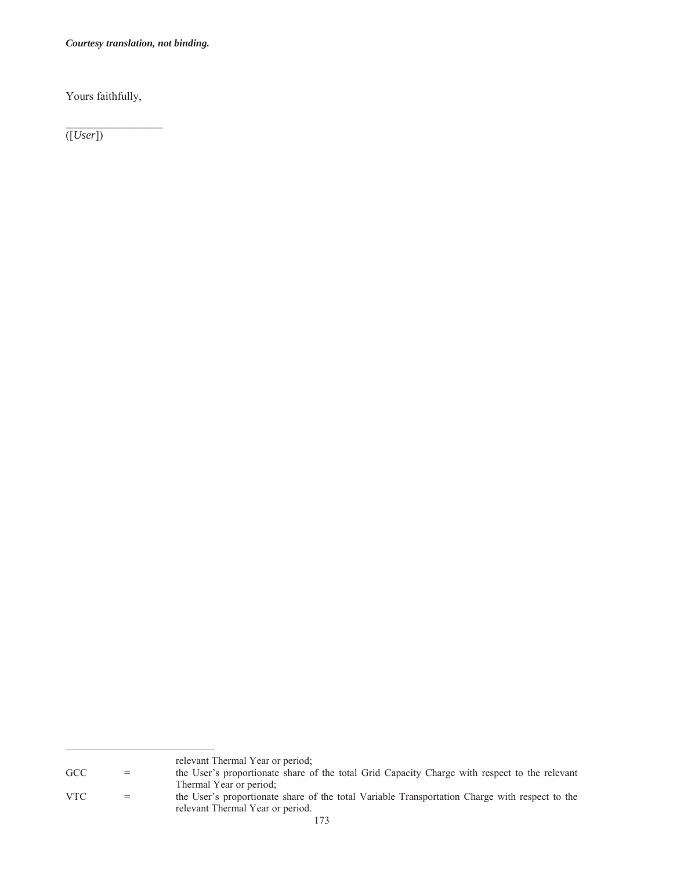*Courtesy translation, not binding.* 

Yours faithfully,

([*User*])

relevant Thermal Year or period;<br>GCC = the User's proportionate share of

<sup>=</sup> the User's proportionate share of the total Grid Capacity Charge with respect to the relevant

Thermal Year or period; VTC = the User's proportionate share of the total Variable Transportation Charge with respect to the relevant Thermal Year or period.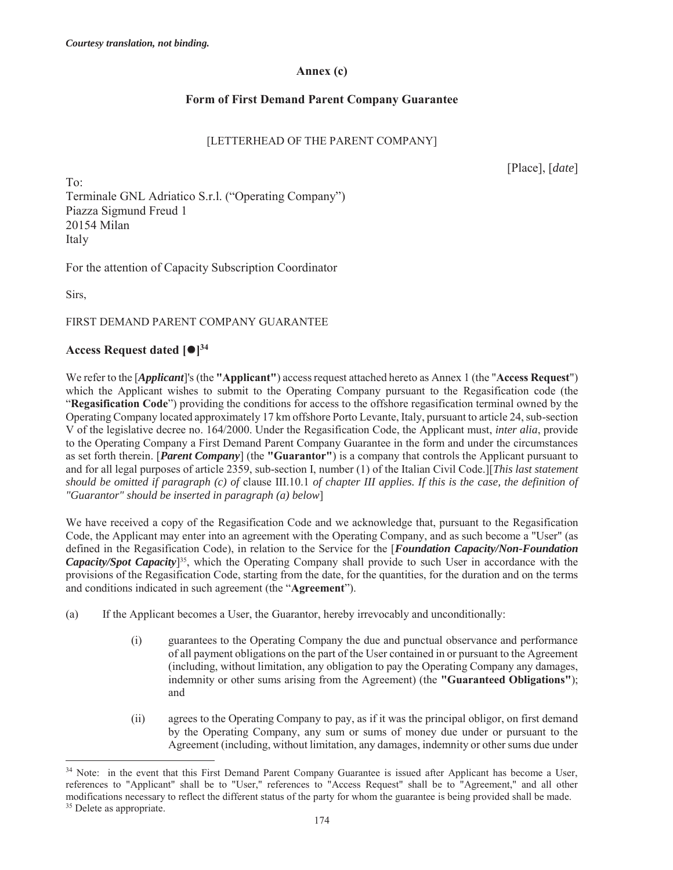## **Annex (c)**

# **Form of First Demand Parent Company Guarantee**

## [LETTERHEAD OF THE PARENT COMPANY]

[Place], [*date*]

To: Terminale GNL Adriatico S.r.l. ("Operating Company") Piazza Sigmund Freud 1 20154 Milan Italy

For the attention of Capacity Subscription Coordinator

Sirs,

 $\overline{a}$ 

## FIRST DEMAND PARENT COMPANY GUARANTEE

# **Access Request dated [** $\bullet$ **]**<sup>34</sup>

We refer to the [*Applicant*]'s (the **"Applicant"**) access request attached hereto as Annex 1 (the "**Access Request**") which the Applicant wishes to submit to the Operating Company pursuant to the Regasification code (the "**Regasification Code**") providing the conditions for access to the offshore regasification terminal owned by the Operating Company located approximately 17 km offshore Porto Levante, Italy, pursuant to article 24, sub-section V of the legislative decree no. 164/2000. Under the Regasification Code, the Applicant must, *inter alia*, provide to the Operating Company a First Demand Parent Company Guarantee in the form and under the circumstances as set forth therein. [*Parent Company*] (the **"Guarantor"**) is a company that controls the Applicant pursuant to and for all legal purposes of article 2359, sub-section I, number (1) of the Italian Civil Code.][*This last statement should be omitted if paragraph (c) of* clause III.10.1 *of chapter III applies. If this is the case, the definition of "Guarantor" should be inserted in paragraph (a) below*]

We have received a copy of the Regasification Code and we acknowledge that, pursuant to the Regasification Code, the Applicant may enter into an agreement with the Operating Company, and as such become a "User" (as defined in the Regasification Code), in relation to the Service for the [*Foundation Capacity/Non-Foundation Capacity/Spot Capacity*]35, which the Operating Company shall provide to such User in accordance with the provisions of the Regasification Code, starting from the date, for the quantities, for the duration and on the terms and conditions indicated in such agreement (the "**Agreement**").

- (a) If the Applicant becomes a User, the Guarantor, hereby irrevocably and unconditionally:
	- (i) guarantees to the Operating Company the due and punctual observance and performance of all payment obligations on the part of the User contained in or pursuant to the Agreement (including, without limitation, any obligation to pay the Operating Company any damages, indemnity or other sums arising from the Agreement) (the **"Guaranteed Obligations"**); and
	- (ii) agrees to the Operating Company to pay, as if it was the principal obligor, on first demand by the Operating Company, any sum or sums of money due under or pursuant to the Agreement (including, without limitation, any damages, indemnity or other sums due under

<sup>&</sup>lt;sup>34</sup> Note: in the event that this First Demand Parent Company Guarantee is issued after Applicant has become a User, references to "Applicant" shall be to "User," references to "Access Request" shall be to "Agreement," and all other modifications necessary to reflect the different status of the party for whom the guarantee is being provided shall be made. 35 Delete as appropriate.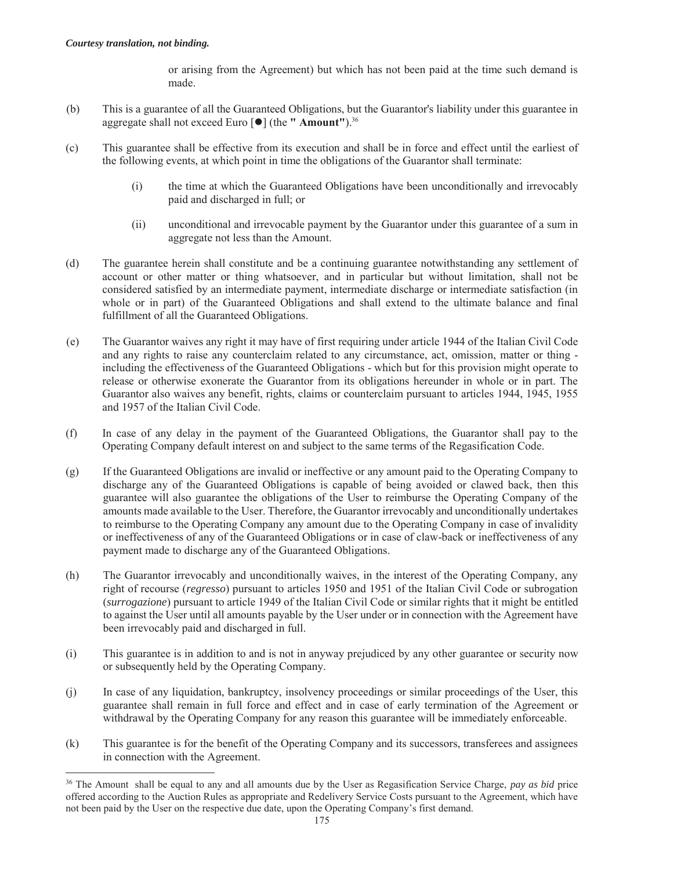$\overline{a}$ 

or arising from the Agreement) but which has not been paid at the time such demand is made.

- (b) This is a guarantee of all the Guaranteed Obligations, but the Guarantor's liability under this guarantee in aggregate shall not exceed Euro [z] (the **" Amount"**).36
- (c) This guarantee shall be effective from its execution and shall be in force and effect until the earliest of the following events, at which point in time the obligations of the Guarantor shall terminate:
	- (i) the time at which the Guaranteed Obligations have been unconditionally and irrevocably paid and discharged in full; or
	- (ii) unconditional and irrevocable payment by the Guarantor under this guarantee of a sum in aggregate not less than the Amount.
- (d) The guarantee herein shall constitute and be a continuing guarantee notwithstanding any settlement of account or other matter or thing whatsoever, and in particular but without limitation, shall not be considered satisfied by an intermediate payment, intermediate discharge or intermediate satisfaction (in whole or in part) of the Guaranteed Obligations and shall extend to the ultimate balance and final fulfillment of all the Guaranteed Obligations.
- (e) The Guarantor waives any right it may have of first requiring under article 1944 of the Italian Civil Code and any rights to raise any counterclaim related to any circumstance, act, omission, matter or thing including the effectiveness of the Guaranteed Obligations - which but for this provision might operate to release or otherwise exonerate the Guarantor from its obligations hereunder in whole or in part. The Guarantor also waives any benefit, rights, claims or counterclaim pursuant to articles 1944, 1945, 1955 and 1957 of the Italian Civil Code.
- (f) In case of any delay in the payment of the Guaranteed Obligations, the Guarantor shall pay to the Operating Company default interest on and subject to the same terms of the Regasification Code.
- (g) If the Guaranteed Obligations are invalid or ineffective or any amount paid to the Operating Company to discharge any of the Guaranteed Obligations is capable of being avoided or clawed back, then this guarantee will also guarantee the obligations of the User to reimburse the Operating Company of the amounts made available to the User. Therefore, the Guarantor irrevocably and unconditionally undertakes to reimburse to the Operating Company any amount due to the Operating Company in case of invalidity or ineffectiveness of any of the Guaranteed Obligations or in case of claw-back or ineffectiveness of any payment made to discharge any of the Guaranteed Obligations.
- (h) The Guarantor irrevocably and unconditionally waives, in the interest of the Operating Company, any right of recourse (*regresso*) pursuant to articles 1950 and 1951 of the Italian Civil Code or subrogation (*surrogazione*) pursuant to article 1949 of the Italian Civil Code or similar rights that it might be entitled to against the User until all amounts payable by the User under or in connection with the Agreement have been irrevocably paid and discharged in full.
- (i) This guarantee is in addition to and is not in anyway prejudiced by any other guarantee or security now or subsequently held by the Operating Company.
- (j) In case of any liquidation, bankruptcy, insolvency proceedings or similar proceedings of the User, this guarantee shall remain in full force and effect and in case of early termination of the Agreement or withdrawal by the Operating Company for any reason this guarantee will be immediately enforceable.
- (k) This guarantee is for the benefit of the Operating Company and its successors, transferees and assignees in connection with the Agreement.

<sup>36</sup> The Amount shall be equal to any and all amounts due by the User as Regasification Service Charge, *pay as bid* price offered according to the Auction Rules as appropriate and Redelivery Service Costs pursuant to the Agreement, which have not been paid by the User on the respective due date, upon the Operating Company's first demand.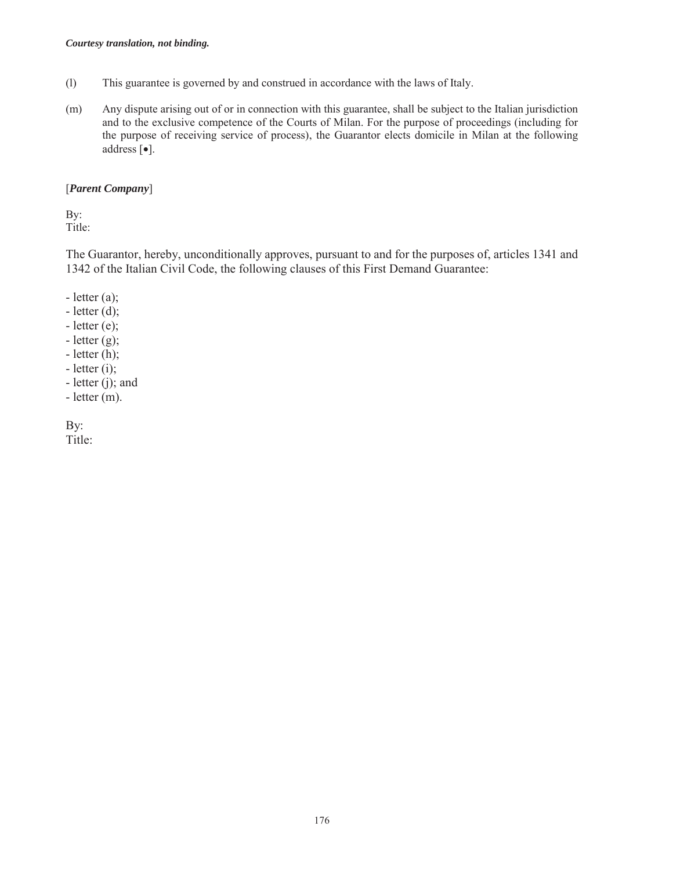- (l) This guarantee is governed by and construed in accordance with the laws of Italy.
- (m) Any dispute arising out of or in connection with this guarantee, shall be subject to the Italian jurisdiction and to the exclusive competence of the Courts of Milan. For the purpose of proceedings (including for the purpose of receiving service of process), the Guarantor elects domicile in Milan at the following address  $[\bullet]$ .

## [*Parent Company*]

By: Title:

The Guarantor, hereby, unconditionally approves, pursuant to and for the purposes of, articles 1341 and 1342 of the Italian Civil Code, the following clauses of this First Demand Guarantee:

- $-$  letter  $(a)$ ;
- $-$  letter (d);
- $-$  letter (e);
- $-\text{letter (g)}$ ;
- letter (h);
- $-$  letter (i);
- letter (j); and
- letter (m).

By: Title: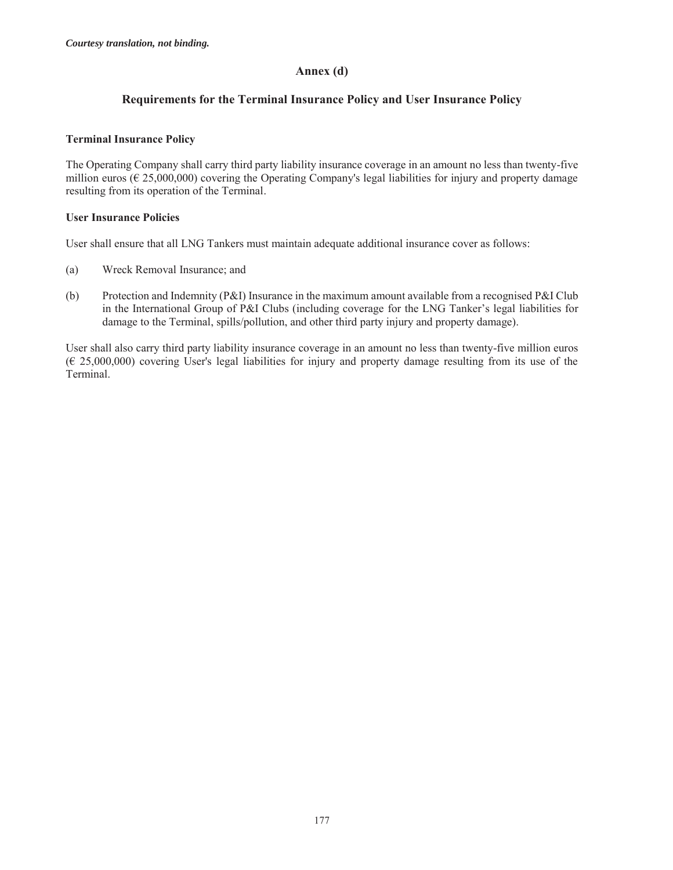#### **Annex (d)**

# **Requirements for the Terminal Insurance Policy and User Insurance Policy**

#### **Terminal Insurance Policy**

The Operating Company shall carry third party liability insurance coverage in an amount no less than twenty-five million euros (€ 25,000,000) covering the Operating Company's legal liabilities for injury and property damage resulting from its operation of the Terminal.

#### **User Insurance Policies**

User shall ensure that all LNG Tankers must maintain adequate additional insurance cover as follows:

- (a) Wreck Removal Insurance; and
- (b) Protection and Indemnity (P&I) Insurance in the maximum amount available from a recognised P&I Club in the International Group of P&I Clubs (including coverage for the LNG Tanker's legal liabilities for damage to the Terminal, spills/pollution, and other third party injury and property damage).

User shall also carry third party liability insurance coverage in an amount no less than twenty-five million euros (€ 25,000,000) covering User's legal liabilities for injury and property damage resulting from its use of the Terminal.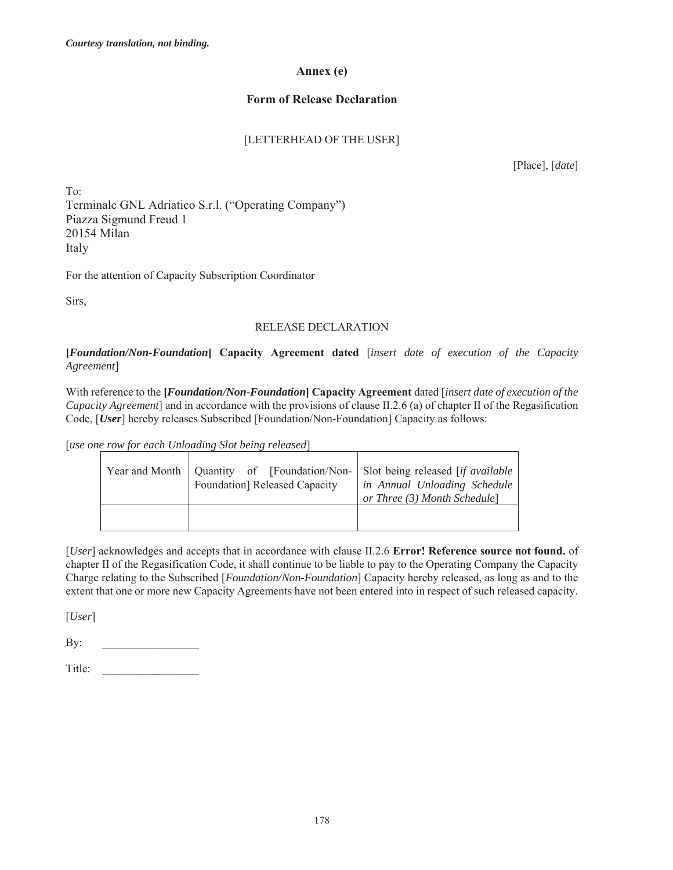#### **Annex (e)**

# **Form of Release Declaration**

# [LETTERHEAD OF THE USER]

[Place], [*date*]

To: Terminale GNL Adriatico S.r.l. ("Operating Company") Piazza Sigmund Freud 1 20154 Milan Italy

For the attention of Capacity Subscription Coordinator

Sirs,

# RELEASE DECLARATION

**[***Foundation/Non-Foundation***] Capacity Agreement dated** [*insert date of execution of the Capacity Agreement*]

With reference to the **[***Foundation/Non-Foundation***] Capacity Agreement** dated [*insert date of execution of the Capacity Agreement*] and in accordance with the provisions of clause II.2.6 (a) of chapter II of the Regasification Code, [*User*] hereby releases Subscribed [Foundation/Non-Foundation] Capacity as follows:

[*use one row for each Unloading Slot being released*]

|  | Year and Month   Quantity of [Foundation/Non-   Slot being released [if available<br>Foundation] Released Capacity | in Annual Unloading Schedule<br>or Three (3) Month Schedule] |
|--|--------------------------------------------------------------------------------------------------------------------|--------------------------------------------------------------|
|  |                                                                                                                    |                                                              |

[*User*] acknowledges and accepts that in accordance with clause II.2.6 **Error! Reference source not found.** of chapter II of the Regasification Code, it shall continue to be liable to pay to the Operating Company the Capacity Charge relating to the Subscribed [*Foundation/Non-Foundation*] Capacity hereby released, as long as and to the extent that one or more new Capacity Agreements have not been entered into in respect of such released capacity.

[*User*]

By: \_\_\_\_\_\_\_\_\_\_\_\_\_\_\_\_\_

Title: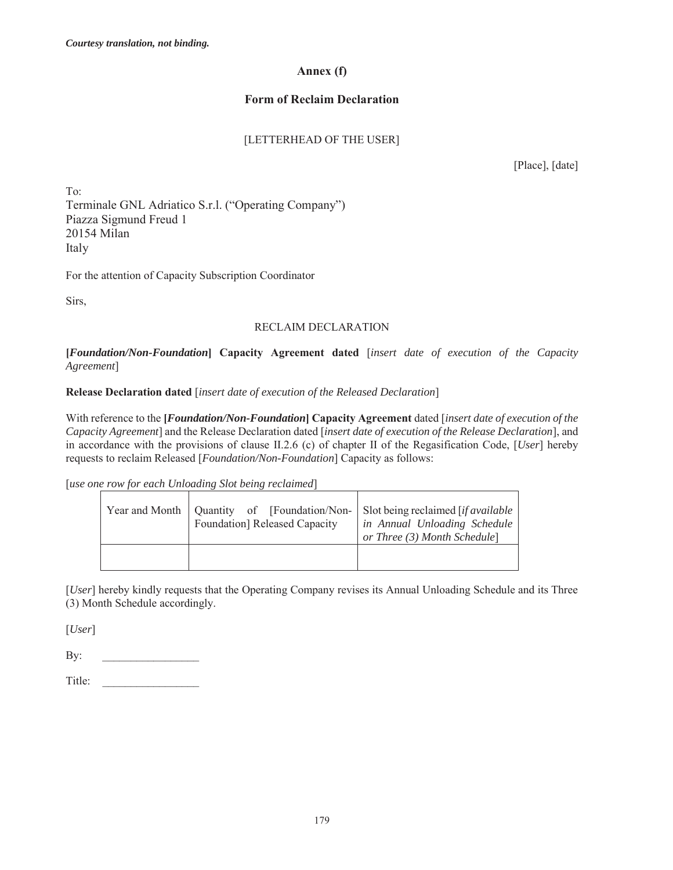## **Annex (f)**

# **Form of Reclaim Declaration**

# [LETTERHEAD OF THE USER]

[Place], [date]

To: Terminale GNL Adriatico S.r.l. ("Operating Company") Piazza Sigmund Freud 1 20154 Milan Italy

For the attention of Capacity Subscription Coordinator

Sirs,

# RECLAIM DECLARATION

**[***Foundation/Non-Foundation***] Capacity Agreement dated** [*insert date of execution of the Capacity Agreement*]

## **Release Declaration dated** [*insert date of execution of the Released Declaration*]

With reference to the **[***Foundation/Non-Foundation***] Capacity Agreement** dated [*insert date of execution of the Capacity Agreement*] and the Release Declaration dated [*insert date of execution of the Release Declaration*], and in accordance with the provisions of clause II.2.6 (c) of chapter II of the Regasification Code, [*User*] hereby requests to reclaim Released [*Foundation/Non-Foundation*] Capacity as follows:

[*use one row for each Unloading Slot being reclaimed*]

|  | Year and Month   Quantity of [Foundation/Non- Slot being reclaimed [if available<br>Foundation] Released Capacity | in Annual Unloading Schedule<br>or Three (3) Month Schedule] |
|--|-------------------------------------------------------------------------------------------------------------------|--------------------------------------------------------------|
|  |                                                                                                                   |                                                              |

[*User*] hereby kindly requests that the Operating Company revises its Annual Unloading Schedule and its Three (3) Month Schedule accordingly.

[*User*]

By: \_\_\_\_\_\_\_\_\_\_\_\_\_\_\_\_\_

Title: \_\_\_\_\_\_\_\_\_\_\_\_\_\_\_\_\_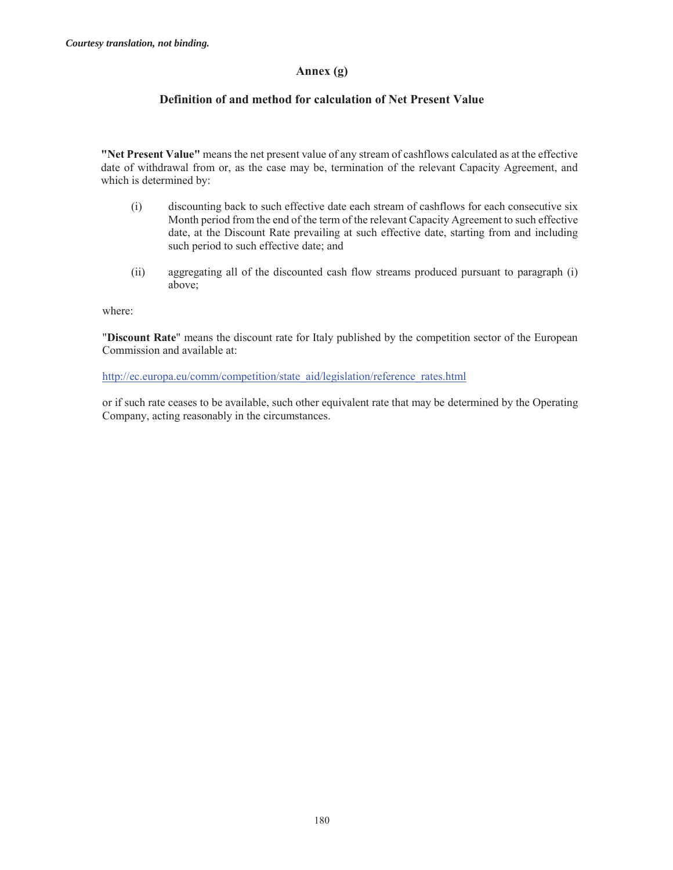## **Annex (g)**

# **Definition of and method for calculation of Net Present Value**

**"Net Present Value"** means the net present value of any stream of cashflows calculated as at the effective date of withdrawal from or, as the case may be, termination of the relevant Capacity Agreement, and which is determined by:

- (i) discounting back to such effective date each stream of cashflows for each consecutive six Month period from the end of the term of the relevant Capacity Agreement to such effective date, at the Discount Rate prevailing at such effective date, starting from and including such period to such effective date; and
- (ii) aggregating all of the discounted cash flow streams produced pursuant to paragraph (i) above;

where:

"**Discount Rate**" means the discount rate for Italy published by the competition sector of the European Commission and available at:

http://ec.europa.eu/comm/competition/state\_aid/legislation/reference\_rates.html

or if such rate ceases to be available, such other equivalent rate that may be determined by the Operating Company, acting reasonably in the circumstances.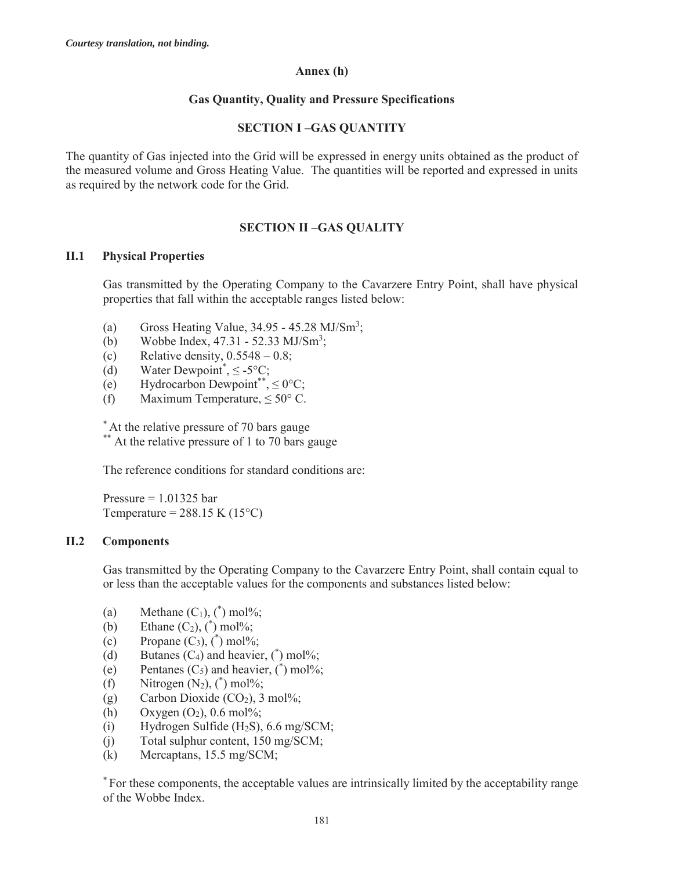## **Annex (h)**

# **Gas Quantity, Quality and Pressure Specifications**

# **SECTION I –GAS QUANTITY**

The quantity of Gas injected into the Grid will be expressed in energy units obtained as the product of the measured volume and Gross Heating Value. The quantities will be reported and expressed in units as required by the network code for the Grid.

# **SECTION II –GAS QUALITY**

# **II.1 Physical Properties**

Gas transmitted by the Operating Company to the Cavarzere Entry Point, shall have physical properties that fall within the acceptable ranges listed below:

- (a) Gross Heating Value,  $34.95 45.28 \text{ MJ/s} \text{m}^3$ ;
- (b) Wobbe Index,  $47.31 52.33 \text{ MJ/Sm}^3$ ;
- (c) Relative density,  $0.5548 0.8$ ;
- (d) Water Dewpoint<sup>\*</sup>,  $\leq$  -5°C;
- (e) Hydrocarbon Dewpoint\*\*,  $\leq 0$ °C;
- (f) Maximum Temperature,  $\leq 50^{\circ}$  C.

\* At the relative pressure of 70 bars gauge

\*\* At the relative pressure of 1 to 70 bars gauge

The reference conditions for standard conditions are:

Pressure  $= 1.01325$  bar Temperature =  $288.15$  K (15<sup>o</sup>C)

## **II.2 Components**

Gas transmitted by the Operating Company to the Cavarzere Entry Point, shall contain equal to or less than the acceptable values for the components and substances listed below:

- (a) Methane  $(C_1)$ ,  $(^*)$  mol%;
- (b) Ethane  $(C_2)$ ,  $(^*)$  mol%;
- (c) Propane  $(C_3)$ ,  $(^*)$  mol%;
- (d) Butanes  $(C_4)$  and heavier,  $(\ast)$  mol%;
- (e) Pentanes  $(C_5)$  and heavier,  $(\ast)$  mol%;
- (f) Nitrogen  $(N_2)$ ,  $(^*)$  mol%;
- (g) Carbon Dioxide  $(CO<sub>2</sub>)$ , 3 mol%;
- (h) Oxygen  $(O_2)$ , 0.6 mol%;
- (i) Hydrogen Sulfide  $(H_2S)$ , 6.6 mg/SCM;
- (j) Total sulphur content, 150 mg/SCM;
- (k) Mercaptans, 15.5 mg/SCM;

\* For these components, the acceptable values are intrinsically limited by the acceptability range of the Wobbe Index.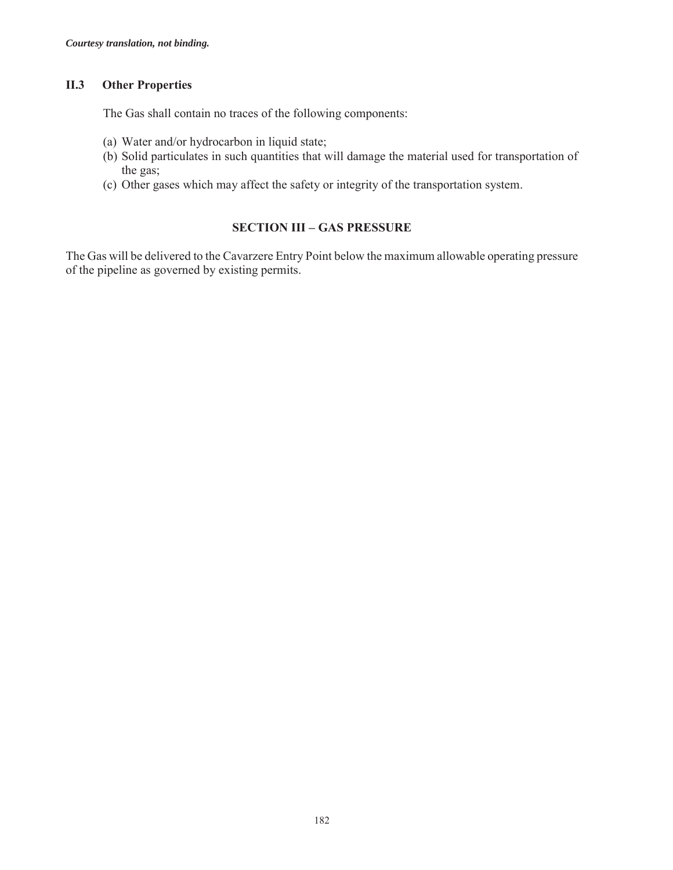# **II.3 Other Properties**

The Gas shall contain no traces of the following components:

- (a) Water and/or hydrocarbon in liquid state;
- (b) Solid particulates in such quantities that will damage the material used for transportation of the gas;
- (c) Other gases which may affect the safety or integrity of the transportation system.

# **SECTION III – GAS PRESSURE**

The Gas will be delivered to the Cavarzere Entry Point below the maximum allowable operating pressure of the pipeline as governed by existing permits.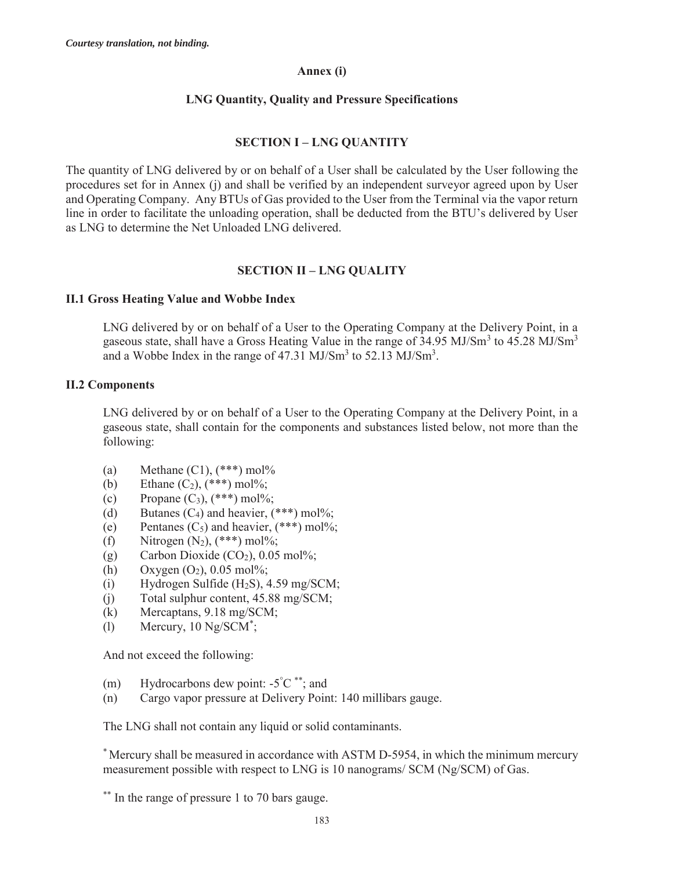## **Annex (i)**

# **LNG Quantity, Quality and Pressure Specifications**

# **SECTION I – LNG QUANTITY**

The quantity of LNG delivered by or on behalf of a User shall be calculated by the User following the procedures set for in Annex (j) and shall be verified by an independent surveyor agreed upon by User and Operating Company. Any BTUs of Gas provided to the User from the Terminal via the vapor return line in order to facilitate the unloading operation, shall be deducted from the BTU's delivered by User as LNG to determine the Net Unloaded LNG delivered.

# **SECTION II – LNG QUALITY**

## **II.1 Gross Heating Value and Wobbe Index**

LNG delivered by or on behalf of a User to the Operating Company at the Delivery Point, in a gaseous state, shall have a Gross Heating Value in the range of 34.95 MJ/Sm<sup>3</sup> to 45.28 MJ/Sm<sup>3</sup> and a Wobbe Index in the range of  $47.31 \text{ MJ/Sm}^3$  to  $52.13 \text{ MJ/Sm}^3$ .

## **II.2 Components**

LNG delivered by or on behalf of a User to the Operating Company at the Delivery Point, in a gaseous state, shall contain for the components and substances listed below, not more than the following:

- (a) Methane  $(C1)$ ,  $(***)$  mol%
- (b) Ethane  $(C_2)$ ,  $(***)$  mol%;
- (c) Propane  $(C_3)$ ,  $(***)$  mol%;
- (d) Butanes  $(C_4)$  and heavier,  $(***)$  mol%;
- (e) Pentanes  $(C_5)$  and heavier,  $(***)$  mol%;
- (f) Nitrogen  $(N_2)$ ,  $(***)$  mol%;
- (g) Carbon Dioxide  $(CO<sub>2</sub>), 0.05$  mol%;
- (h) Oxygen  $(O_2)$ , 0.05 mol%;
- (i) Hydrogen Sulfide  $(H_2S)$ , 4.59 mg/SCM;
- (j) Total sulphur content, 45.88 mg/SCM;
- (k) Mercaptans, 9.18 mg/SCM;
- (l) Mercury, 10 Ng/SCM\* ;

And not exceed the following:

- (m) Hydrocarbons dew point:  $-5^{\circ}C^{**}$ ; and
- (n) Cargo vapor pressure at Delivery Point: 140 millibars gauge.

The LNG shall not contain any liquid or solid contaminants.

\* Mercury shall be measured in accordance with ASTM D-5954, in which the minimum mercury measurement possible with respect to LNG is 10 nanograms/ SCM (Ng/SCM) of Gas.

\*\* In the range of pressure 1 to 70 bars gauge.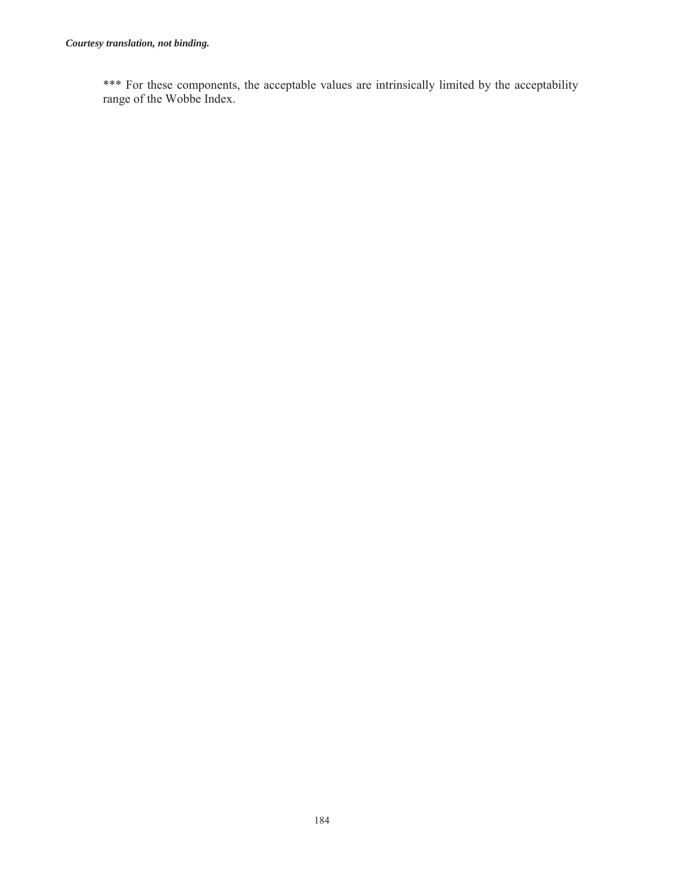\*\*\* For these components, the acceptable values are intrinsically limited by the acceptability range of the Wobbe Index.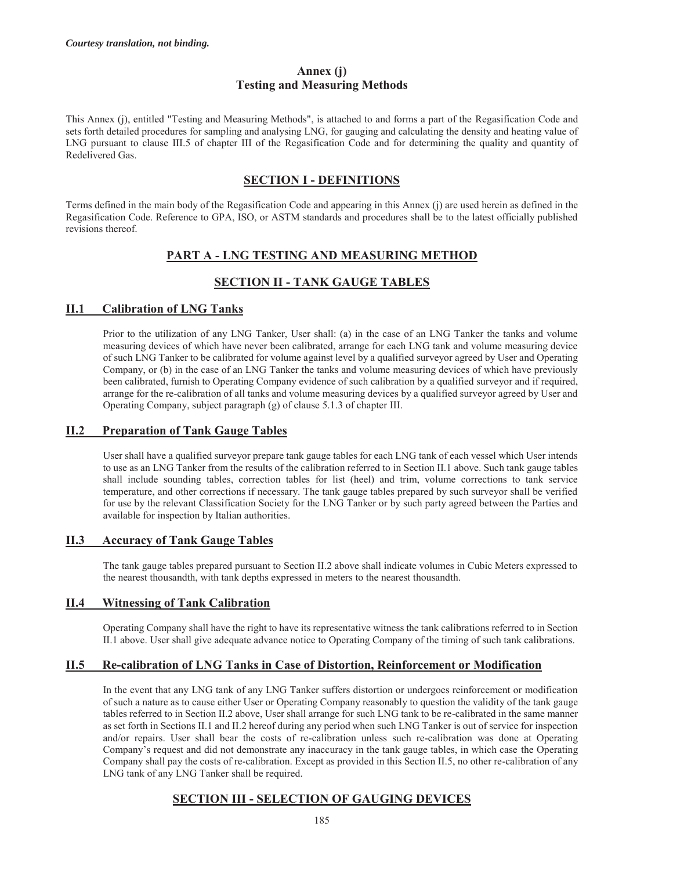#### **Annex (j) Testing and Measuring Methods**

This Annex (j), entitled "Testing and Measuring Methods", is attached to and forms a part of the Regasification Code and sets forth detailed procedures for sampling and analysing LNG, for gauging and calculating the density and heating value of LNG pursuant to clause III.5 of chapter III of the Regasification Code and for determining the quality and quantity of Redelivered Gas.

# **SECTION I - DEFINITIONS**

Terms defined in the main body of the Regasification Code and appearing in this Annex (j) are used herein as defined in the Regasification Code. Reference to GPA, ISO, or ASTM standards and procedures shall be to the latest officially published revisions thereof.

# **PART A - LNG TESTING AND MEASURING METHOD**

# **SECTION II - TANK GAUGE TABLES**

# **II.1 Calibration of LNG Tanks**

Prior to the utilization of any LNG Tanker, User shall: (a) in the case of an LNG Tanker the tanks and volume measuring devices of which have never been calibrated, arrange for each LNG tank and volume measuring device of such LNG Tanker to be calibrated for volume against level by a qualified surveyor agreed by User and Operating Company, or (b) in the case of an LNG Tanker the tanks and volume measuring devices of which have previously been calibrated, furnish to Operating Company evidence of such calibration by a qualified surveyor and if required, arrange for the re-calibration of all tanks and volume measuring devices by a qualified surveyor agreed by User and Operating Company, subject paragraph (g) of clause 5.1.3 of chapter III.

# **II.2 Preparation of Tank Gauge Tables**

User shall have a qualified surveyor prepare tank gauge tables for each LNG tank of each vessel which User intends to use as an LNG Tanker from the results of the calibration referred to in Section II.1 above. Such tank gauge tables shall include sounding tables, correction tables for list (heel) and trim, volume corrections to tank service temperature, and other corrections if necessary. The tank gauge tables prepared by such surveyor shall be verified for use by the relevant Classification Society for the LNG Tanker or by such party agreed between the Parties and available for inspection by Italian authorities.

## **II.3 Accuracy of Tank Gauge Tables**

The tank gauge tables prepared pursuant to Section II.2 above shall indicate volumes in Cubic Meters expressed to the nearest thousandth, with tank depths expressed in meters to the nearest thousandth.

## **II.4 Witnessing of Tank Calibration**

Operating Company shall have the right to have its representative witness the tank calibrations referred to in Section II.1 above. User shall give adequate advance notice to Operating Company of the timing of such tank calibrations.

## **II.5 Re-calibration of LNG Tanks in Case of Distortion, Reinforcement or Modification**

In the event that any LNG tank of any LNG Tanker suffers distortion or undergoes reinforcement or modification of such a nature as to cause either User or Operating Company reasonably to question the validity of the tank gauge tables referred to in Section II.2 above, User shall arrange for such LNG tank to be re-calibrated in the same manner as set forth in Sections II.1 and II.2 hereof during any period when such LNG Tanker is out of service for inspection and/or repairs. User shall bear the costs of re-calibration unless such re-calibration was done at Operating Company's request and did not demonstrate any inaccuracy in the tank gauge tables, in which case the Operating Company shall pay the costs of re-calibration. Except as provided in this Section II.5, no other re-calibration of any LNG tank of any LNG Tanker shall be required.

# **SECTION III - SELECTION OF GAUGING DEVICES**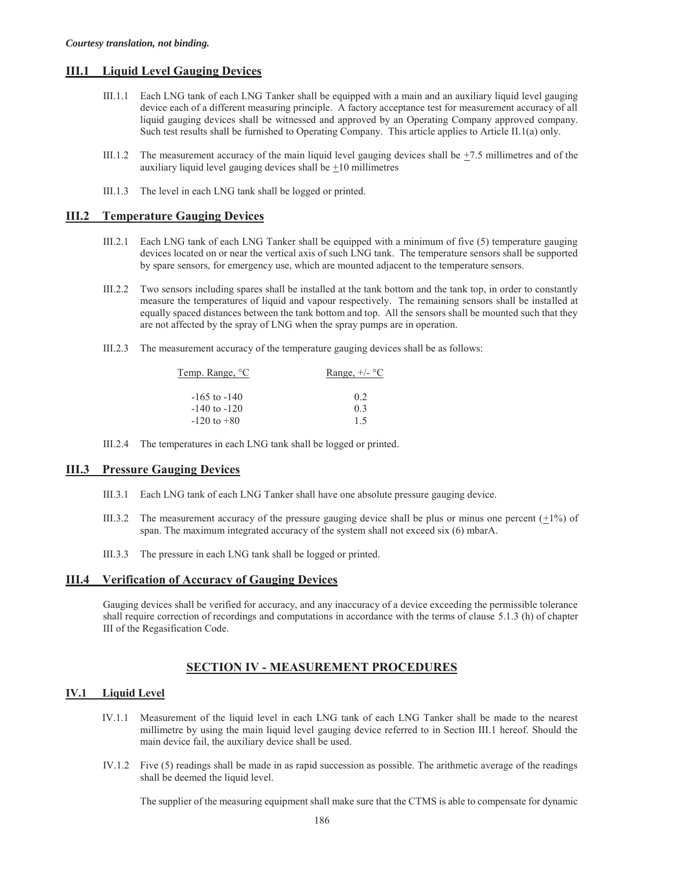#### **III.1 Liquid Level Gauging Devices**

- III.1.1 Each LNG tank of each LNG Tanker shall be equipped with a main and an auxiliary liquid level gauging device each of a different measuring principle. A factory acceptance test for measurement accuracy of all liquid gauging devices shall be witnessed and approved by an Operating Company approved company. Such test results shall be furnished to Operating Company. This article applies to Article II.1(a) only.
- III.1.2 The measurement accuracy of the main liquid level gauging devices shall be  $\pm$ 7.5 millimetres and of the auxiliary liquid level gauging devices shall be  $\pm 10$  millimetres
- III.1.3 The level in each LNG tank shall be logged or printed.

#### **III.2 Temperature Gauging Devices**

- III.2.1 Each LNG tank of each LNG Tanker shall be equipped with a minimum of five (5) temperature gauging devices located on or near the vertical axis of such LNG tank. The temperature sensors shall be supported by spare sensors, for emergency use, which are mounted adjacent to the temperature sensors.
- III.2.2 Two sensors including spares shall be installed at the tank bottom and the tank top, in order to constantly measure the temperatures of liquid and vapour respectively. The remaining sensors shall be installed at equally spaced distances between the tank bottom and top. All the sensors shall be mounted such that they are not affected by the spray of LNG when the spray pumps are in operation.
- III.2.3 The measurement accuracy of the temperature gauging devices shall be as follows:

| Temp. Range, <sup>o</sup> C | Range, $+/-$ °C |
|-----------------------------|-----------------|
| $-165$ to $-140$            | 02              |
| $-140$ to $-120$            | 0.3             |
| $-120$ to $+80$             | 1.5             |

III.2.4 The temperatures in each LNG tank shall be logged or printed.

#### **III.3 Pressure Gauging Devices**

- III.3.1 Each LNG tank of each LNG Tanker shall have one absolute pressure gauging device.
- III.3.2 The measurement accuracy of the pressure gauging device shall be plus or minus one percent  $(\pm 1\%)$  of span. The maximum integrated accuracy of the system shall not exceed six (6) mbarA.
- III.3.3 The pressure in each LNG tank shall be logged or printed.

#### **III.4 Verification of Accuracy of Gauging Devices**

Gauging devices shall be verified for accuracy, and any inaccuracy of a device exceeding the permissible tolerance shall require correction of recordings and computations in accordance with the terms of clause 5.1.3 (h) of chapter III of the Regasification Code.

## **SECTION IV - MEASUREMENT PROCEDURES**

#### **IV.1 Liquid Level**

- IV.1.1 Measurement of the liquid level in each LNG tank of each LNG Tanker shall be made to the nearest millimetre by using the main liquid level gauging device referred to in Section III.1 hereof. Should the main device fail, the auxiliary device shall be used.
- IV.1.2 Five (5) readings shall be made in as rapid succession as possible. The arithmetic average of the readings shall be deemed the liquid level.

The supplier of the measuring equipment shall make sure that the CTMS is able to compensate for dynamic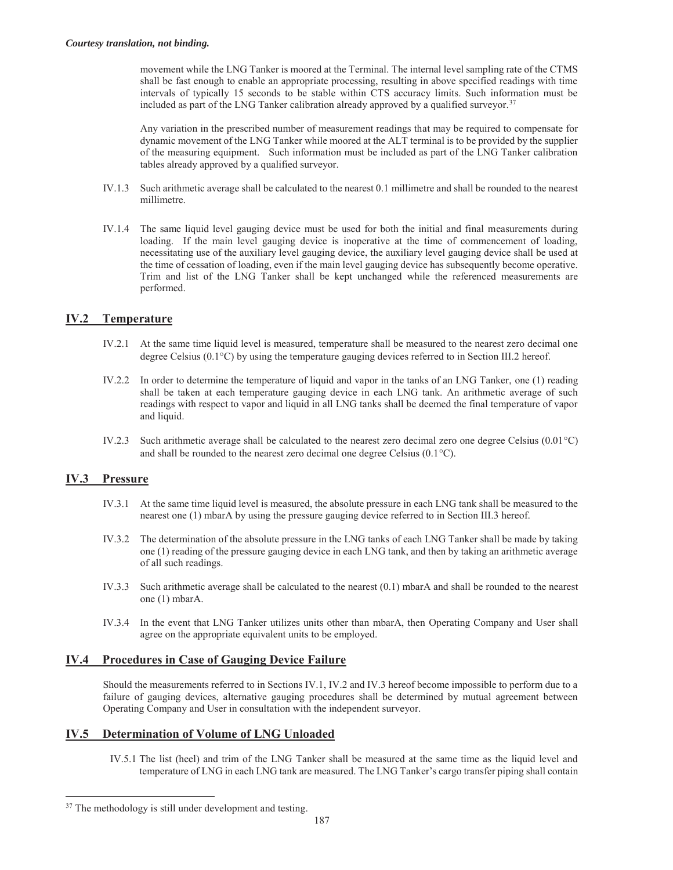movement while the LNG Tanker is moored at the Terminal. The internal level sampling rate of the CTMS shall be fast enough to enable an appropriate processing, resulting in above specified readings with time intervals of typically 15 seconds to be stable within CTS accuracy limits. Such information must be included as part of the LNG Tanker calibration already approved by a qualified surveyor.<sup>37</sup>

Any variation in the prescribed number of measurement readings that may be required to compensate for dynamic movement of the LNG Tanker while moored at the ALT terminal is to be provided by the supplier of the measuring equipment. Such information must be included as part of the LNG Tanker calibration tables already approved by a qualified surveyor.

- IV.1.3 Such arithmetic average shall be calculated to the nearest 0.1 millimetre and shall be rounded to the nearest millimetre.
- IV.1.4 The same liquid level gauging device must be used for both the initial and final measurements during loading. If the main level gauging device is inoperative at the time of commencement of loading, necessitating use of the auxiliary level gauging device, the auxiliary level gauging device shall be used at the time of cessation of loading, even if the main level gauging device has subsequently become operative. Trim and list of the LNG Tanker shall be kept unchanged while the referenced measurements are performed.

#### **IV.2 Temperature**

- IV.2.1 At the same time liquid level is measured, temperature shall be measured to the nearest zero decimal one degree Celsius  $(0.1^{\circ}C)$  by using the temperature gauging devices referred to in Section III.2 hereof.
- IV.2.2 In order to determine the temperature of liquid and vapor in the tanks of an LNG Tanker, one (1) reading shall be taken at each temperature gauging device in each LNG tank. An arithmetic average of such readings with respect to vapor and liquid in all LNG tanks shall be deemed the final temperature of vapor and liquid.
- IV.2.3 Such arithmetic average shall be calculated to the nearest zero decimal zero one degree Celsius  $(0.01^{\circ}C)$ and shall be rounded to the nearest zero decimal one degree Celsius  $(0.1^{\circ}C)$ .

#### **IV.3 Pressure**

 $\overline{a}$ 

- IV.3.1 At the same time liquid level is measured, the absolute pressure in each LNG tank shall be measured to the nearest one (1) mbarA by using the pressure gauging device referred to in Section III.3 hereof.
- IV.3.2 The determination of the absolute pressure in the LNG tanks of each LNG Tanker shall be made by taking one (1) reading of the pressure gauging device in each LNG tank, and then by taking an arithmetic average of all such readings.
- IV.3.3 Such arithmetic average shall be calculated to the nearest (0.1) mbarA and shall be rounded to the nearest one (1) mbarA.
- IV.3.4 In the event that LNG Tanker utilizes units other than mbarA, then Operating Company and User shall agree on the appropriate equivalent units to be employed.

#### **IV.4 Procedures in Case of Gauging Device Failure**

Should the measurements referred to in Sections IV.1, IV.2 and IV.3 hereof become impossible to perform due to a failure of gauging devices, alternative gauging procedures shall be determined by mutual agreement between Operating Company and User in consultation with the independent surveyor.

#### **IV.5 Determination of Volume of LNG Unloaded**

IV.5.1 The list (heel) and trim of the LNG Tanker shall be measured at the same time as the liquid level and temperature of LNG in each LNG tank are measured. The LNG Tanker's cargo transfer piping shall contain

<sup>&</sup>lt;sup>37</sup> The methodology is still under development and testing.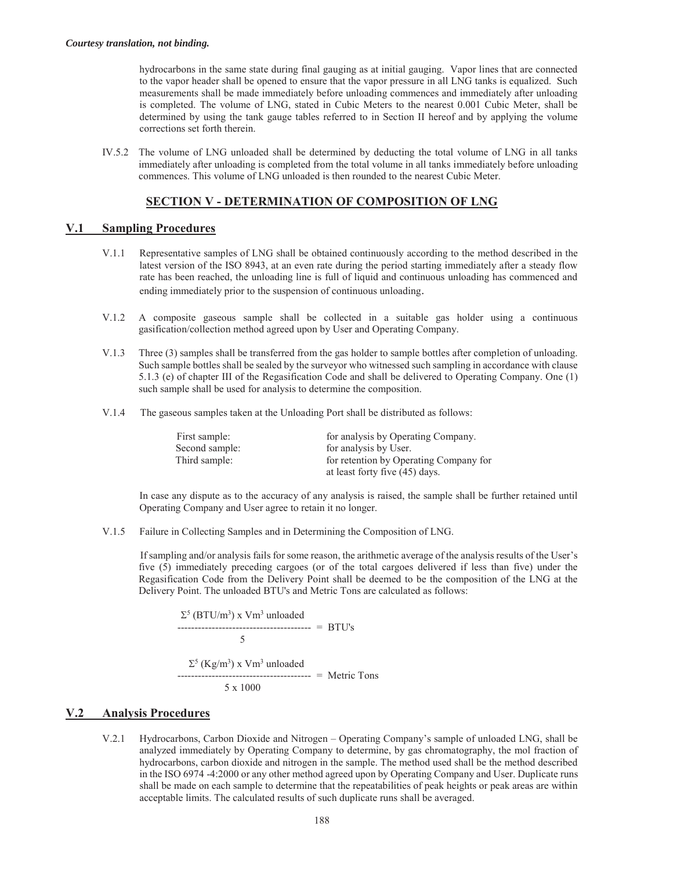hydrocarbons in the same state during final gauging as at initial gauging. Vapor lines that are connected to the vapor header shall be opened to ensure that the vapor pressure in all LNG tanks is equalized. Such measurements shall be made immediately before unloading commences and immediately after unloading is completed. The volume of LNG, stated in Cubic Meters to the nearest 0.001 Cubic Meter, shall be determined by using the tank gauge tables referred to in Section II hereof and by applying the volume corrections set forth therein.

IV.5.2 The volume of LNG unloaded shall be determined by deducting the total volume of LNG in all tanks immediately after unloading is completed from the total volume in all tanks immediately before unloading commences. This volume of LNG unloaded is then rounded to the nearest Cubic Meter.

#### **SECTION V - DETERMINATION OF COMPOSITION OF LNG**

#### **V.1 Sampling Procedures**

- V.1.1 Representative samples of LNG shall be obtained continuously according to the method described in the latest version of the ISO 8943, at an even rate during the period starting immediately after a steady flow rate has been reached, the unloading line is full of liquid and continuous unloading has commenced and ending immediately prior to the suspension of continuous unloading.
- V.1.2 A composite gaseous sample shall be collected in a suitable gas holder using a continuous gasification/collection method agreed upon by User and Operating Company.
- V.1.3 Three (3) samples shall be transferred from the gas holder to sample bottles after completion of unloading. Such sample bottles shall be sealed by the surveyor who witnessed such sampling in accordance with clause 5.1.3 (e) of chapter III of the Regasification Code and shall be delivered to Operating Company. One (1) such sample shall be used for analysis to determine the composition.
- V.1.4 The gaseous samples taken at the Unloading Port shall be distributed as follows:

| First sample:  | for analysis by Operating Company.     |
|----------------|----------------------------------------|
| Second sample: | for analysis by User.                  |
| Third sample:  | for retention by Operating Company for |
|                | at least forty five (45) days.         |

In case any dispute as to the accuracy of any analysis is raised, the sample shall be further retained until Operating Company and User agree to retain it no longer.

V.1.5 Failure in Collecting Samples and in Determining the Composition of LNG.

If sampling and/or analysis fails for some reason, the arithmetic average of the analysis results of the User's five (5) immediately preceding cargoes (or of the total cargoes delivered if less than five) under the Regasification Code from the Delivery Point shall be deemed to be the composition of the LNG at the Delivery Point. The unloaded BTU's and Metric Tons are calculated as follows:

$$
\Sigma^{5} (BTU/m^{3}) \times Vm^{3} \text{ unloaded}
$$
  

$$
5
$$
  

$$
\Sigma^{5} (Kg/m^{3}) \times Vm^{3} \text{ unloaded}
$$
  

$$
5 \times 1000
$$
  

$$
5 \times 1000
$$

#### **V.2 Analysis Procedures**

V.2.1 Hydrocarbons, Carbon Dioxide and Nitrogen – Operating Company's sample of unloaded LNG, shall be analyzed immediately by Operating Company to determine, by gas chromatography, the mol fraction of hydrocarbons, carbon dioxide and nitrogen in the sample. The method used shall be the method described in the ISO 6974 -4:2000 or any other method agreed upon by Operating Company and User. Duplicate runs shall be made on each sample to determine that the repeatabilities of peak heights or peak areas are within acceptable limits. The calculated results of such duplicate runs shall be averaged.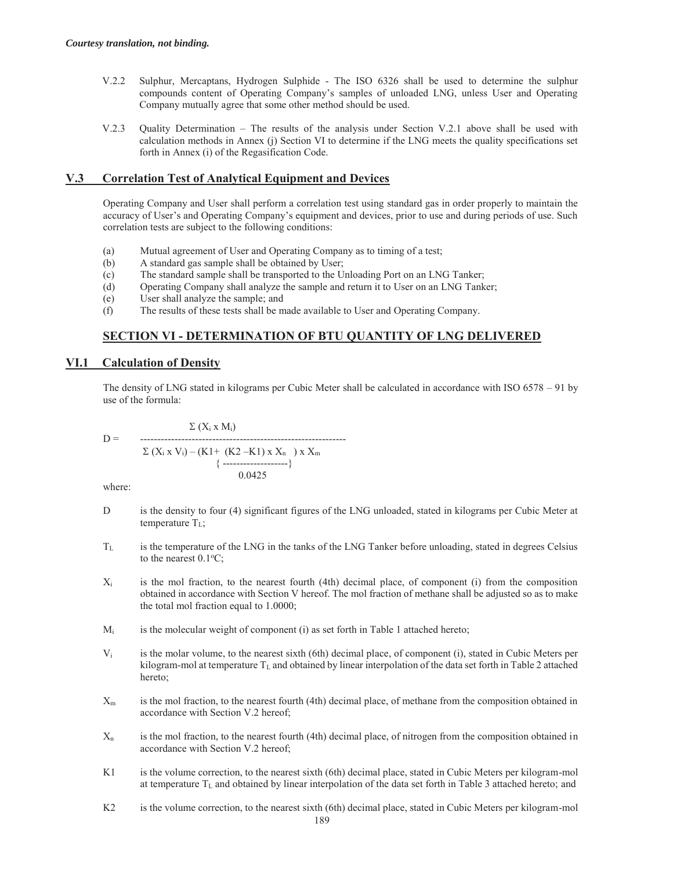- V.2.2 Sulphur, Mercaptans, Hydrogen Sulphide The ISO 6326 shall be used to determine the sulphur compounds content of Operating Company's samples of unloaded LNG, unless User and Operating Company mutually agree that some other method should be used.
- V.2.3 Quality Determination The results of the analysis under Section V.2.1 above shall be used with calculation methods in Annex (j) Section VI to determine if the LNG meets the quality specifications set forth in Annex (i) of the Regasification Code.

# **V.3 Correlation Test of Analytical Equipment and Devices**

Operating Company and User shall perform a correlation test using standard gas in order properly to maintain the accuracy of User's and Operating Company's equipment and devices, prior to use and during periods of use. Such correlation tests are subject to the following conditions:

- (a) Mutual agreement of User and Operating Company as to timing of a test;
- (b) A standard gas sample shall be obtained by User;
- (c) The standard sample shall be transported to the Unloading Port on an LNG Tanker;
- (d) Operating Company shall analyze the sample and return it to User on an LNG Tanker;
- (e) User shall analyze the sample; and
- (f) The results of these tests shall be made available to User and Operating Company.

# **SECTION VI - DETERMINATION OF BTU QUANTITY OF LNG DELIVERED**

## **VI.1 Calculation of Density**

The density of LNG stated in kilograms per Cubic Meter shall be calculated in accordance with ISO 6578 – 91 by use of the formula:

$$
D = \n\begin{array}{c}\n\Sigma (X_i \times M_i) \\
-\n\text{---}\n\sum (X_i \times V_i) - (K1 + (K2 - K1) \times X_n) \times X_m \\
\{\n\text{---}\n\end{array}
$$

where:

- D is the density to four (4) significant figures of the LNG unloaded, stated in kilograms per Cubic Meter at temperature  $T_L$ ;
- TL is the temperature of the LNG in the tanks of the LNG Tanker before unloading, stated in degrees Celsius to the nearest  $0.1$ <sup>o</sup>C;
- $X_i$  is the mol fraction, to the nearest fourth (4th) decimal place, of component (i) from the composition obtained in accordance with Section V hereof. The mol fraction of methane shall be adjusted so as to make the total mol fraction equal to 1.0000;
- $M_i$  is the molecular weight of component (i) as set forth in Table 1 attached hereto;
- $V_i$  is the molar volume, to the nearest sixth (6th) decimal place, of component (i), stated in Cubic Meters per kilogram-mol at temperature  $T_L$  and obtained by linear interpolation of the data set forth in Table 2 attached hereto;
- Xm is the mol fraction, to the nearest fourth (4th) decimal place, of methane from the composition obtained in accordance with Section V.2 hereof;
- $X_n$  is the mol fraction, to the nearest fourth (4th) decimal place, of nitrogen from the composition obtained in accordance with Section V.2 hereof;
- K1 is the volume correction, to the nearest sixth (6th) decimal place, stated in Cubic Meters per kilogram-mol at temperature TL and obtained by linear interpolation of the data set forth in Table 3 attached hereto; and
- K2 is the volume correction, to the nearest sixth (6th) decimal place, stated in Cubic Meters per kilogram-mol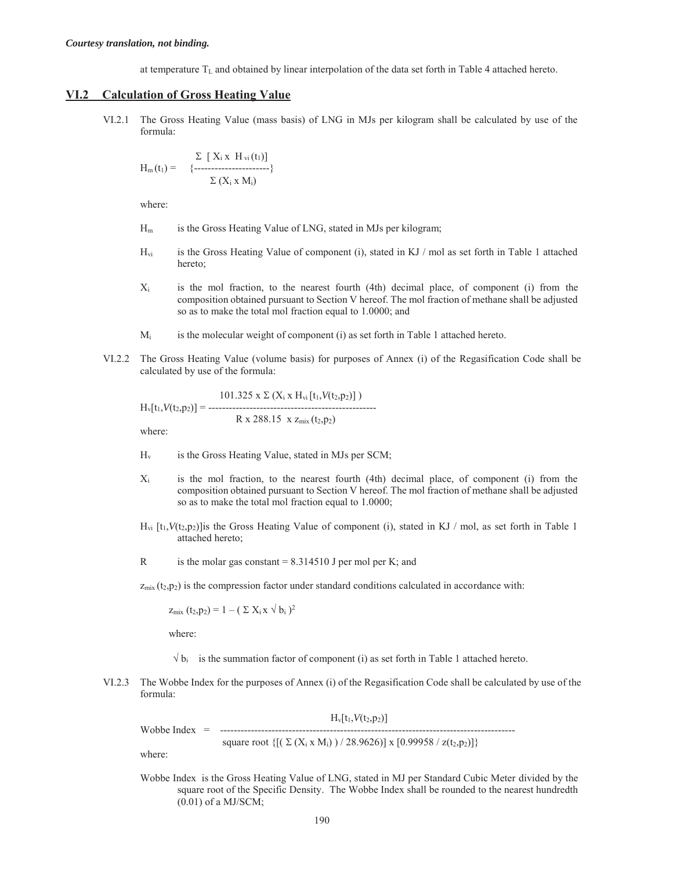at temperature  $T<sub>L</sub>$  and obtained by linear interpolation of the data set forth in Table 4 attached hereto.

#### **VI.2 Calculation of Gross Heating Value**

 VI.2.1 The Gross Heating Value (mass basis) of LNG in MJs per kilogram shall be calculated by use of the formula:

$$
H_m(t_1) = \begin{cases} \sum \left[ \begin{array}{c} X_i \times H_{vi}(t_1) \end{array} \right] \\ \left\{ \begin{array}{c} \left\{ \begin{array}{c} \text{---}\end{array} \right. \\ \sum \left( \begin{array}{c} X_i \times M_i \end{array} \right) \end{cases} \right\} \end{cases}
$$

where:

- Hm is the Gross Heating Value of LNG, stated in MJs per kilogram;
- $H_{vi}$  is the Gross Heating Value of component (i), stated in KJ / mol as set forth in Table 1 attached hereto;
- Xi is the mol fraction, to the nearest fourth (4th) decimal place, of component (i) from the composition obtained pursuant to Section V hereof. The mol fraction of methane shall be adjusted so as to make the total mol fraction equal to 1.0000; and
- $M_i$  is the molecular weight of component (i) as set forth in Table 1 attached hereto.
- VI.2.2 The Gross Heating Value (volume basis) for purposes of Annex (i) of the Regasification Code shall be calculated by use of the formula:

$$
H_v[t_1, V(t_2, p_2)] = \frac{101.325 \times \Sigma (X_i \times H_{vi}[t_1, V(t_2, p_2)])}{R \times 288.15 \times z_{mix}(t_2, p_2)}
$$

where:

- $H_v$  is the Gross Heating Value, stated in MJs per SCM;
- Xi is the mol fraction, to the nearest fourth (4th) decimal place, of component (i) from the composition obtained pursuant to Section V hereof. The mol fraction of methane shall be adjusted so as to make the total mol fraction equal to 1.0000;
- $H_{\nu i}$  [t<sub>1</sub>,  $V(t_2, p_2)$ ] is the Gross Heating Value of component (i), stated in KJ / mol, as set forth in Table 1 attached hereto;
- R is the molar gas constant  $= 8.314510$  J per mol per K; and

 $z_{mix}$  ( $t_2$ , $p_2$ ) is the compression factor under standard conditions calculated in accordance with:

 $z_{\text{mix}}(t_2,p_2) = 1 - (\sum X_i x \sqrt{b_i})^2$ 

where:

- $\sqrt{b_i}$  is the summation factor of component (i) as set forth in Table 1 attached hereto.
- VI.2.3 The Wobbe Index for the purposes of Annex (i) of the Regasification Code shall be calculated by use of the formula:

 $H_v[t_1, V(t_2, p_2)]$ Wobbe Index = ------------------------------------------------------------------------------------- square root  $\{[(\Sigma (X_i \times M_i)) / 28.9626)] \times [0.99958 / z(t_2,p_2)]\}$ 

where:

Wobbe Index is the Gross Heating Value of LNG, stated in MJ per Standard Cubic Meter divided by the square root of the Specific Density. The Wobbe Index shall be rounded to the nearest hundredth (0.01) of a MJ/SCM;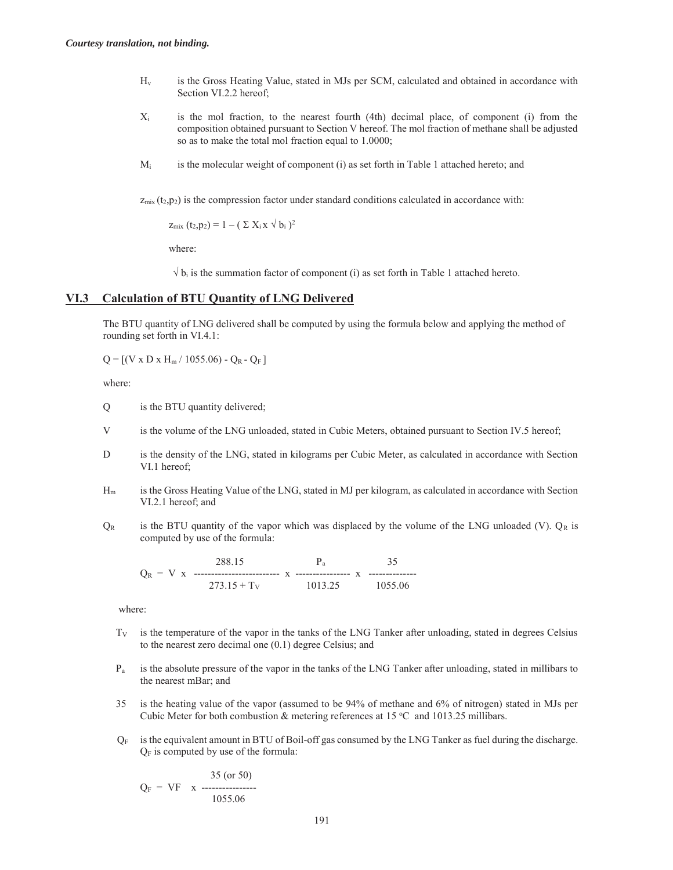- Hv is the Gross Heating Value, stated in MJs per SCM, calculated and obtained in accordance with Section VI.2.2 hereof;
- Xi is the mol fraction, to the nearest fourth (4th) decimal place, of component (i) from the composition obtained pursuant to Section V hereof. The mol fraction of methane shall be adjusted so as to make the total mol fraction equal to 1.0000;
- $M_i$  is the molecular weight of component (i) as set forth in Table 1 attached hereto; and

 $z_{mix}$  (t<sub>2</sub>,p<sub>2</sub>) is the compression factor under standard conditions calculated in accordance with:

 $z_{\text{mix}}(t_2,p_2) = 1 - (\sum X_i x \sqrt{b_i})^2$ 

where:

 $\sqrt{b_i}$  is the summation factor of component (i) as set forth in Table 1 attached hereto.

#### **VI.3 Calculation of BTU Quantity of LNG Delivered**

The BTU quantity of LNG delivered shall be computed by using the formula below and applying the method of rounding set forth in VI.4.1:

 $Q = [(V \times D \times H_m / 1055.06) - Q_R - Q_F]$ 

where:

Q is the BTU quantity delivered;

- V is the volume of the LNG unloaded, stated in Cubic Meters, obtained pursuant to Section IV.5 hereof;
- D is the density of the LNG, stated in kilograms per Cubic Meter, as calculated in accordance with Section VI.1 hereof;
- Hm is the Gross Heating Value of the LNG, stated in MJ per kilogram, as calculated in accordance with Section VI.2.1 hereof; and
- $Q_R$  is the BTU quantity of the vapor which was displaced by the volume of the LNG unloaded (V).  $Q_R$  is computed by use of the formula:

$$
Q_R = V \times \begin{array}{ccc} 288.15 & P_a & 35 \\ 273.15 + T_V & 1013.25 & 1055.06 \end{array}
$$

where:

- $T_V$  is the temperature of the vapor in the tanks of the LNG Tanker after unloading, stated in degrees Celsius to the nearest zero decimal one (0.1) degree Celsius; and
- Pa is the absolute pressure of the vapor in the tanks of the LNG Tanker after unloading, stated in millibars to the nearest mBar; and
- 35 is the heating value of the vapor (assumed to be 94% of methane and 6% of nitrogen) stated in MJs per Cubic Meter for both combustion & metering references at  $15^{\circ}$ C and  $1013.25$  millibars.
- $Q_F$  is the equivalent amount in BTU of Boil-off gas consumed by the LNG Tanker as fuel during the discharge.  $Q_F$  is computed by use of the formula:

 35 (or 50)  $Q_F = VF x$  -----------------1055.06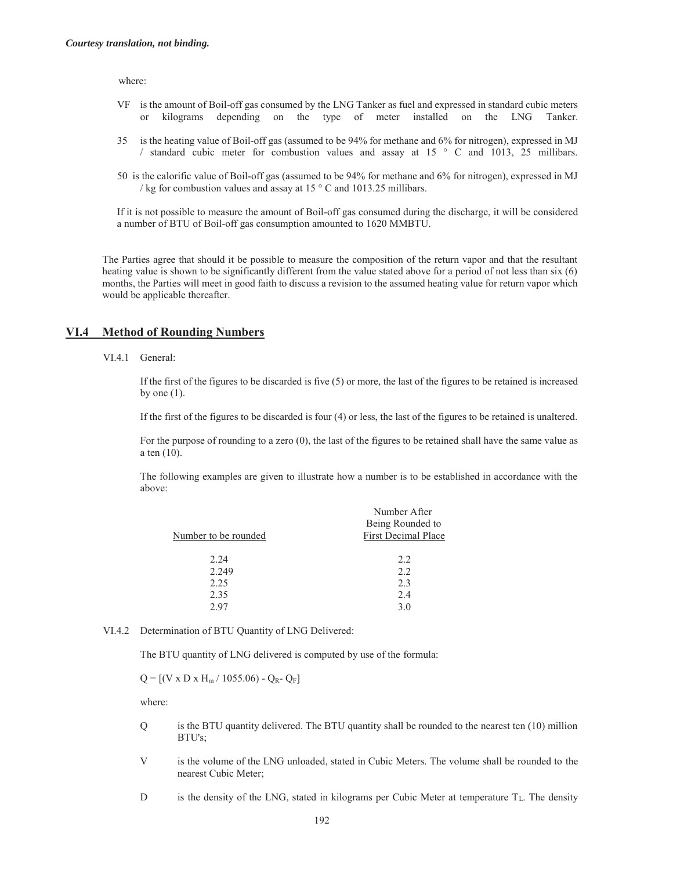where:

- VF is the amount of Boil-off gas consumed by the LNG Tanker as fuel and expressed in standard cubic meters or kilograms depending on the type of meter installed on the LNG Tanker.
- 35 is the heating value of Boil-off gas (assumed to be 94% for methane and 6% for nitrogen), expressed in MJ / standard cubic meter for combustion values and assay at 15 ° C and 1013, 25 millibars.
- 50 is the calorific value of Boil-off gas (assumed to be 94% for methane and 6% for nitrogen), expressed in MJ / kg for combustion values and assay at  $15 \degree$  C and  $1013.25$  millibars.

If it is not possible to measure the amount of Boil-off gas consumed during the discharge, it will be considered a number of BTU of Boil-off gas consumption amounted to 1620 MMBTU.

The Parties agree that should it be possible to measure the composition of the return vapor and that the resultant heating value is shown to be significantly different from the value stated above for a period of not less than six (6) months, the Parties will meet in good faith to discuss a revision to the assumed heating value for return vapor which would be applicable thereafter.

#### **VI.4 Method of Rounding Numbers**

VI.4.1 General:

If the first of the figures to be discarded is five (5) or more, the last of the figures to be retained is increased by one  $(1)$ .

If the first of the figures to be discarded is four (4) or less, the last of the figures to be retained is unaltered.

For the purpose of rounding to a zero (0), the last of the figures to be retained shall have the same value as a ten (10).

The following examples are given to illustrate how a number is to be established in accordance with the above:

|                      | Number After               |
|----------------------|----------------------------|
|                      | Being Rounded to           |
| Number to be rounded | <b>First Decimal Place</b> |
|                      |                            |
| 2.24                 | 2.2                        |
| 2.249                | 2.2                        |
| 2.25                 | 2.3                        |
| 2.35                 | 2.4                        |
| 2.97                 | 3.0                        |
|                      |                            |

#### VI.4.2 Determination of BTU Quantity of LNG Delivered:

The BTU quantity of LNG delivered is computed by use of the formula:

 $Q = [(V \times D \times H_m / 1055.06) - Q_R - Q_F]$ 

where:

- Q is the BTU quantity delivered. The BTU quantity shall be rounded to the nearest ten (10) million BTU's;
- V is the volume of the LNG unloaded, stated in Cubic Meters. The volume shall be rounded to the nearest Cubic Meter;
- D is the density of the LNG, stated in kilograms per Cubic Meter at temperature  $T_L$ . The density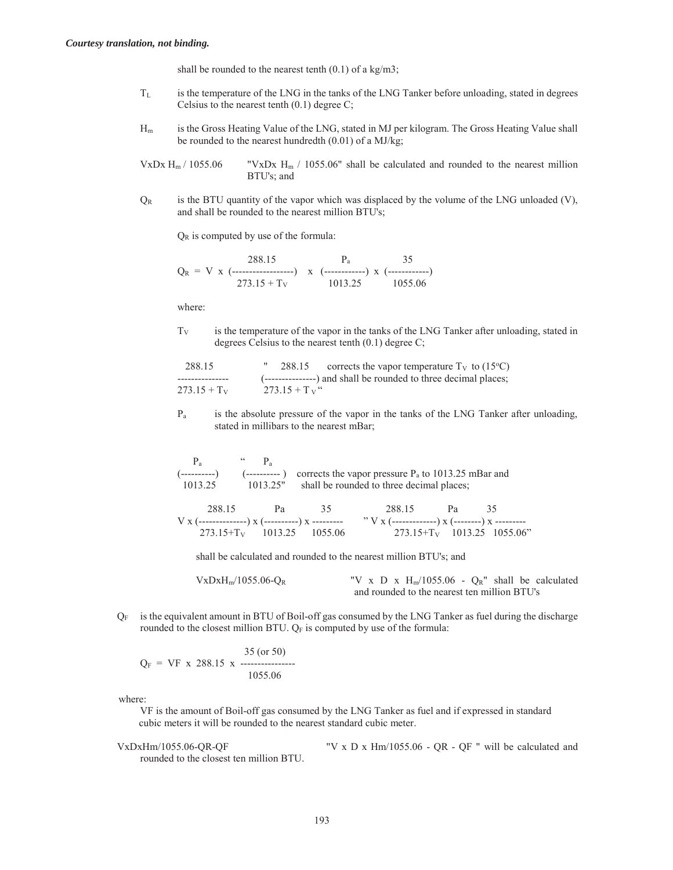shall be rounded to the nearest tenth  $(0.1)$  of a kg/m3;

- $T_L$  is the temperature of the LNG in the tanks of the LNG Tanker before unloading, stated in degrees Celsius to the nearest tenth (0.1) degree C;
- Hm is the Gross Heating Value of the LNG, stated in MJ per kilogram. The Gross Heating Value shall be rounded to the nearest hundredth (0.01) of a MJ/kg;

```
VxDx H_m / 1055.06 "VxDx H_m / 1055.06" shall be calculated and rounded to the nearest million
                       BTU's; and
```
 $Q_R$  is the BTU quantity of the vapor which was displaced by the volume of the LNG unloaded (V), and shall be rounded to the nearest million BTU's;

 $Q_R$  is computed by use of the formula:

$$
Q_R = V \times (\underbrace{288.15}_{273.15 + T_V} ) \times (\underbrace{-. \underbrace{-. \underbrace{.. \underbrace{35}_{1013.25}}}_{1013.25} ) \times (\underbrace{-. \underbrace{.. \underbrace{35}_{1055.06}})_{1055.06}
$$

where:

 $T_V$  is the temperature of the vapor in the tanks of the LNG Tanker after unloading, stated in degrees Celsius to the nearest tenth (0.1) degree C;

| 288.15         | " 288.15      | corrects the vapor temperature $T_V$ to (15 <sup>o</sup> C)     |
|----------------|---------------|-----------------------------------------------------------------|
|                |               | (---------------) and shall be rounded to three decimal places; |
| $273.15 + T_V$ | $273.15 + Tv$ |                                                                 |

 Pa is the absolute pressure of the vapor in the tanks of the LNG Tanker after unloading, stated in millibars to the nearest mBar;

$$
P_a
$$
\n
$$
(-\text{........--})
$$
\n
$$
(-\text{........--})
$$
\n
$$
(-\text{........--})
$$
\n
$$
(-\text{........--})
$$
\n
$$
(-\text{........--})
$$
\n
$$
(-\text{........--})
$$
\n
$$
(-\text{........--})
$$
\n
$$
(\text{........--})
$$
\n
$$
(\text{........--})
$$
\n
$$
(\text{........--})
$$
\n
$$
(\text{........--})
$$
\n
$$
(\text{........--})
$$
\n
$$
(\text{........--})
$$
\n
$$
(\text{........--})
$$
\n
$$
(\text{........--})
$$
\n
$$
(\text{........--})
$$
\n
$$
(\text{........--})
$$
\n
$$
(\text{........--})
$$
\n
$$
(\text{........--})
$$
\n
$$
(\text{........--})
$$
\n
$$
(\text{........--})
$$
\n
$$
(\text{........--})
$$
\n
$$
(\text{........--})
$$
\n
$$
(\text{........--})
$$
\n
$$
(\text{........--})
$$
\n
$$
(\text{........--})
$$
\n
$$
(\text{........--})
$$
\n
$$
(\text{........--})
$$
\n
$$
(\text{........--})
$$
\n
$$
(\text{........--})
$$
\n
$$
(\text{........--})
$$
\n
$$
(\text{........--})
$$
\n
$$
(\text{........--})
$$
\n
$$
(\text{........--})
$$
\n
$$
(\text{........--})
$$
\n
$$
(\text{........--})
$$
\n
$$
(\text{........--})
$$
\n
$$
(\text{........--})
$$
\n
$$
(\text{........--})
$$
\n
$$
(\text{........--})
$$
\n
$$
(\text{........--})
$$
\n
$$
(\text{........--})
$$
\n
$$
(\text{........--})
$$
\n
$$
(\text{........--})
$$
\n
$$
(\text{........--})
$$
\n
$$
(\text{........--})
$$
\n
$$
(\text{........
$$

 288.15 Pa 35 288.15 Pa 35 V x (--------------) x (----------) x --------- " V x (-------------) x (--------) x --------- 273.15+TV 1013.25 1055.06 273.15+TV 1013.25 1055.06"

shall be calculated and rounded to the nearest million BTU's; and

VxDxH<sub>m</sub>/1055.06-Q<sub>R</sub> "V x D x H<sub>m</sub>/1055.06 - Q<sub>R</sub>" shall be calculated and rounded to the nearest ten million BTU's

 $Q_F$  is the equivalent amount in BTU of Boil-off gas consumed by the LNG Tanker as fuel during the discharge rounded to the closest million BTU. QF is computed by use of the formula:

$$
Q_F = VF x 288.15 x 35 (or 50)
$$
  
1055.06

where:

 VF is the amount of Boil-off gas consumed by the LNG Tanker as fuel and if expressed in standard cubic meters it will be rounded to the nearest standard cubic meter.

VxDxHm/1055.06-QR-QF "V x D x Hm/1055.06 - QR - QF " will be calculated and rounded to the closest ten million BTU.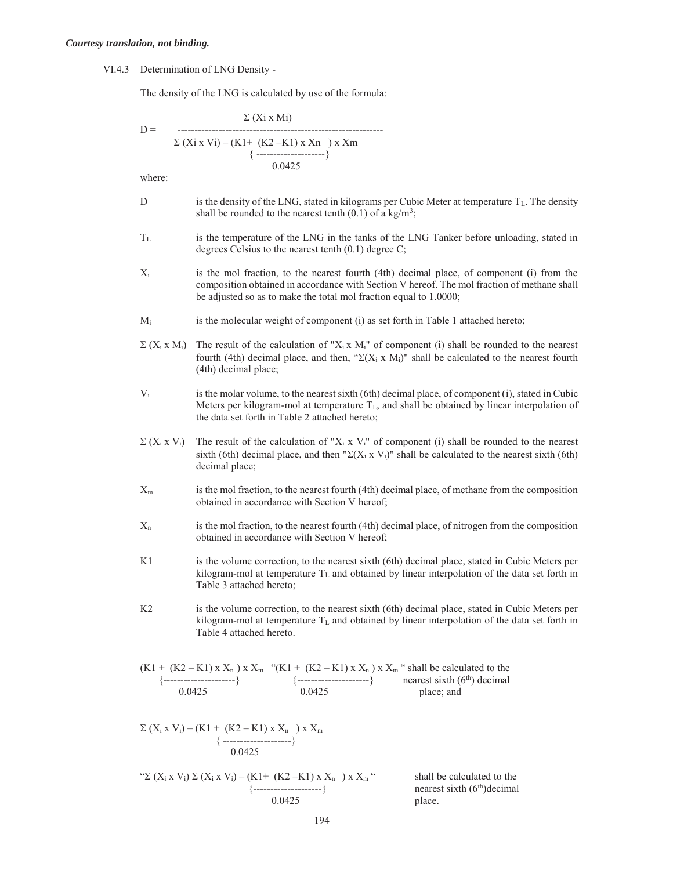VI.4.3 Determination of LNG Density -

The density of the LNG is calculated by use of the formula:

$$
D = \frac{\sum (Xi \times Mi)}{\sum (Xi \times Vi) - (KI + (K2 - K1) \times Xn) \times Xm}
$$
  
{\n
$$
\underbrace{1.75 \times (1.75 - 1.75)}_{(1.75 - 1.75 - 1.75)} \times (1.75 - 1.75)
$$
  
0.0425

where:

- D is the density of the LNG, stated in kilograms per Cubic Meter at temperature  $T_L$ . The density shall be rounded to the nearest tenth  $(0.1)$  of a kg/m<sup>3</sup>;
- $T_L$  is the temperature of the LNG in the tanks of the LNG Tanker before unloading, stated in degrees Celsius to the nearest tenth (0.1) degree C;
- X<sub>i</sub> is the mol fraction, to the nearest fourth (4th) decimal place, of component (i) from the composition obtained in accordance with Section V hereof. The mol fraction of methane shall be adjusted so as to make the total mol fraction equal to 1.0000;
- $M_i$  is the molecular weight of component (i) as set forth in Table 1 attached hereto;
- $\Sigma$  (X<sub>i</sub> x M<sub>i</sub>) The result of the calculation of "X<sub>i</sub> x M<sub>i</sub>" of component (i) shall be rounded to the nearest fourth (4th) decimal place, and then, " $\Sigma(X_i \times M_i)$ " shall be calculated to the nearest fourth (4th) decimal place;
- $V_i$  is the molar volume, to the nearest sixth (6th) decimal place, of component (i), stated in Cubic Meters per kilogram-mol at temperature  $T_L$ , and shall be obtained by linear interpolation of the data set forth in Table 2 attached hereto;
- $\Sigma$  (X<sub>i</sub> x V<sub>i</sub>) The result of the calculation of "X<sub>i</sub> x V<sub>i</sub>" of component (i) shall be rounded to the nearest sixth (6th) decimal place, and then " $\Sigma(X_i \times V_i)$ " shall be calculated to the nearest sixth (6th) decimal place;
- $X<sub>m</sub>$  is the mol fraction, to the nearest fourth (4th) decimal place, of methane from the composition obtained in accordance with Section V hereof;
- $X_n$  is the mol fraction, to the nearest fourth (4th) decimal place, of nitrogen from the composition obtained in accordance with Section V hereof;
- K1 is the volume correction, to the nearest sixth (6th) decimal place, stated in Cubic Meters per kilogram-mol at temperature T<sub>L</sub> and obtained by linear interpolation of the data set forth in Table 3 attached hereto;
- K2 is the volume correction, to the nearest sixth (6th) decimal place, stated in Cubic Meters per kilogram-mol at temperature T<sub>L</sub> and obtained by linear interpolation of the data set forth in Table 4 attached hereto.

(K1 + (K2 – K1) x Xn ) x Xm "(K1 + (K2 – K1) x Xn ) x Xm " shall be calculated to the {---------------------} {---------------------} nearest sixth (6th) decimal 0.0425 0.0425 place; and

$$
\Sigma (X_i x V_i) - (K1 + (K2 - K1) x X_n) x X_m
$$
  
{  
.................}  
0.0425

"
$$
\Sigma (X_i \times V_i) \Sigma (X_i \times V_i) - (K1 + (K2 - K1) \times X_n) \times X_m
$$
" shall be  
{  
{  
0.0425}\n0.0425

shall be calculated to the nearest sixth  $(6<sup>th</sup>)$ decimal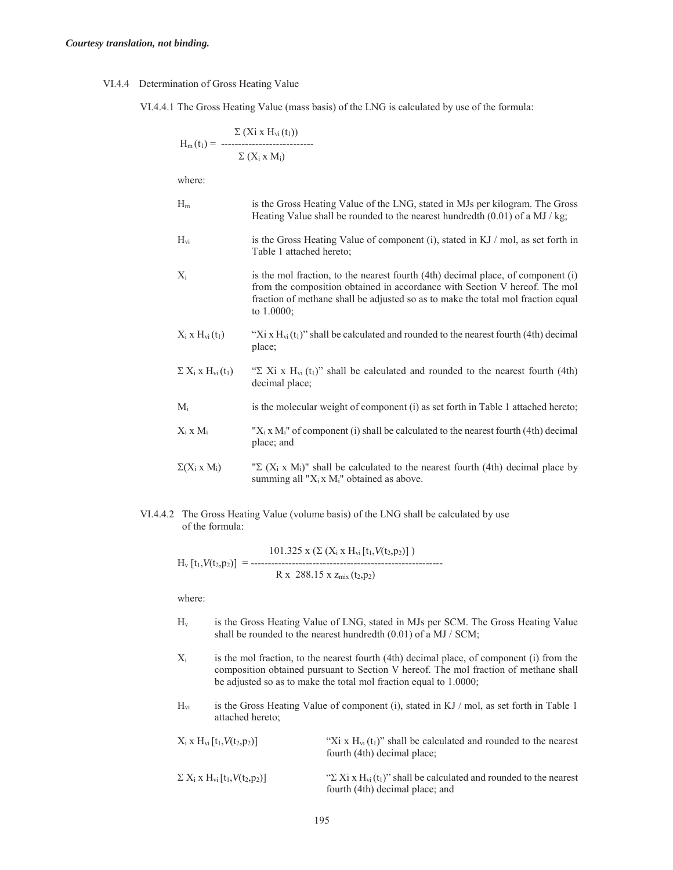#### VI.4.4 Determination of Gross Heating Value

VI.4.4.1 The Gross Heating Value (mass basis) of the LNG is calculated by use of the formula:

$$
H_m(t_1) = \frac{\Sigma (Xi \times H_{vi}(t_1))}{\Sigma (X_i \times M_i)}
$$

where:

- Hm is the Gross Heating Value of the LNG, stated in MJs per kilogram. The Gross Heating Value shall be rounded to the nearest hundredth (0.01) of a MJ / kg; Hvi is the Gross Heating Value of component (i), stated in KJ / mol, as set forth in Table 1 attached hereto;  $X_i$  is the mol fraction, to the nearest fourth (4th) decimal place, of component (i)
- from the composition obtained in accordance with Section V hereof. The mol fraction of methane shall be adjusted so as to make the total mol fraction equal to 1.0000;
- $X_i$  x  $H_{vi}$  (t<sub>1</sub>) "Xi x  $H_{vi}$  (t<sub>1</sub>)" shall be calculated and rounded to the nearest fourth (4th) decimal place;
- $\Sigma$  X<sub>i</sub> x H<sub>vi</sub> (t<sub>1</sub>) " $\Sigma$  Xi x H<sub>vi</sub> (t<sub>1</sub>)" shall be calculated and rounded to the nearest fourth (4th) decimal place;
- $M_i$  is the molecular weight of component (i) as set forth in Table 1 attached hereto;
- $X_i$  x  $M_i$   $X_i$  x  $M_i$ " of component (i) shall be calculated to the nearest fourth (4th) decimal place; and
- $\sum (X_i \times M_i)$  " $\sum (X_i \times M_i)$ " shall be calculated to the nearest fourth (4th) decimal place by summing all " $X_i$ x  $M_i$ " obtained as above.
- VI.4.4.2 The Gross Heating Value (volume basis) of the LNG shall be calculated by use of the formula:

 $101.325 \text{ x } (\Sigma \text{ (X}_i \text{ x } H_{vi} [t_1, V(t_2, p_2)])$ Hv [t1,*V*(t2,p2)] = --------------------------------------------------------  $R \times 288.15 \times z_{\text{mix}}(t_2,p_2)$ 

where:

- Hv is the Gross Heating Value of LNG, stated in MJs per SCM. The Gross Heating Value shall be rounded to the nearest hundredth (0.01) of a MJ / SCM;
- $X_i$  is the mol fraction, to the nearest fourth (4th) decimal place, of component (i) from the composition obtained pursuant to Section V hereof. The mol fraction of methane shall be adjusted so as to make the total mol fraction equal to 1.0000;
- $H_{vi}$  is the Gross Heating Value of component (i), stated in KJ / mol, as set forth in Table 1 attached hereto;

| $X_i$ x $H_{vi}$ [t <sub>1</sub> , $V(t_2, p_2)$ ]                          | "Xi x $H_{vi}(t_1)$ " shall be calculated and rounded to the nearest<br>fourth (4th) decimal place;                                  |
|-----------------------------------------------------------------------------|--------------------------------------------------------------------------------------------------------------------------------------|
| $\Sigma$ X <sub>i</sub> x H <sub>vi</sub> [t <sub>1</sub> , $V(t_2, p_2)$ ] | " $\Sigma$ Xi x H <sub>vi</sub> (t <sub>1</sub> )" shall be calculated and rounded to the nearest<br>fourth (4th) decimal place; and |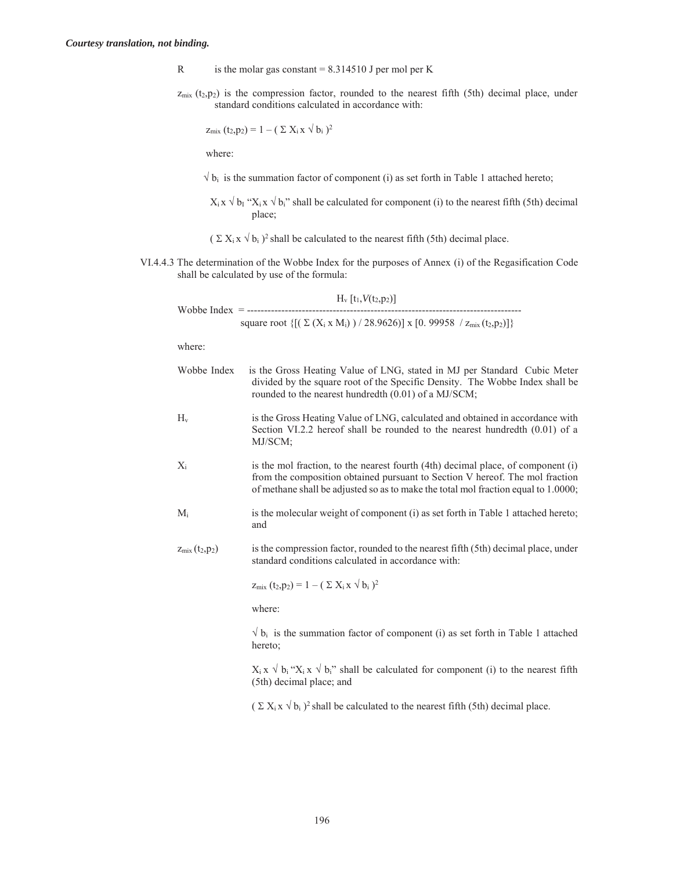- R is the molar gas constant  $= 8.314510$  J per mol per K
- $z<sub>mix</sub>$  (t<sub>2</sub>,p<sub>2</sub>) is the compression factor, rounded to the nearest fifth (5th) decimal place, under standard conditions calculated in accordance with:

$$
z_{mix}(t_2,p_2) = 1 - (\sum X_i x \sqrt{b_i})^2
$$

where:

 $\sqrt{b_i}$  is the summation factor of component (i) as set forth in Table 1 attached hereto;

 $X_i x \vee b_i$  " $X_i x \vee b_i$ " shall be calculated for component (i) to the nearest fifth (5th) decimal place;

 $(\sum X_i x \sqrt{b_i})^2$  shall be calculated to the nearest fifth (5th) decimal place.

VI.4.4.3 The determination of the Wobbe Index for the purposes of Annex (i) of the Regasification Code shall be calculated by use of the formula:

|                    | $H_v[t_1,V(t_2,p_2)]$<br>--------------------<br>Wobbe Index = ---------------------------                                                                                                                                                             |
|--------------------|--------------------------------------------------------------------------------------------------------------------------------------------------------------------------------------------------------------------------------------------------------|
|                    | square root $\{[(\Sigma (X_i \times M_i)) / 28.9626)] \times [0.99958 / Z_{mix}(t_2, p_2)]\}$                                                                                                                                                          |
| where:             |                                                                                                                                                                                                                                                        |
| Wobbe Index        | is the Gross Heating Value of LNG, stated in MJ per Standard Cubic Meter<br>divided by the square root of the Specific Density. The Wobbe Index shall be<br>rounded to the nearest hundredth (0.01) of a MJ/SCM;                                       |
| $H_v$              | is the Gross Heating Value of LNG, calculated and obtained in accordance with<br>Section VI.2.2 hereof shall be rounded to the nearest hundredth $(0.01)$ of a<br>MJ/SCM;                                                                              |
| $X_i$              | is the mol fraction, to the nearest fourth (4th) decimal place, of component (i)<br>from the composition obtained pursuant to Section V hereof. The mol fraction<br>of methane shall be adjusted so as to make the total mol fraction equal to 1.0000; |
| $M_i$              | is the molecular weight of component (i) as set forth in Table 1 attached hereto;<br>and                                                                                                                                                               |
| $z_{mix}(t_2,p_2)$ | is the compression factor, rounded to the nearest fifth (5th) decimal place, under<br>standard conditions calculated in accordance with:                                                                                                               |
|                    | $z_{mix} (t_2, p_2) = 1 - (\sum X_i x \sqrt{b_i})^2$                                                                                                                                                                                                   |
|                    | where:                                                                                                                                                                                                                                                 |
|                    | $\sqrt{b_i}$ is the summation factor of component (i) as set forth in Table 1 attached<br>hereto;                                                                                                                                                      |

 $X_i$  x  $\sqrt{b_i}$  " $X_i$  x  $\sqrt{b_i}$ " shall be calculated for component (i) to the nearest fifth (5th) decimal place; and

 $(\sum X_i x \sqrt{b_i})^2$  shall be calculated to the nearest fifth (5th) decimal place.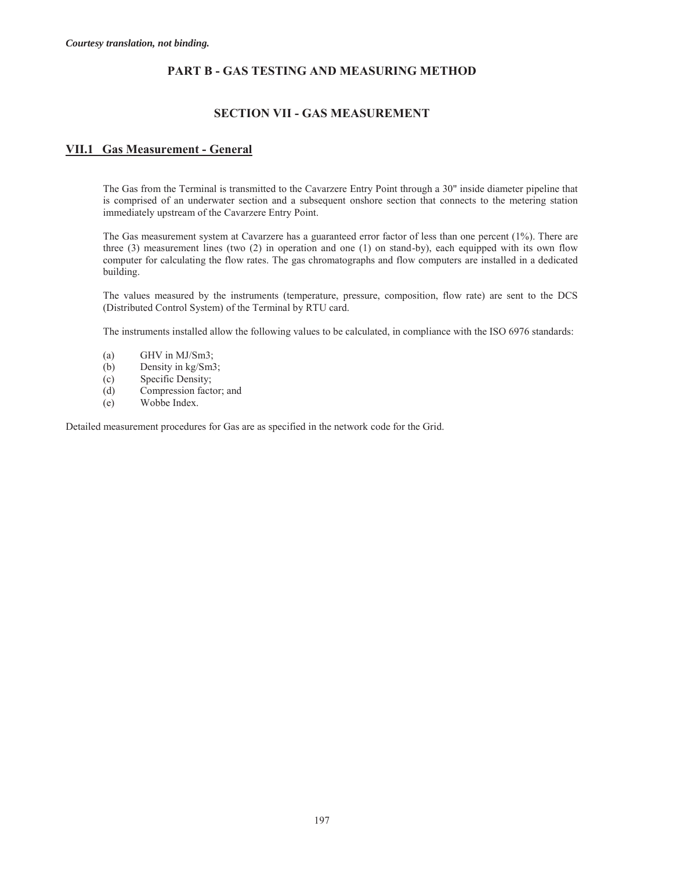#### **PART B - GAS TESTING AND MEASURING METHOD**

#### **SECTION VII - GAS MEASUREMENT**

#### **VII.1 Gas Measurement - General**

The Gas from the Terminal is transmitted to the Cavarzere Entry Point through a 30" inside diameter pipeline that is comprised of an underwater section and a subsequent onshore section that connects to the metering station immediately upstream of the Cavarzere Entry Point.

The Gas measurement system at Cavarzere has a guaranteed error factor of less than one percent (1%). There are three (3) measurement lines (two (2) in operation and one (1) on stand-by), each equipped with its own flow computer for calculating the flow rates. The gas chromatographs and flow computers are installed in a dedicated building.

The values measured by the instruments (temperature, pressure, composition, flow rate) are sent to the DCS (Distributed Control System) of the Terminal by RTU card.

The instruments installed allow the following values to be calculated, in compliance with the ISO 6976 standards:

- (a) GHV in MJ/Sm3;
- (b) Density in kg/Sm3;
- (c) Specific Density;
- (d) Compression factor; and
- (e) Wobbe Index.

Detailed measurement procedures for Gas are as specified in the network code for the Grid.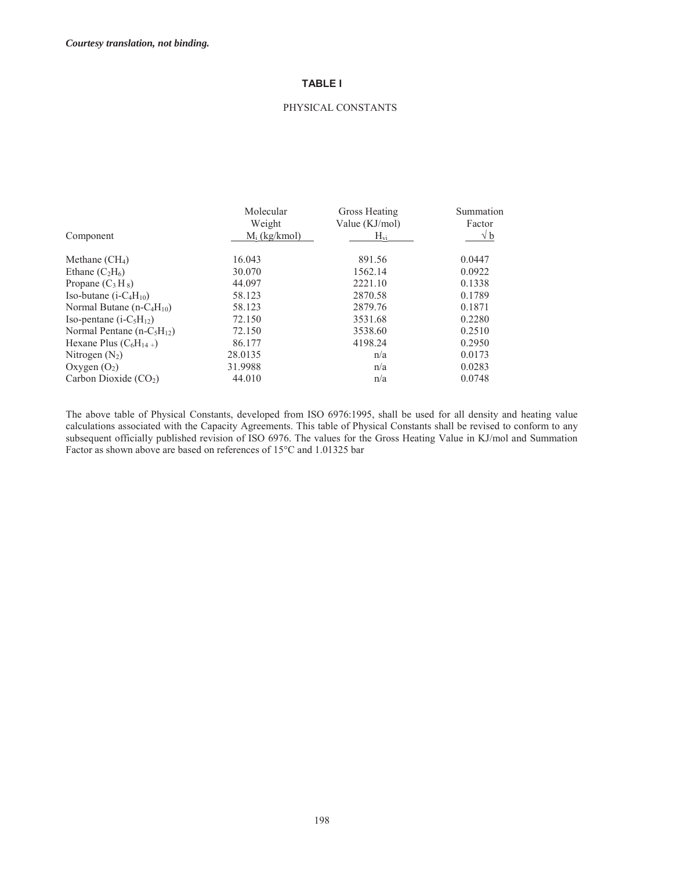#### **TABLE I**

#### PHYSICAL CONSTANTS

|                               | Molecular       | Gross Heating  | Summation  |
|-------------------------------|-----------------|----------------|------------|
|                               | Weight          | Value (KJ/mol) | Factor     |
| Component                     | $M_i$ (kg/kmol) | $H_{vi}$       | $\sqrt{b}$ |
| Methane $(CH_4)$              | 16.043          | 891.56         | 0.0447     |
| Ethane $(C_2H_6)$             | 30.070          | 1562.14        | 0.0922     |
| Propane $(C_3H_8)$            | 44.097          | 2221.10        | 0.1338     |
| Iso-butane $(i-C_4H_{10})$    | 58.123          | 2870.58        | 0.1789     |
| Normal Butane $(n-C_4H_{10})$ | 58.123          | 2879.76        | 0.1871     |
| Iso-pentane $(i-C5H12)$       | 72.150          | 3531.68        | 0.2280     |
| Normal Pentane $(n-C5H12)$    | 72.150          | 3538.60        | 0.2510     |
| Hexane Plus $(C_6H_{14+})$    | 86.177          | 4198.24        | 0.2950     |
| Nitrogen $(N_2)$              | 28.0135         | n/a            | 0.0173     |
| Oxygen $(O_2)$                | 31.9988         | n/a            | 0.0283     |
| Carbon Dioxide $(CO2)$        | 44.010          | n/a            | 0.0748     |

The above table of Physical Constants, developed from ISO 6976:1995, shall be used for all density and heating value calculations associated with the Capacity Agreements. This table of Physical Constants shall be revised to conform to any subsequent officially published revision of ISO 6976. The values for the Gross Heating Value in KJ/mol and Summation Factor as shown above are based on references of 15°C and 1.01325 bar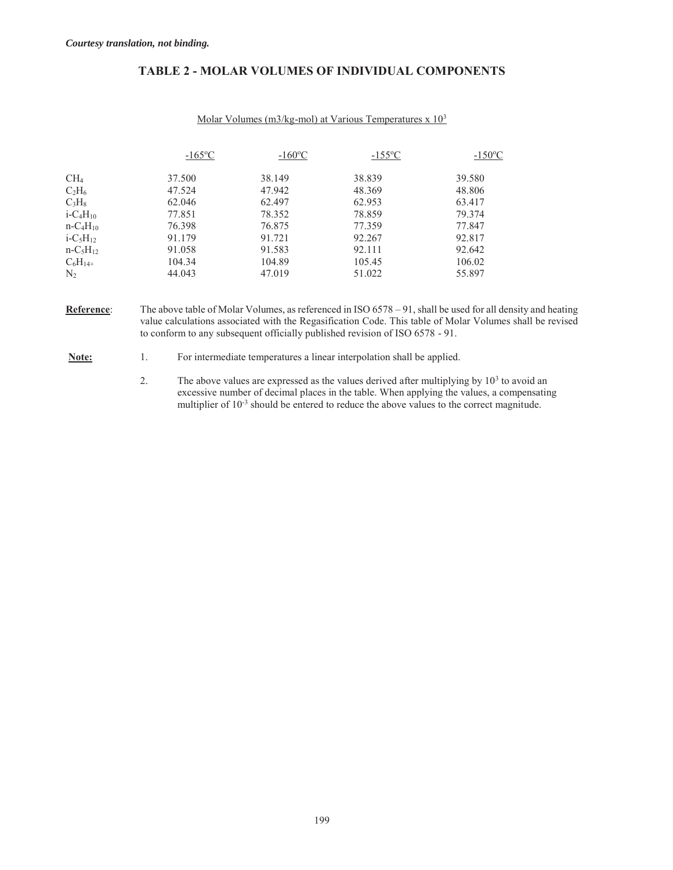| <b>TABLE 2 - MOLAR VOLUMES OF INDIVIDUAL COMPONENTS</b> |  |  |  |
|---------------------------------------------------------|--|--|--|
|---------------------------------------------------------|--|--|--|

|                                     | $-165$ °C | $-160\text{°C}$ | $-155$ °C | $-150$ <sup>o</sup> C |
|-------------------------------------|-----------|-----------------|-----------|-----------------------|
| CH <sub>4</sub>                     | 37.500    | 38.149          | 38.839    | 39.580                |
| $C_2H_6$                            | 47.524    | 47.942          | 48.369    | 48.806                |
| $C_3H_8$                            | 62.046    | 62.497          | 62.953    | 63.417                |
| $i$ -C <sub>4</sub> H <sub>10</sub> | 77.851    | 78.352          | 78.859    | 79.374                |
| $n-C4H10$                           | 76.398    | 76.875          | 77.359    | 77.847                |
| $i - C_5H_{12}$                     | 91.179    | 91.721          | 92.267    | 92.817                |
| $n-C_5H_{12}$                       | 91.058    | 91.583          | 92.111    | 92.642                |
| $C_6H_{14+}$                        | 104.34    | 104.89          | 105.45    | 106.02                |
| N <sub>2</sub>                      | 44.043    | 47.019          | 51.022    | 55.897                |

**Reference**: The above table of Molar Volumes, as referenced in ISO 6578 – 91, shall be used for all density and heating value calculations associated with the Regasification Code. This table of Molar Volumes shall be revised to conform to any subsequent officially published revision of ISO 6578 - 91.

**Note:** 1. For intermediate temperatures a linear interpolation shall be applied.

2. The above values are expressed as the values derived after multiplying by  $10<sup>3</sup>$  to avoid an excessive number of decimal places in the table. When applying the values, a compensating multiplier of  $10^{-3}$  should be entered to reduce the above values to the correct magnitude.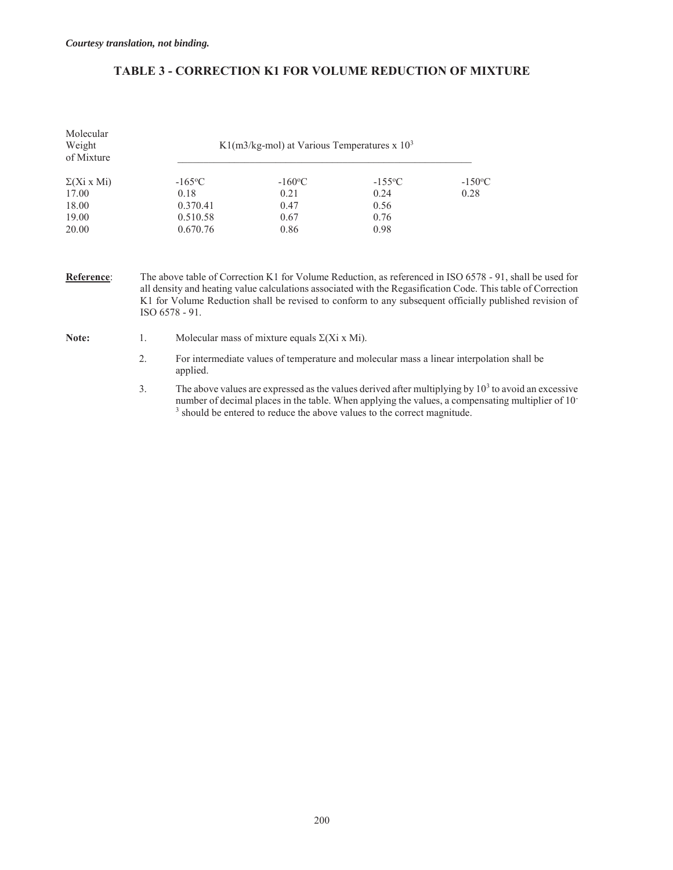# **TABLE 3 - CORRECTION K1 FOR VOLUME REDUCTION OF MIXTURE**

| Molecular<br>Weight<br>of Mixture | K1(m3/kg-mol) at Various Temperatures $x$ 10 <sup>3</sup> |                 |           |                  |  |
|-----------------------------------|-----------------------------------------------------------|-----------------|-----------|------------------|--|
| $\Sigma(Xi \times Mi)$            | $-165$ °C                                                 | $-160\text{°C}$ | $-155$ °C | $-150^{\circ}$ C |  |
| 17.00                             | 0.18                                                      | 0.21            | 0.24      | 0.28             |  |
| 18.00                             | 0.370.41                                                  | 0.47            | 0.56      |                  |  |
| 19.00                             | 0.510.58                                                  | 0.67            | 0.76      |                  |  |
| 20.00                             | 0.670.76                                                  | 0.86            | 0.98      |                  |  |

**Reference**: The above table of Correction K1 for Volume Reduction, as referenced in ISO 6578 - 91, shall be used for all density and heating value calculations associated with the Regasification Code. This table of Correction K1 for Volume Reduction shall be revised to conform to any subsequent officially published revision of ISO 6578 - 91.

- **Note:** 1. Molecular mass of mixture equals  $\Sigma(Xi \times Mi)$ .
	- 2. For intermediate values of temperature and molecular mass a linear interpolation shall be applied.
	- 3. The above values are expressed as the values derived after multiplying by  $10<sup>3</sup>$  to avoid an excessive number of decimal places in the table. When applying the values, a compensating multiplier of 10- <sup>3</sup> should be entered to reduce the above values to the correct magnitude.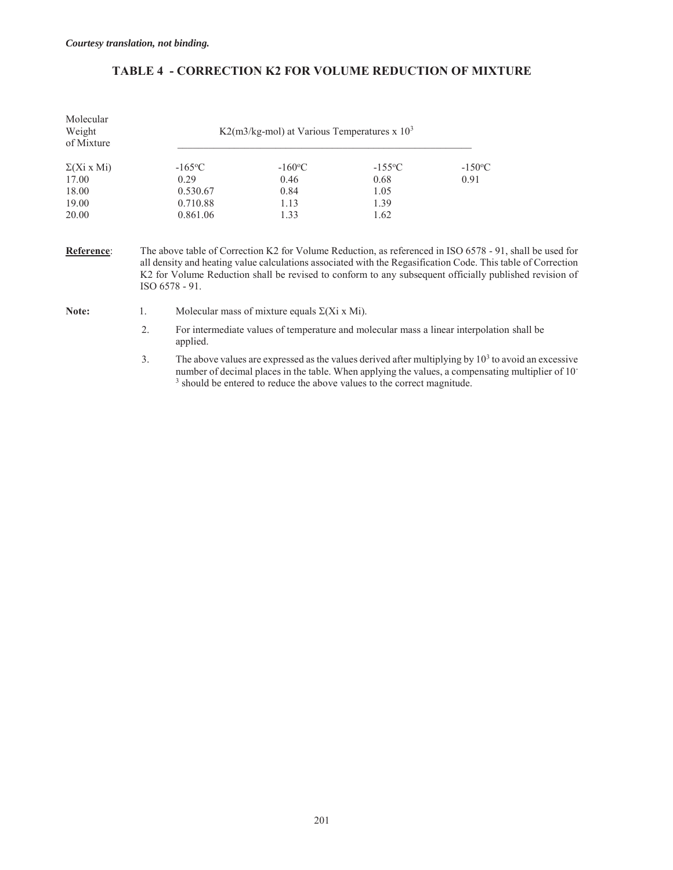| <b>TABLE 4 - CORRECTION K2 FOR VOLUME REDUCTION OF MIXTURE</b> |  |  |
|----------------------------------------------------------------|--|--|
|                                                                |  |  |

| Molecular<br>Weight<br>of Mixture |                  | K2(m3/kg-mol) at Various Temperatures x $10^3$                                |                       |                                                                                                                                                                                                                                                                                                                                    |
|-----------------------------------|------------------|-------------------------------------------------------------------------------|-----------------------|------------------------------------------------------------------------------------------------------------------------------------------------------------------------------------------------------------------------------------------------------------------------------------------------------------------------------------|
| $\Sigma(Xi \times Mi)$            | $-165$ °C        | $-160^{\circ}$ C                                                              | $-155$ <sup>o</sup> C | $-150$ <sup>o</sup> C                                                                                                                                                                                                                                                                                                              |
| 17.00                             | 0.29             | 0.46                                                                          | 0.68                  | 0.91                                                                                                                                                                                                                                                                                                                               |
| 18.00                             | 0.530.67         | 0.84                                                                          | 1.05                  |                                                                                                                                                                                                                                                                                                                                    |
| 19.00                             | 0.710.88         | 1.13                                                                          | 1.39                  |                                                                                                                                                                                                                                                                                                                                    |
| 20.00                             | 0.861.06         | 1.33                                                                          | 1.62                  |                                                                                                                                                                                                                                                                                                                                    |
| Reference:                        | $ISO 6578 - 91.$ |                                                                               |                       | The above table of Correction K2 for Volume Reduction, as referenced in ISO 6578 - 91, shall be used for<br>all density and heating value calculations associated with the Regasification Code. This table of Correction<br>K2 for Volume Reduction shall be revised to conform to any subsequent officially published revision of |
| $N0$ too                          |                  | Molocular mass of mixture caugh $\nabla(\mathbf{V}; \mathbf{v}   \mathbf{M})$ |                       |                                                                                                                                                                                                                                                                                                                                    |

- **Note:** 1. Molecular mass of mixture equals  $\Sigma(Xi \times Mi)$ .
	- 2. For intermediate values of temperature and molecular mass a linear interpolation shall be applied.
	- 3. The above values are expressed as the values derived after multiplying by  $10<sup>3</sup>$  to avoid an excessive number of decimal places in the table. When applying the values, a compensating multiplier of 10<sup>-3</sup> should be entered to reduce the above values to the correct magnitude.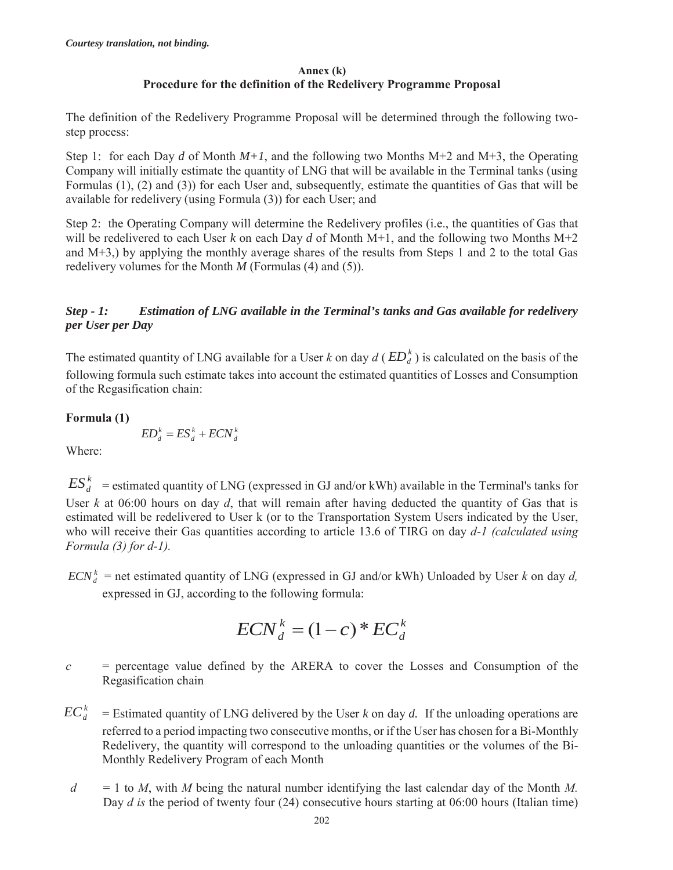## **Annex (k) Procedure for the definition of the Redelivery Programme Proposal**

The definition of the Redelivery Programme Proposal will be determined through the following twostep process:

Step 1: for each Day *d* of Month  $M+1$ , and the following two Months  $M+2$  and  $M+3$ , the Operating Company will initially estimate the quantity of LNG that will be available in the Terminal tanks (using Formulas (1), (2) and (3)) for each User and, subsequently, estimate the quantities of Gas that will be available for redelivery (using Formula (3)) for each User; and

Step 2: the Operating Company will determine the Redelivery profiles (i.e., the quantities of Gas that will be redelivered to each User *k* on each Day *d* of Month M+1, and the following two Months M+2 and M+3,) by applying the monthly average shares of the results from Steps 1 and 2 to the total Gas redelivery volumes for the Month *M* (Formulas (4) and (5)).

# *Step - 1: Estimation of LNG available in the Terminal's tanks and Gas available for redelivery per User per Day*

The estimated quantity of LNG available for a User *k* on day  $d$  ( $ED<sub>A</sub><sup>k</sup>$ ) is calculated on the basis of the following formula such estimate takes into account the estimated quantities of Losses and Consumption of the Regasification chain:

**Formula (1)** 

$$
ED_d^k = ES_d^k + ECN_d^k
$$

Where:

 $ES_d^k$  = estimated quantity of LNG (expressed in GJ and/or kWh) available in the Terminal's tanks for User *k* at 06:00 hours on day *d*, that will remain after having deducted the quantity of Gas that is estimated will be redelivered to User k (or to the Transportation System Users indicated by the User, who will receive their Gas quantities according to article 13.6 of TIRG on day *d-1 (calculated using Formula (3) for d-1).*

 $ECN_A^k$  = net estimated quantity of LNG (expressed in GJ and/or kWh) Unloaded by User *k* on day *d*, expressed in GJ, according to the following formula:

$$
ECN_d^k = (1-c)^* EC_d^k
$$

- *c* = percentage value defined by the ARERA to cover the Losses and Consumption of the Regasification chain
- $EC<sup>k</sup>$  = Estimated quantity of LNG delivered by the User *k* on day *d*. If the unloading operations are referred to a period impacting two consecutive months, or if the User has chosen for a Bi-Monthly Redelivery, the quantity will correspond to the unloading quantities or the volumes of the Bi-Monthly Redelivery Program of each Month
- $d = 1$  to *M*, with *M* being the natural number identifying the last calendar day of the Month *M*. Day *d is* the period of twenty four (24) consecutive hours starting at 06:00 hours (Italian time)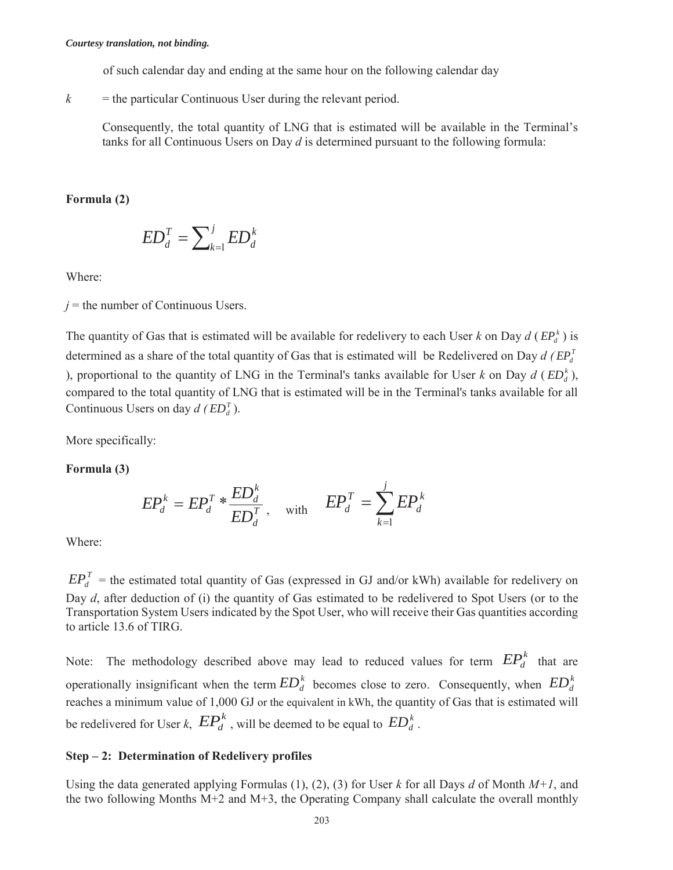of such calendar day and ending at the same hour on the following calendar day

 $k =$  the particular Continuous User during the relevant period.

Consequently, the total quantity of LNG that is estimated will be available in the Terminal's tanks for all Continuous Users on Day *d* is determined pursuant to the following formula:

**Formula (2)** 

$$
ED_d^T = \sum_{k=1}^j ED_d^k
$$

Where:

 $j$  = the number of Continuous Users.

The quantity of Gas that is estimated will be available for redelivery to each User *k* on Day  $d$  ( $EP_a^k$ ) is determined as a share of the total quantity of Gas that is estimated will be Redelivered on Day  $d$  ( $EP_d^T$ ) ), proportional to the quantity of LNG in the Terminal's tanks available for User *k* on Day  $d$  ( $ED_d^k$ ), compared to the total quantity of LNG that is estimated will be in the Terminal's tanks available for all Continuous Users on day  $d$  ( $ED_d^T$ ).

More specifically:

**Formula (3)** 

$$
EP_d^k = EP_d^T * \frac{ED_d^k}{ED_d^T}, \quad \text{with} \quad EP_d^T = \sum_{k=1}^j EP_d^k
$$

Where:

 $EP_d^T$  = the estimated total quantity of Gas (expressed in GJ and/or kWh) available for redelivery on Day *d*, after deduction of (i) the quantity of Gas estimated to be redelivered to Spot Users (or to the Transportation System Users indicated by the Spot User, who will receive their Gas quantities according to article 13.6 of TIRG.

Note: The methodology described above may lead to reduced values for term  $EP_d^k$  that are operationally insignificant when the term  $ED_d^k$  becomes close to zero. Consequently, when  $ED_d^k$ reaches a minimum value of 1,000 GJ or the equivalent in kWh, the quantity of Gas that is estimated will be redelivered for User *k*,  $\mathbb{E}P_d^k$ , will be deemed to be equal to  $\mathbb{E}D_d^k$ .

## **Step – 2: Determination of Redelivery profiles**

Using the data generated applying Formulas (1), (2), (3) for User *k* for all Days *d* of Month *M+1*, and the two following Months  $M+2$  and  $M+3$ , the Operating Company shall calculate the overall monthly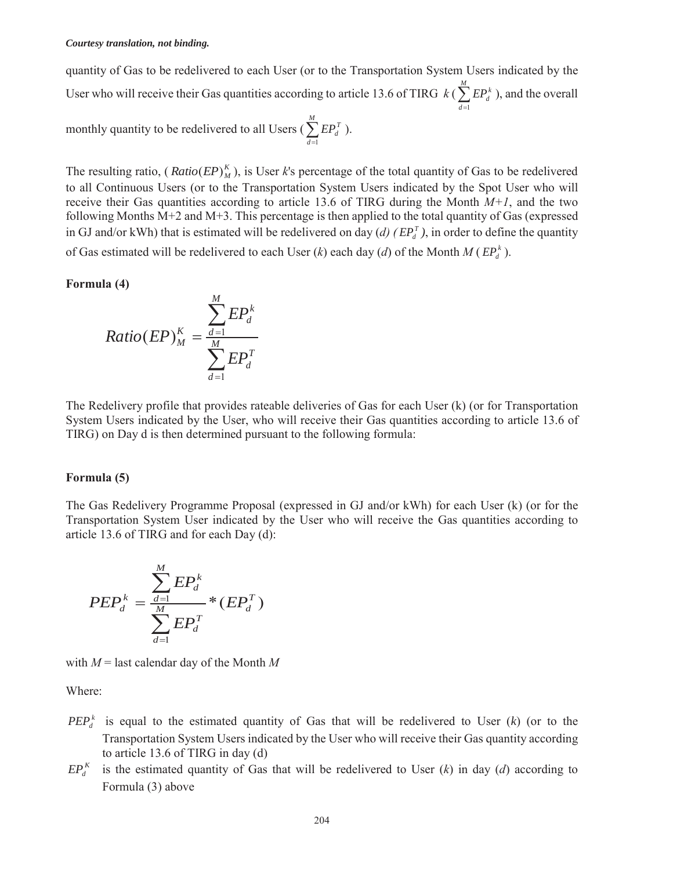quantity of Gas to be redelivered to each User (or to the Transportation System Users indicated by the User who will receive their Gas quantities according to article 13.6 of TIRG  $k$  ( $\sum_{d=1}^{M}$  $\sum_{d=1} E P_d^k$ ), and the overall monthly quantity to be redelivered to all Users ( $\sum_{d=1}^{M}$  $\sum_{d=1} E P_d^T$ ).

The resulting ratio, ( $Ratio (EP)^K_M$ ), is User *k*'s percentage of the total quantity of Gas to be redelivered to all Continuous Users (or to the Transportation System Users indicated by the Spot User who will receive their Gas quantities according to article 13.6 of TIRG during the Month  $M+1$ , and the two following Months M+2 and M+3. This percentage is then applied to the total quantity of Gas (expressed in GJ and/or kWh) that is estimated will be redelivered on day (*d*) ( $EP_d^T$ ), in order to define the quantity of Gas estimated will be redelivered to each User  $(k)$  each day  $(d)$  of the Month  $M(EP_d^k)$ .

#### **Formula (4)**

$$
Ratio(EP)_M^K = \frac{\sum_{d=1}^M EP_d^k}{\sum_{d=1}^M EP_d^T}
$$

The Redelivery profile that provides rateable deliveries of Gas for each User (k) (or for Transportation System Users indicated by the User, who will receive their Gas quantities according to article 13.6 of TIRG) on Day d is then determined pursuant to the following formula:

#### **Formula (5)**

The Gas Redelivery Programme Proposal (expressed in GJ and/or kWh) for each User (k) (or for the Transportation System User indicated by the User who will receive the Gas quantities according to article 13.6 of TIRG and for each Day (d):

$$
PEP_d^k = \frac{\sum_{d=1}^M EP_d^k}{\sum_{d=1}^M EP_d^T} * (EP_d^T)
$$

with *M* = last calendar day of the Month *M* 

Where:

- $PEP<sub>A</sub><sup>k</sup>$  is equal to the estimated quantity of Gas that will be redelivered to User (*k*) (or to the Transportation System Users indicated by the User who will receive their Gas quantity according to article 13.6 of TIRG in day (d)
- $EP_{d}^{K}$  is the estimated quantity of Gas that will be redelivered to User (*k*) in day (*d*) according to Formula (3) above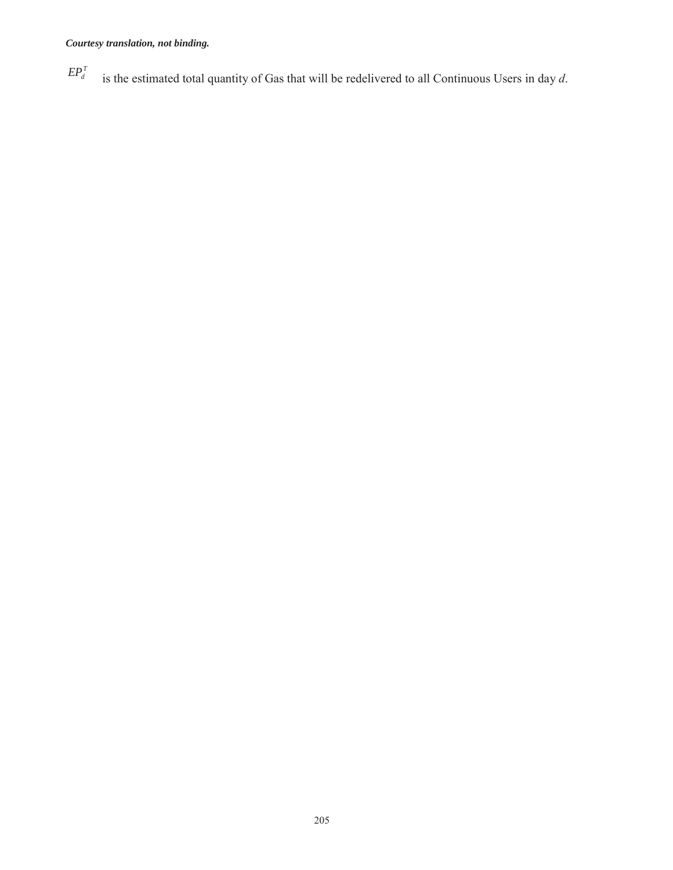$EP_d^T$  is the estimated total quantity of Gas that will be redelivered to all Continuous Users in day *d*.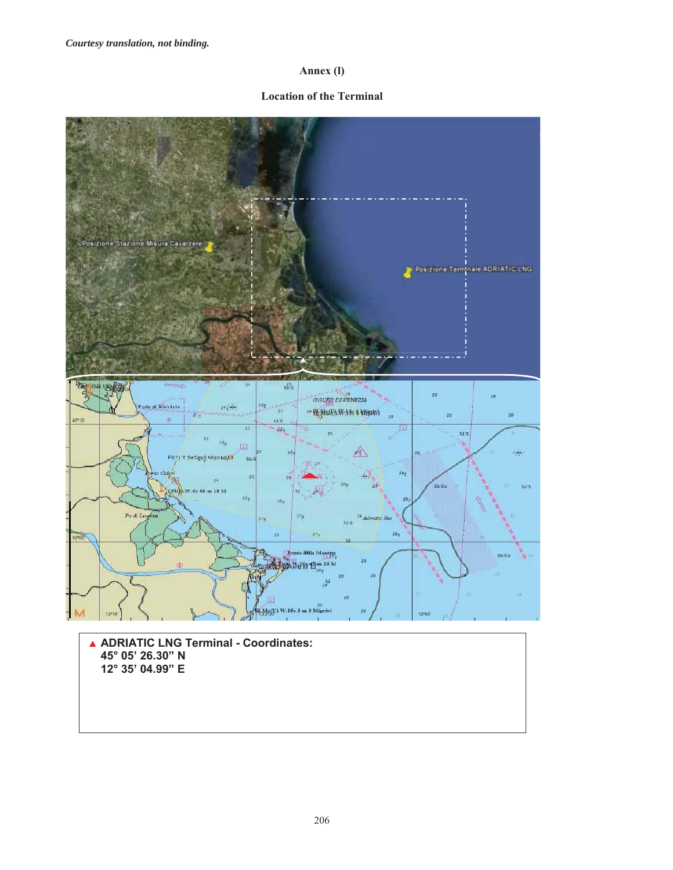## **Annex (l)**

#### **Location of the Terminal**

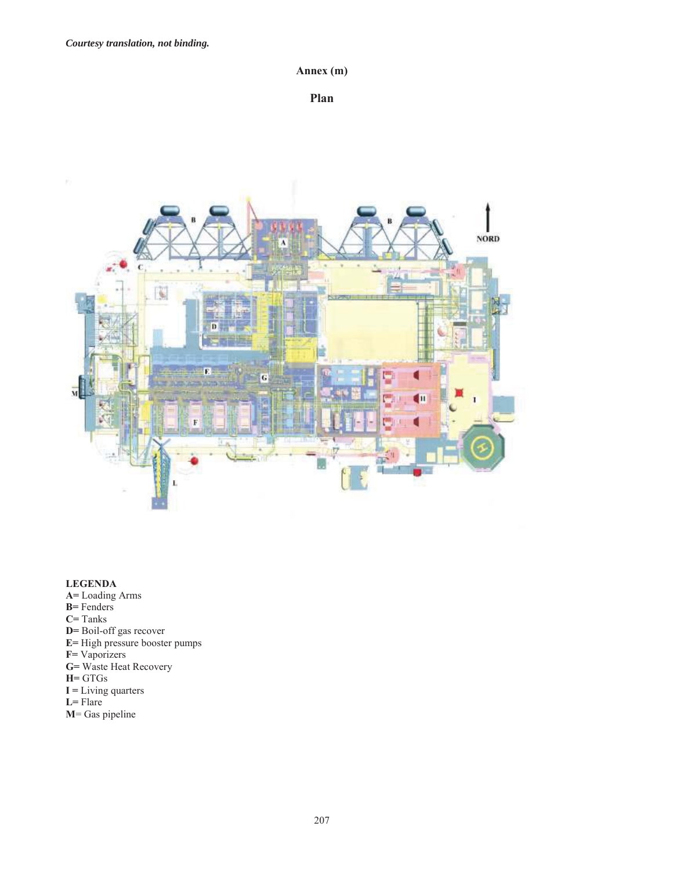**Annex (m)** 

**Plan** 



## **LEGENDA**

- **A=** Loading Arms
- **B=** Fenders
- **C=** Tanks
- **D=** Boil-off gas recover
- **E=** High pressure booster pumps
- **F=** Vaporizers
- **G=** Waste Heat Recovery
- **H=** GTGs
- **I =** Living quarters
- **L=** Flare
- **M**= Gas pipeline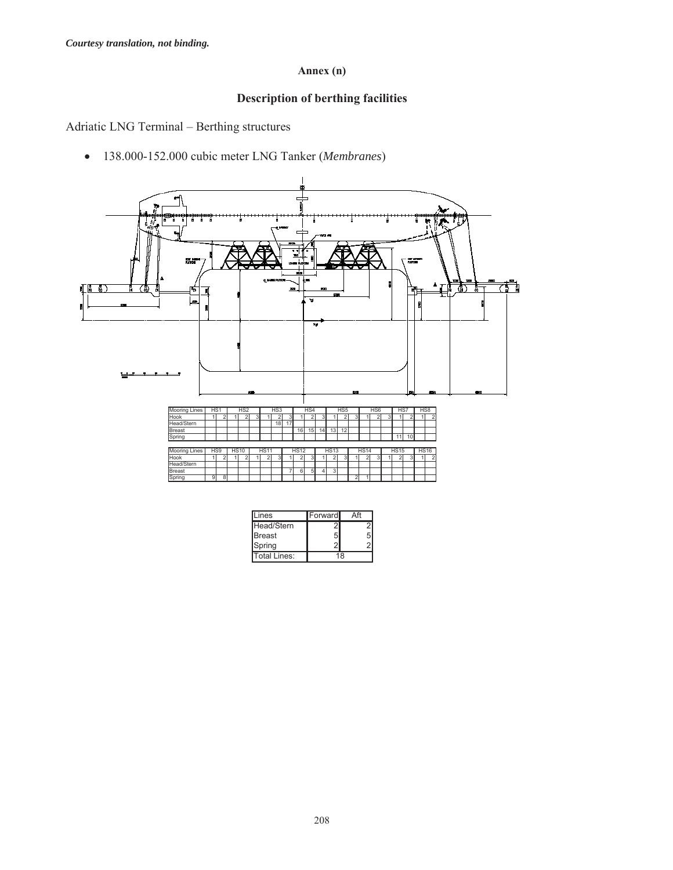# **Annex (n)**

# **Description of berthing facilities**

Adriatic LNG Terminal – Berthing structures

x 138.000-152.000 cubic meter LNG Tanker (*Membranes*)



| _ines        | Forward |  |
|--------------|---------|--|
| Head/Stern   |         |  |
| IBreast      |         |  |
| Spring       |         |  |
| Total Lines: | 18      |  |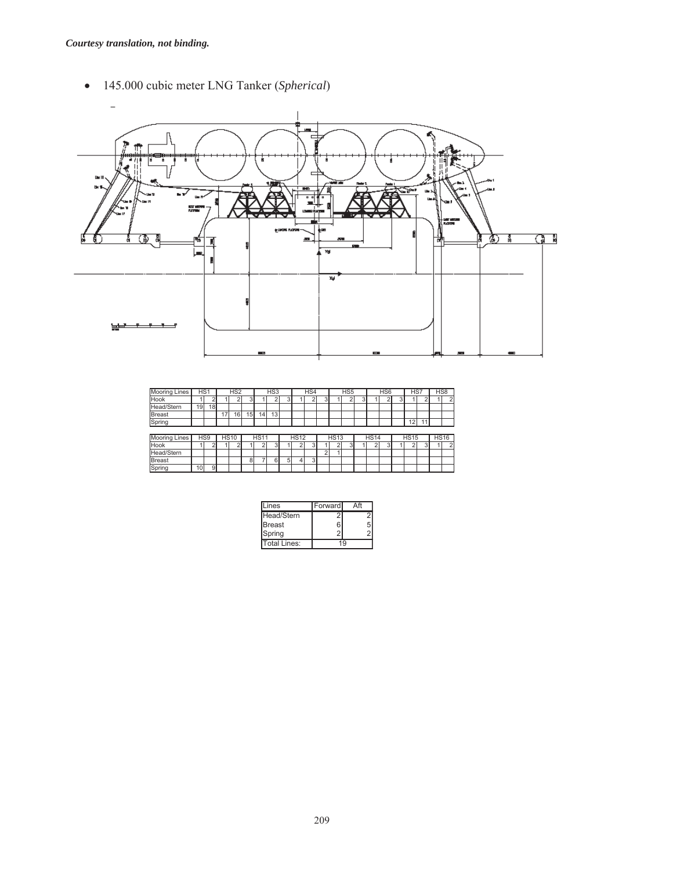x 145.000 cubic meter LNG Tanker (*Spherical*)



| <b>Mooring Lines</b> | HS <sub>1</sub> |    |    | H <sub>S2</sub> |    |                 | HS <sub>3</sub> |                |             | HS4 |   |             | HS <sub>5</sub> |   |             | HS <sub>6</sub> | HS7         |   | HS <sub>8</sub> |
|----------------------|-----------------|----|----|-----------------|----|-----------------|-----------------|----------------|-------------|-----|---|-------------|-----------------|---|-------------|-----------------|-------------|---|-----------------|
| Hook                 |                 |    |    |                 | 3  |                 |                 | 3              |             |     | 3 |             |                 | 3 |             |                 |             |   |                 |
| Head/Stern           | 19              | 18 |    |                 |    |                 |                 |                |             |     |   |             |                 |   |             |                 |             |   |                 |
| <b>Breast</b>        |                 |    | 17 | 16 <sub>1</sub> | 15 | 14 <sub>1</sub> | 13 <sub>1</sub> |                |             |     |   |             |                 |   |             |                 |             |   |                 |
| Spring               |                 |    |    |                 |    |                 |                 |                |             |     |   |             |                 |   |             |                 | 12          |   |                 |
|                      |                 |    |    |                 |    |                 |                 |                |             |     |   |             |                 |   |             |                 |             |   |                 |
|                      |                 |    |    |                 |    |                 |                 |                |             |     |   |             |                 |   |             |                 |             |   |                 |
| <b>Mooring Lines</b> | HS <sub>9</sub> |    |    | <b>HS10</b>     |    | <b>HS11</b>     |                 |                | <b>HS12</b> |     |   | <b>HS13</b> |                 |   | <b>HS14</b> |                 | <b>HS15</b> |   | <b>HS16</b>     |
| Hook                 |                 |    |    | ົ               |    | ◠               | 3               |                | ≘           | 3   |   |             | 3               |   |             | 3               |             | 3 |                 |
| Head/Stern           |                 |    |    |                 |    |                 |                 |                |             |     | っ |             |                 |   |             |                 |             |   |                 |
| <b>Breast</b>        |                 |    |    |                 | 8  |                 | 6               | 5 <sup>1</sup> | 4           | 3   |   |             |                 |   |             |                 |             |   |                 |

| Lines        | Forward |    |
|--------------|---------|----|
| Head/Stern   |         |    |
| Breast       |         | 5  |
| Spring       |         |    |
| Total Lines: |         | ۱Q |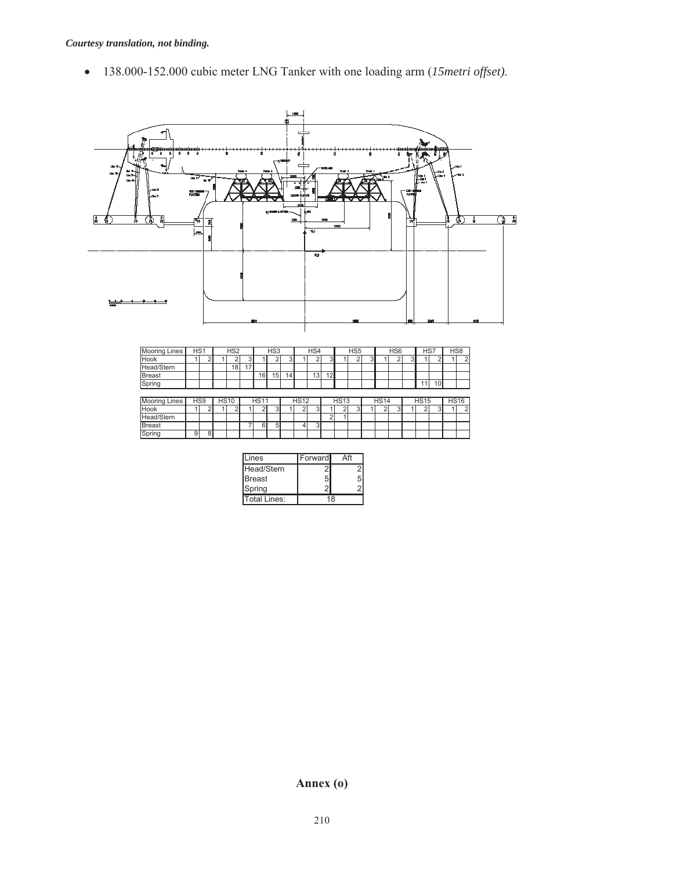x 138.000-152.000 cubic meter LNG Tanker with one loading arm (*15metri offset)*.



| ines          | Forward |    |
|---------------|---------|----|
| Head/Stern    |         |    |
| <b>Breast</b> |         |    |
| Spring        |         |    |
| Total Lines:  |         | 18 |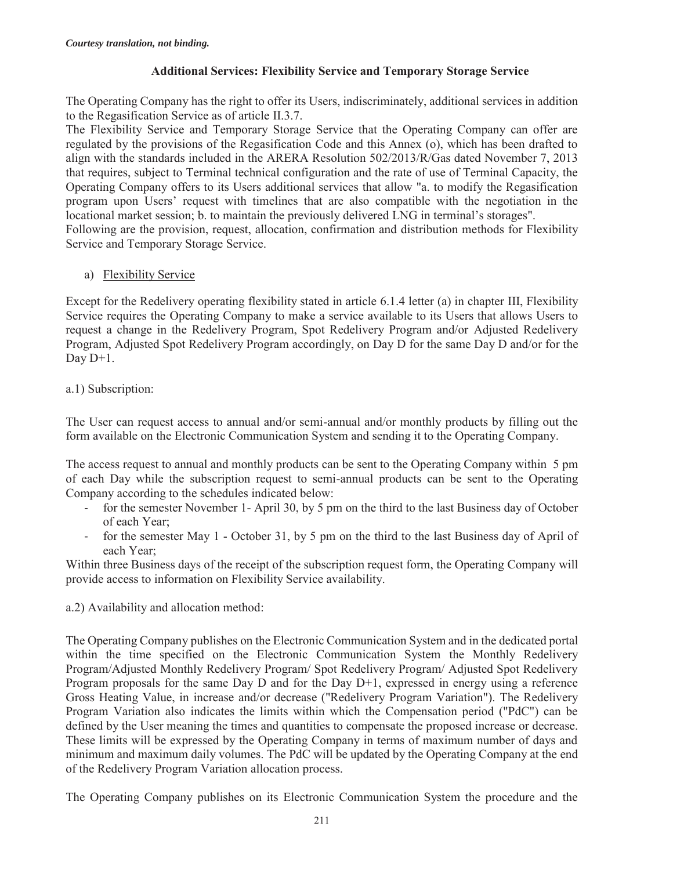## **Additional Services: Flexibility Service and Temporary Storage Service**

The Operating Company has the right to offer its Users, indiscriminately, additional services in addition to the Regasification Service as of article II.3.7.

The Flexibility Service and Temporary Storage Service that the Operating Company can offer are regulated by the provisions of the Regasification Code and this Annex (o), which has been drafted to align with the standards included in the ARERA Resolution 502/2013/R/Gas dated November 7, 2013 that requires, subject to Terminal technical configuration and the rate of use of Terminal Capacity, the Operating Company offers to its Users additional services that allow "a. to modify the Regasification program upon Users' request with timelines that are also compatible with the negotiation in the locational market session; b. to maintain the previously delivered LNG in terminal's storages". Following are the provision, request, allocation, confirmation and distribution methods for Flexibility Service and Temporary Storage Service.

# a) Flexibility Service

Except for the Redelivery operating flexibility stated in article 6.1.4 letter (a) in chapter III, Flexibility Service requires the Operating Company to make a service available to its Users that allows Users to request a change in the Redelivery Program, Spot Redelivery Program and/or Adjusted Redelivery Program, Adjusted Spot Redelivery Program accordingly, on Day D for the same Day D and/or for the Day  $D+1$ .

# a.1) Subscription:

The User can request access to annual and/or semi-annual and/or monthly products by filling out the form available on the Electronic Communication System and sending it to the Operating Company.

The access request to annual and monthly products can be sent to the Operating Company within 5 pm of each Day while the subscription request to semi-annual products can be sent to the Operating Company according to the schedules indicated below:

- for the semester November 1- April 30, by 5 pm on the third to the last Business day of October of each Year;
- for the semester May 1 October 31, by 5 pm on the third to the last Business day of April of each Year;

Within three Business days of the receipt of the subscription request form, the Operating Company will provide access to information on Flexibility Service availability.

## a.2) Availability and allocation method:

The Operating Company publishes on the Electronic Communication System and in the dedicated portal within the time specified on the Electronic Communication System the Monthly Redelivery Program/Adjusted Monthly Redelivery Program/ Spot Redelivery Program/ Adjusted Spot Redelivery Program proposals for the same Day D and for the Day D+1, expressed in energy using a reference Gross Heating Value, in increase and/or decrease ("Redelivery Program Variation"). The Redelivery Program Variation also indicates the limits within which the Compensation period ("PdC") can be defined by the User meaning the times and quantities to compensate the proposed increase or decrease. These limits will be expressed by the Operating Company in terms of maximum number of days and minimum and maximum daily volumes. The PdC will be updated by the Operating Company at the end of the Redelivery Program Variation allocation process.

The Operating Company publishes on its Electronic Communication System the procedure and the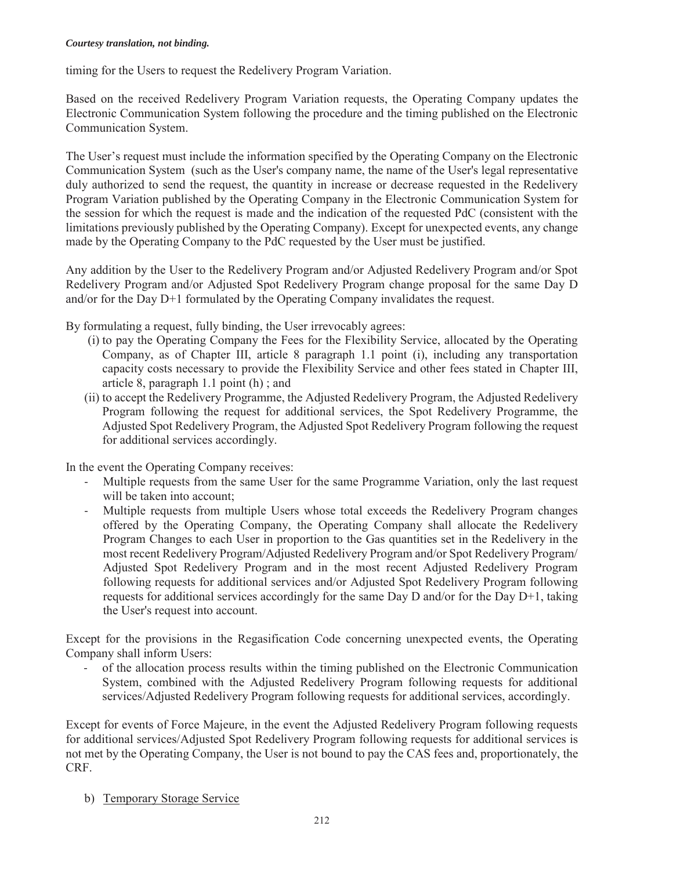timing for the Users to request the Redelivery Program Variation.

Based on the received Redelivery Program Variation requests, the Operating Company updates the Electronic Communication System following the procedure and the timing published on the Electronic Communication System.

The User's request must include the information specified by the Operating Company on the Electronic Communication System (such as the User's company name, the name of the User's legal representative duly authorized to send the request, the quantity in increase or decrease requested in the Redelivery Program Variation published by the Operating Company in the Electronic Communication System for the session for which the request is made and the indication of the requested PdC (consistent with the limitations previously published by the Operating Company). Except for unexpected events, any change made by the Operating Company to the PdC requested by the User must be justified.

Any addition by the User to the Redelivery Program and/or Adjusted Redelivery Program and/or Spot Redelivery Program and/or Adjusted Spot Redelivery Program change proposal for the same Day D and/or for the Day D+1 formulated by the Operating Company invalidates the request.

- By formulating a request, fully binding, the User irrevocably agrees:
	- (i) to pay the Operating Company the Fees for the Flexibility Service, allocated by the Operating Company, as of Chapter III, article 8 paragraph 1.1 point (i), including any transportation capacity costs necessary to provide the Flexibility Service and other fees stated in Chapter III, article 8, paragraph 1.1 point (h) ; and
	- (ii) to accept the Redelivery Programme, the Adjusted Redelivery Program, the Adjusted Redelivery Program following the request for additional services, the Spot Redelivery Programme, the Adjusted Spot Redelivery Program, the Adjusted Spot Redelivery Program following the request for additional services accordingly.

In the event the Operating Company receives:

- Multiple requests from the same User for the same Programme Variation, only the last request will be taken into account;
- Multiple requests from multiple Users whose total exceeds the Redelivery Program changes offered by the Operating Company, the Operating Company shall allocate the Redelivery Program Changes to each User in proportion to the Gas quantities set in the Redelivery in the most recent Redelivery Program/Adjusted Redelivery Program and/or Spot Redelivery Program/ Adjusted Spot Redelivery Program and in the most recent Adjusted Redelivery Program following requests for additional services and/or Adjusted Spot Redelivery Program following requests for additional services accordingly for the same Day D and/or for the Day D+1, taking the User's request into account.

Except for the provisions in the Regasification Code concerning unexpected events, the Operating Company shall inform Users:

- of the allocation process results within the timing published on the Electronic Communication System, combined with the Adjusted Redelivery Program following requests for additional services/Adjusted Redelivery Program following requests for additional services, accordingly.

Except for events of Force Majeure, in the event the Adjusted Redelivery Program following requests for additional services/Adjusted Spot Redelivery Program following requests for additional services is not met by the Operating Company, the User is not bound to pay the CAS fees and, proportionately, the CRF.

b) Temporary Storage Service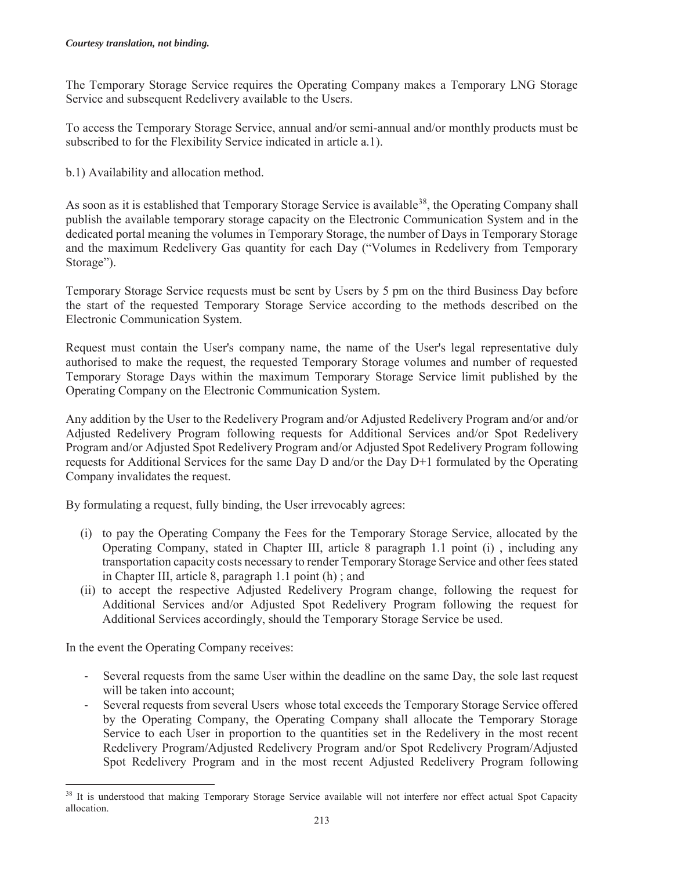The Temporary Storage Service requires the Operating Company makes a Temporary LNG Storage Service and subsequent Redelivery available to the Users.

To access the Temporary Storage Service, annual and/or semi-annual and/or monthly products must be subscribed to for the Flexibility Service indicated in article a.1).

b.1) Availability and allocation method.

As soon as it is established that Temporary Storage Service is available<sup>38</sup>, the Operating Company shall publish the available temporary storage capacity on the Electronic Communication System and in the dedicated portal meaning the volumes in Temporary Storage, the number of Days in Temporary Storage and the maximum Redelivery Gas quantity for each Day ("Volumes in Redelivery from Temporary Storage").

Temporary Storage Service requests must be sent by Users by 5 pm on the third Business Day before the start of the requested Temporary Storage Service according to the methods described on the Electronic Communication System.

Request must contain the User's company name, the name of the User's legal representative duly authorised to make the request, the requested Temporary Storage volumes and number of requested Temporary Storage Days within the maximum Temporary Storage Service limit published by the Operating Company on the Electronic Communication System.

Any addition by the User to the Redelivery Program and/or Adjusted Redelivery Program and/or and/or Adjusted Redelivery Program following requests for Additional Services and/or Spot Redelivery Program and/or Adjusted Spot Redelivery Program and/or Adjusted Spot Redelivery Program following requests for Additional Services for the same Day D and/or the Day D+1 formulated by the Operating Company invalidates the request.

By formulating a request, fully binding, the User irrevocably agrees:

- (i) to pay the Operating Company the Fees for the Temporary Storage Service, allocated by the Operating Company, stated in Chapter III, article 8 paragraph 1.1 point (i) , including any transportation capacity costs necessary to render Temporary Storage Service and other fees stated in Chapter III, article 8, paragraph 1.1 point (h) ; and
- (ii) to accept the respective Adjusted Redelivery Program change, following the request for Additional Services and/or Adjusted Spot Redelivery Program following the request for Additional Services accordingly, should the Temporary Storage Service be used.

In the event the Operating Company receives:

 $\overline{a}$ 

- Several requests from the same User within the deadline on the same Day, the sole last request will be taken into account:
- Several requests from several Users whose total exceeds the Temporary Storage Service offered by the Operating Company, the Operating Company shall allocate the Temporary Storage Service to each User in proportion to the quantities set in the Redelivery in the most recent Redelivery Program/Adjusted Redelivery Program and/or Spot Redelivery Program/Adjusted Spot Redelivery Program and in the most recent Adjusted Redelivery Program following

<sup>&</sup>lt;sup>38</sup> It is understood that making Temporary Storage Service available will not interfere nor effect actual Spot Capacity allocation.